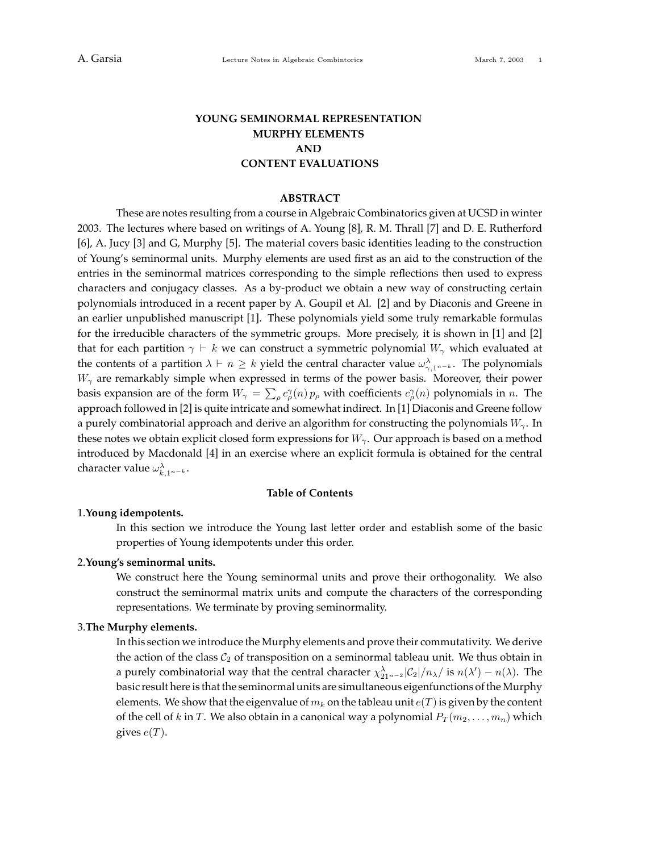## **YOUNG SEMINORMAL REPRESENTATION MURPHY ELEMENTS AND CONTENT EVALUATIONS**

#### **ABSTRACT**

These are notes resulting from a course in Algebraic Combinatorics given at UCSD in winter 2003. The lectures where based on writings of A. Young [8], R. M. Thrall [7] and D. E. Rutherford [6], A. Jucy [3] and G, Murphy [5]. The material covers basic identities leading to the construction of Young's seminormal units. Murphy elements are used first as an aid to the construction of the entries in the seminormal matrices corresponding to the simple reflections then used to express characters and conjugacy classes. As a by-product we obtain a new way of constructing certain polynomials introduced in a recent paper by A. Goupil et Al. [2] and by Diaconis and Greene in an earlier unpublished manuscript [1]. These polynomials yield some truly remarkable formulas for the irreducible characters of the symmetric groups. More precisely, it is shown in [1] and [2] that for each partition  $\gamma \vdash k$  we can construct a symmetric polynomial  $W_{\gamma}$  which evaluated at the contents of a partition  $\lambda \vdash n \geq k$  yield the central character value  $\omega_{\gamma,1^{n-k}}^{\lambda}$ . The polynomials  $W_{\gamma}$  are remarkably simple when expressed in terms of the power basis. Moreover, their power basis expansion are of the form  $W_\gamma = \sum_\rho c_\rho^\gamma(n) p_\rho$  with coefficients  $c_\rho^\gamma(n)$  polynomials in *n*. The approach followed in [2] is quite intricate and somewhat indirect. In [1] Diaconis and Greene follow a purely combinatorial approach and derive an algorithm for constructing the polynomials *Wγ*. In these notes we obtain explicit closed form expressions for *Wγ*. Our approach is based on a method introduced by Macdonald [4] in an exercise where an explicit formula is obtained for the central character value  $\omega_{k,1^{n-k}}^{\lambda}$ .

#### **Table of Contents**

## 1.**Young idempotents.**

In this section we introduce the Young last letter order and establish some of the basic properties of Young idempotents under this order.

## 2.**Young's seminormal units.**

We construct here the Young seminormal units and prove their orthogonality. We also construct the seminormal matrix units and compute the characters of the corresponding representations. We terminate by proving seminormality.

## 3.**The Murphy elements.**

In this section we introduce the Murphy elements and prove their commutativity. We derive the action of the class  $C_2$  of transposition on a seminormal tableau unit. We thus obtain in a purely combinatorial way that the central character  $\chi^{\lambda}_{21^{n-2}}|C_2|/n_{\lambda}/$  is  $n(\lambda') - n(\lambda)$ . The basic result here is that the seminormal units are simultaneous eigenfunctions of the Murphy elements. We show that the eigenvalue of  $m_k$  on the tableau unit  $e(T)$  is given by the content of the cell of *k* in *T*. We also obtain in a canonical way a polynomial  $P_T(m_2, \ldots, m_n)$  which gives  $e(T)$ .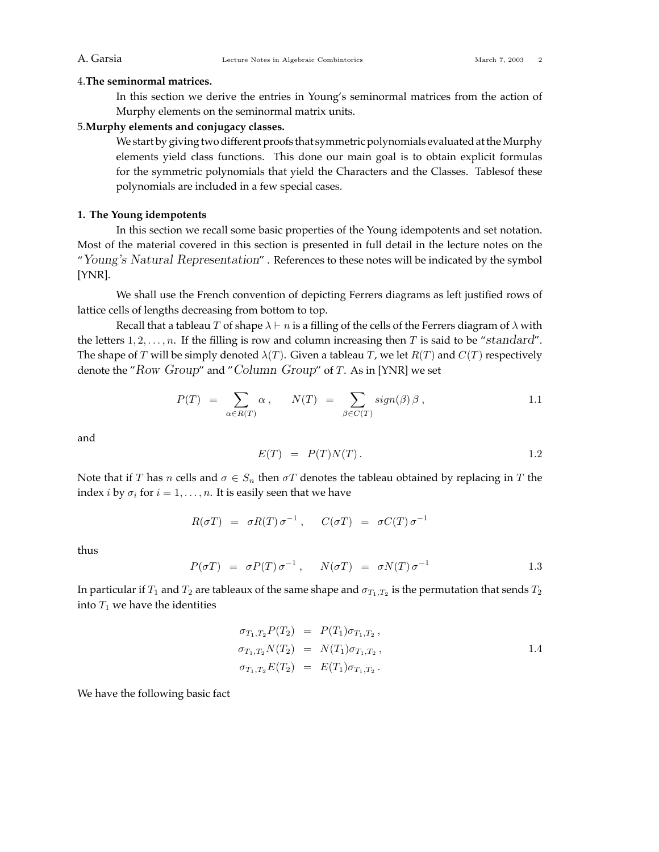## 4.**The seminormal matrices.**

In this section we derive the entries in Young's seminormal matrices from the action of Murphy elements on the seminormal matrix units.

## 5.**Murphy elements and conjugacy classes.**

We start by giving two different proofs that symmetric polynomials evaluated at the Murphy elements yield class functions. This done our main goal is to obtain explicit formulas for the symmetric polynomials that yield the Characters and the Classes. Tablesof these polynomials are included in a few special cases.

## **1. The Young idempotents**

In this section we recall some basic properties of the Young idempotents and set notation. Most of the material covered in this section is presented in full detail in the lecture notes on the "*Young's Natural Representation*" . References to these notes will be indicated by the symbol [YNR].

We shall use the French convention of depicting Ferrers diagrams as left justified rows of lattice cells of lengths decreasing from bottom to top.

Recall that a tableau *T* of shape  $\lambda \vdash n$  is a filling of the cells of the Ferrers diagram of  $\lambda$  with the letters 1*,* 2*,...,n*. If the filling is row and column increasing then *T* is said to be "*standard*". The shape of *T* will be simply denoted  $\lambda(T)$ . Given a tableau *T*, we let  $R(T)$  and  $C(T)$  respectively denote the "*Row Group*" and "*Column Group*" of *T*. As in [YNR] we set

$$
P(T) = \sum_{\alpha \in R(T)} \alpha , \qquad N(T) = \sum_{\beta \in C(T)} sign(\beta) \beta , \qquad 1.1
$$

and

$$
E(T) = P(T)N(T). \qquad 1.2
$$

Note that if *T* has *n* cells and  $\sigma \in S_n$  then  $\sigma T$  denotes the tableau obtained by replacing in *T* the index *i* by  $\sigma_i$  for  $i = 1, \ldots, n$ . It is easily seen that we have

$$
R(\sigma T) = \sigma R(T) \sigma^{-1} , \quad C(\sigma T) = \sigma C(T) \sigma^{-1}
$$

thus

$$
P(\sigma T) = \sigma P(T) \sigma^{-1}, \quad N(\sigma T) = \sigma N(T) \sigma^{-1} \qquad 1.3
$$

In particular if  $T_1$  and  $T_2$  are tableaux of the same shape and  $\sigma_{T_1,T_2}$  is the permutation that sends  $T_2$ into  $T_1$  we have the identities

$$
\sigma_{T_1, T_2} P(T_2) = P(T_1) \sigma_{T_1, T_2}, \n\sigma_{T_1, T_2} N(T_2) = N(T_1) \sigma_{T_1, T_2}, \n\sigma_{T_1, T_2} E(T_2) = E(T_1) \sigma_{T_1, T_2}.
$$
\n(1.4)

We have the following basic fact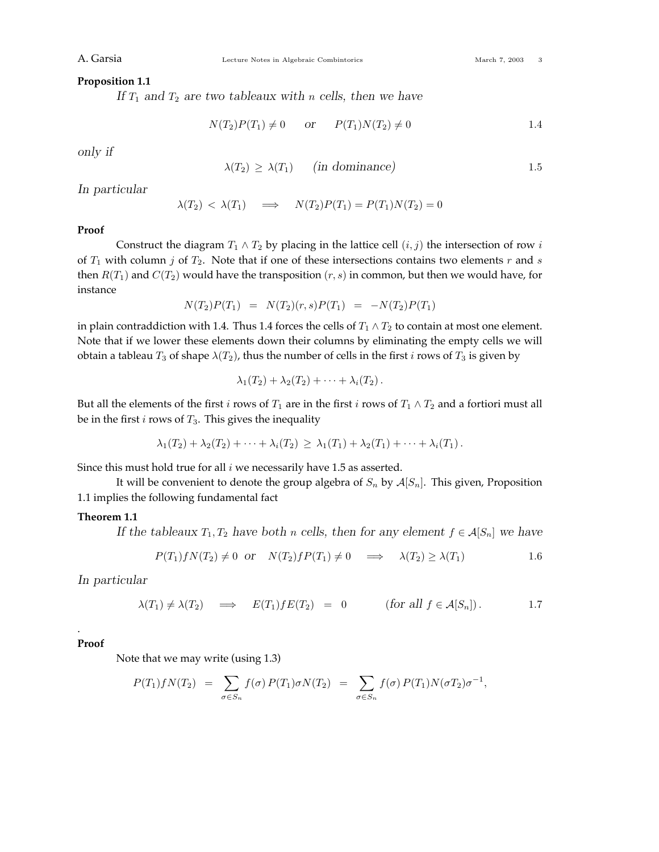## **Proposition 1.1**

*If T*<sup>1</sup> *and T*<sup>2</sup> *are two tableaux with n cells, then we have*

$$
N(T_2)P(T_1) \neq 0
$$
 or  $P(T_1)N(T_2) \neq 0$  1.4

*only if*

$$
\lambda(T_2) \ge \lambda(T_1) \qquad \text{(in dominance)} \tag{1.5}
$$

*In particular*

$$
\lambda(T_2) < \lambda(T_1) \quad \implies \quad N(T_2)P(T_1) = P(T_1)N(T_2) = 0
$$

## **Proof**

Construct the diagram  $T_1 \wedge T_2$  by placing in the lattice cell  $(i, j)$  the intersection of row *i* of *T*<sup>1</sup> with column *j* of *T*2. Note that if one of these intersections contains two elements *r* and *s* then  $R(T_1)$  and  $C(T_2)$  would have the transposition  $(r, s)$  in common, but then we would have, for instance

$$
N(T_2)P(T_1) = N(T_2)(r,s)P(T_1) = -N(T_2)P(T_1)
$$

in plain contraddiction with 1.4. Thus 1.4 forces the cells of  $T_1 \wedge T_2$  to contain at most one element. Note that if we lower these elements down their columns by eliminating the empty cells we will obtain a tableau  $T_3$  of shape  $\lambda(T_2)$ , thus the number of cells in the first *i* rows of  $T_3$  is given by

$$
\lambda_1(T_2) + \lambda_2(T_2) + \cdots + \lambda_i(T_2).
$$

But all the elements of the first *i* rows of  $T_1$  are in the first *i* rows of  $T_1 \wedge T_2$  and a fortiori must all be in the first *i* rows of *T*3. This gives the inequality

$$
\lambda_1(T_2) + \lambda_2(T_2) + \cdots + \lambda_i(T_2) \geq \lambda_1(T_1) + \lambda_2(T_1) + \cdots + \lambda_i(T_1).
$$

Since this must hold true for all *i* we necessarily have 1.5 as asserted.

It will be convenient to denote the group algebra of  $S_n$  by  $A[S_n]$ . This given, Proposition 1.1 implies the following fundamental fact

### **Theorem 1.1**

*If the tableaux*  $T_1, T_2$  *have both n cells, then for any element*  $f \in A[S_n]$  *we have* 

$$
P(T_1)fN(T_2) \neq 0 \quad \text{or} \quad N(T_2)fP(T_1) \neq 0 \quad \implies \quad \lambda(T_2) \geq \lambda(T_1) \tag{1.6}
$$

*In particular*

$$
\lambda(T_1) \neq \lambda(T_2) \quad \implies \quad E(T_1) f E(T_2) = 0 \quad \text{(for all } f \in \mathcal{A}[S_n]). \tag{1.7}
$$

## **Proof**

.

Note that we may write (using 1.3)

$$
P(T_1)fN(T_2) = \sum_{\sigma \in S_n} f(\sigma) P(T_1)\sigma N(T_2) = \sum_{\sigma \in S_n} f(\sigma) P(T_1)N(\sigma T_2)\sigma^{-1},
$$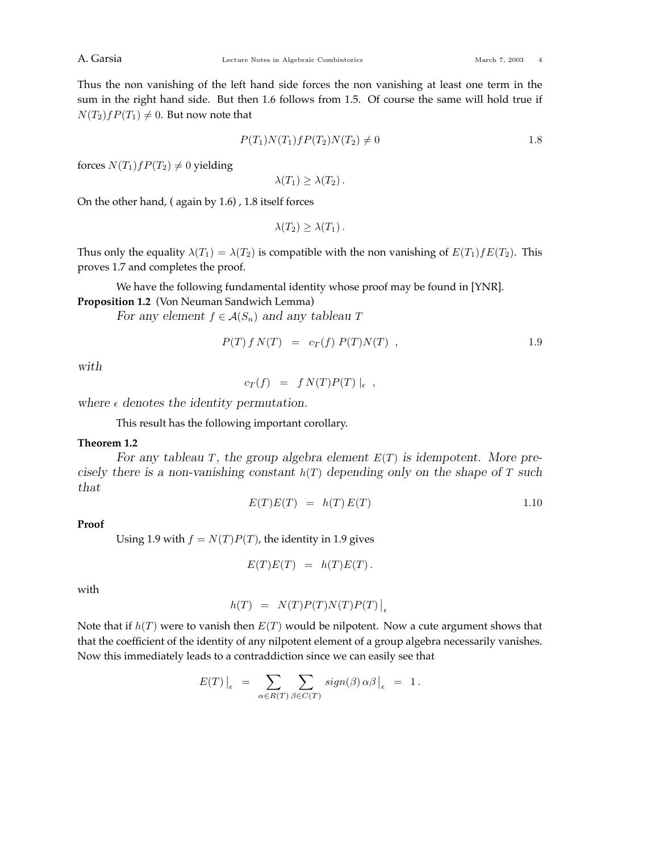Thus the non vanishing of the left hand side forces the non vanishing at least one term in the sum in the right hand side. But then 1.6 follows from 1.5. Of course the same will hold true if  $N(T_2)$ *f* $P(T_1) \neq 0$ . But now note that

$$
P(T_1)N(T_1)fP(T_2)N(T_2) \neq 0
$$
 1.8

forces  $N(T_1)$ *f* $P(T_2) \neq 0$  yielding

 $\lambda(T_1) \geq \lambda(T_2)$ .

On the other hand, ( again by 1.6) , 1.8 itself forces

 $\lambda(T_2) \geq \lambda(T_1)$ .

Thus only the equality  $\lambda(T_1) = \lambda(T_2)$  is compatible with the non vanishing of  $E(T_1) f E(T_2)$ . This proves 1.7 and completes the proof.

We have the following fundamental identity whose proof may be found in [YNR].

# **Proposition 1.2** (Von Neuman Sandwich Lemma)

*For any element*  $f \in \mathcal{A}(S_n)$  *and any tableau T* 

$$
P(T) f N(T) = c_T(f) P(T) N(T) , \t\t 1.9
$$

*with*

 $c_T(f) = f N(T) P(T) |_{\epsilon}$ ,

where  $\epsilon$  denotes the identity permutation.

This result has the following important corollary.

## **Theorem 1.2**

*For any tableau T, the group algebra element E*(*T*) *is idempotent. More precisely there is a non-vanishing constant h*(*T*) *depending only on the shape of T such that*

$$
E(T)E(T) = h(T)E(T) \tag{1.10}
$$

**Proof**

Using 1.9 with  $f = N(T)P(T)$ , the identity in 1.9 gives

 $E(T)E(T) = h(T)E(T)$ .

with

$$
h(T) = N(T)P(T)N(T)P(T)|_{\epsilon}
$$

Note that if *h*(*T*) were to vanish then *E*(*T*) would be nilpotent. Now a cute argument shows that that the coefficient of the identity of any nilpotent element of a group algebra necessarily vanishes. Now this immediately leads to a contraddiction since we can easily see that

$$
E(T)\,\big|_\epsilon\ =\ \sum_{\alpha\in R(T)}\sum_{\beta\in C(T)}\,sign(\beta)\,\alpha\beta\,\big|_\epsilon\ =\ 1\,.
$$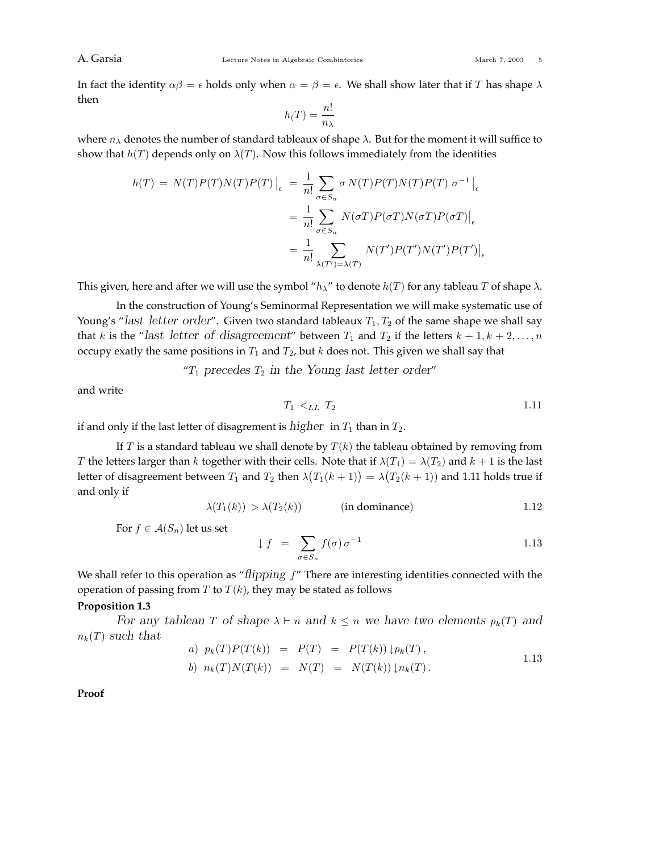In fact the identity  $\alpha\beta = \epsilon$  holds only when  $\alpha = \beta = \epsilon$ . We shall show later that if *T* has shape  $\lambda$ then

$$
h(T)=\frac{n!}{n_{\lambda}}
$$

where  $n_{\lambda}$  denotes the number of standard tableaux of shape  $\lambda$ . But for the moment it will suffice to show that  $h(T)$  depends only on  $\lambda(T)$ . Now this follows immediately from the identities

$$
h(T) = N(T)P(T)N(T)P(T)|_{\epsilon} = \frac{1}{n!} \sum_{\sigma \in S_n} \sigma N(T)P(T)N(T)P(T) \sigma^{-1}|_{\epsilon}
$$

$$
= \frac{1}{n!} \sum_{\sigma \in S_n} N(\sigma T)P(\sigma T)N(\sigma T)P(\sigma T)|_{\epsilon}
$$

$$
= \frac{1}{n!} \sum_{\lambda(T') = \lambda(T)} N(T')P(T')N(T')P(T')|_{\epsilon}
$$

This given, here and after we will use the symbol " $h_{\lambda}$ " to denote  $h(T)$  for any tableau T of shape  $\lambda$ .

In the construction of Young's Seminormal Representation we will make systematic use of Young's "*last letter order*". Given two standard tableaux  $T_1, T_2$  of the same shape we shall say that *k* is the "*last letter of disagreement*" between  $T_1$  and  $T_2$  if the letters  $k + 1, k + 2, \ldots, n$ occupy exatly the same positions in  $T_1$  and  $T_2$ , but  $k$  does not. This given we shall say that

"*T*<sup>1</sup> *precedes T*<sup>2</sup> *in the Young last letter order*"

and write

$$
T_1 \lt L_L T_2 \tag{1.11}
$$

if and only if the last letter of disagrement is *higher* in  $T_1$  than in  $T_2$ .

If  $T$  is a standard tableau we shall denote by  $T(k)$  the tableau obtained by removing from *T* the letters larger than *k* together with their cells. Note that if  $\lambda(T_1) = \lambda(T_2)$  and  $k + 1$  is the last letter of disagreement between  $T_1$  and  $T_2$  then  $\lambda\big(T_1(k+1)\big)=\lambda\big(T_2(k+1)\big)$  and 1.11 holds true if and only if

*λ*(*T*1(*k*)) *> λ*(*T*2(*k*)) (in dominance) 1*.*12

For  $f \in \mathcal{A}(S_n)$  let us set

$$
\downarrow f = \sum_{\sigma \in S_n} f(\sigma) \sigma^{-1} \tag{1.13}
$$

We shall refer to this operation as "*flipping f*" There are interesting identities connected with the operation of passing from  $T$  to  $T(k)$ , they may be stated as follows

### **Proposition 1.3**

*For any tableau T of shape*  $\lambda \vdash n$  *and*  $k \leq n$  *we have two elements*  $p_k(T)$  *and*  $n_k(T)$  *such that* 

a) 
$$
p_k(T)P(T(k)) = P(T) = P(T(k)) \downarrow p_k(T)
$$
,  
\nb)  $n_k(T)N(T(k)) = N(T) = N(T(k)) \downarrow n_k(T)$ .  
\n1.13

**Proof**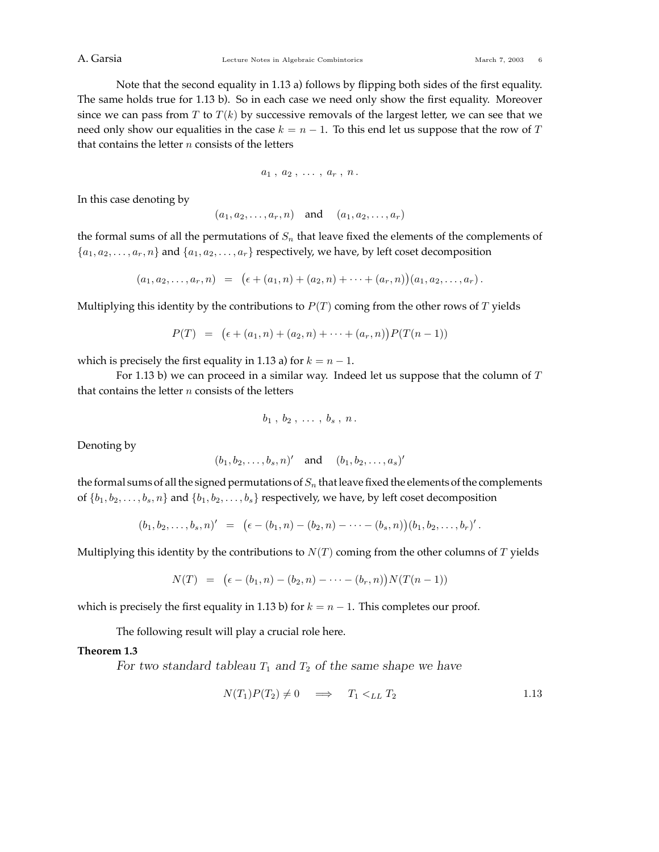Note that the second equality in 1.13 a) follows by flipping both sides of the first equality. The same holds true for 1.13 b). So in each case we need only show the first equality. Moreover since we can pass from  $T$  to  $T(k)$  by successive removals of the largest letter, we can see that we need only show our equalities in the case  $k = n - 1$ . To this end let us suppose that the row of *T* that contains the letter *n* consists of the letters

$$
a_1\ ,\ a_2\ ,\ \dots\ ,\ a_r\ ,\ n\,.
$$

In this case denoting by

$$
(a_1, a_2, \ldots, a_r, n) \quad \text{and} \quad (a_1, a_2, \ldots, a_r)
$$

the formal sums of all the permutations of  $S_n$  that leave fixed the elements of the complements of  ${a_1, a_2, \ldots, a_r, n}$  and  ${a_1, a_2, \ldots, a_r}$  respectively, we have, by left coset decomposition

$$
(a_1, a_2, \ldots, a_r, n) = (\epsilon + (a_1, n) + (a_2, n) + \cdots + (a_r, n))(a_1, a_2, \ldots, a_r).
$$

Multiplying this identity by the contributions to  $P(T)$  coming from the other rows of  $T$  yields

$$
P(T) = (\epsilon + (a_1, n) + (a_2, n) + \cdots + (a_r, n)) P(T(n-1))
$$

which is precisely the first equality in 1.13 a) for  $k = n - 1$ .

For 1.13 b) we can proceed in a similar way. Indeed let us suppose that the column of *T* that contains the letter *n* consists of the letters

$$
b_1, b_2, \ldots, b_s, n.
$$

Denoting by

$$
(b_1, b_2, \ldots, b_s, n)'
$$
 and  $(b_1, b_2, \ldots, a_s)$ 

the formal sums of all the signed permutations of  $S_n$  that leave fixed the elements of the complements of  $\{b_1, b_2, \ldots, b_s, n\}$  and  $\{b_1, b_2, \ldots, b_s\}$  respectively, we have, by left coset decomposition

$$
(b_1, b_2, \ldots, b_s, n)' = (\epsilon - (b_1, n) - (b_2, n) - \cdots - (b_s, n))(b_1, b_2, \ldots, b_r)'.
$$

Multiplying this identity by the contributions to  $N(T)$  coming from the other columns of  $T$  yields

 $N(T) = (\epsilon - (b_1, n) - (b_2, n) - \cdots - (b_r, n))N(T(n-1))$ 

which is precisely the first equality in 1.13 b) for  $k = n - 1$ . This completes our proof.

The following result will play a crucial role here.

## **Theorem 1.3**

*For two standard tableau*  $T_1$  *and*  $T_2$  *of the same shape we have* 

$$
N(T_1)P(T_2) \neq 0 \quad \implies \quad T_1 <_{LL} T_2 \tag{1.13}
$$

 $\overline{\phantom{a}}$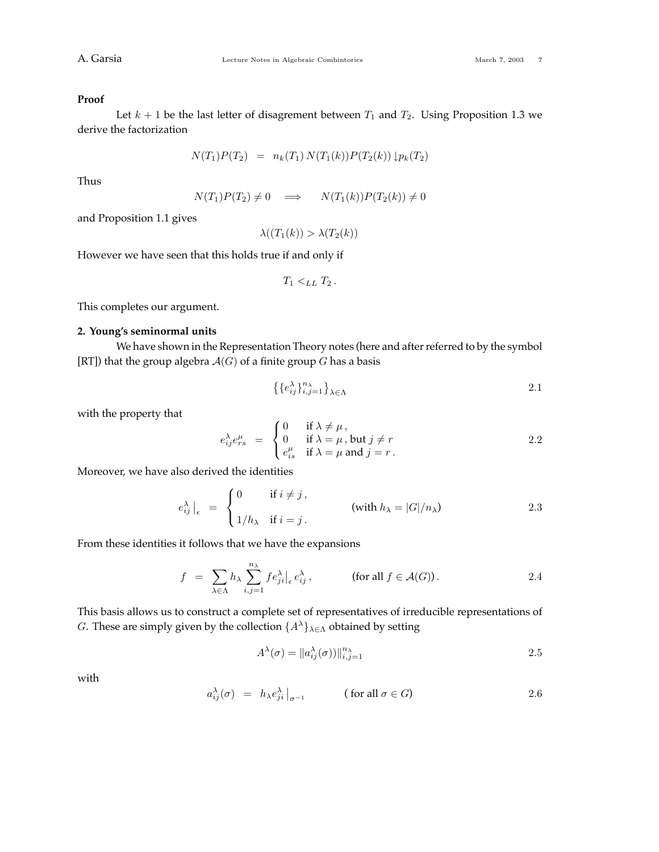#### **Proof**

Let  $k + 1$  be the last letter of disagrement between  $T_1$  and  $T_2$ . Using Proposition 1.3 we derive the factorization

$$
N(T_1)P(T_2) = n_k(T_1) N(T_1(k))P(T_2(k)) \downarrow p_k(T_2)
$$

Thus

$$
N(T_1)P(T_2) \neq 0 \quad \Longrightarrow \quad N(T_1(k))P(T_2(k)) \neq 0
$$

and Proposition 1.1 gives

$$
\lambda((T_1(k)) > \lambda(T_2(k))
$$

However we have seen that this holds true if and only if

$$
T_1 <_{LL} T_2.
$$

This completes our argument.

## **2. Young's seminormal units**

We have shown in the Representation Theory notes (here and after referred to by the symbol [RT]) that the group algebra  $A(G)$  of a finite group *G* has a basis

$$
\left\{\left\{e_{ij}^{\lambda}\right\}_{i,j=1}^{n_{\lambda}}\right\}_{\lambda \in \Lambda}
$$

with the property that

$$
e_{ij}^{\lambda} e_{rs}^{\mu} = \begin{cases} 0 & \text{if } \lambda \neq \mu, \\ 0 & \text{if } \lambda = \mu, \text{ but } j \neq r \\ e_{is}^{\mu} & \text{if } \lambda = \mu \text{ and } j = r. \end{cases}
$$
 2.2

Moreover, we have also derived the identities

$$
e_{ij}^{\lambda}\Big|_{\epsilon} = \begin{cases} 0 & \text{if } i \neq j, \\ 1/h_{\lambda} & \text{if } i = j. \end{cases} \qquad \text{(with } h_{\lambda} = |G|/n_{\lambda}) \qquad (2.3)
$$

From these identities it follows that we have the expansions

$$
f = \sum_{\lambda \in \Lambda} h_{\lambda} \sum_{i,j=1}^{n_{\lambda}} f e_{ji}^{\lambda} \Big|_{\epsilon} e_{ij}^{\lambda}, \qquad \text{(for all } f \in \mathcal{A}(G) \text{)}.
$$

This basis allows us to construct a complete set of representatives of irreducible representations of *G*. These are simply given by the collection {*A*<sup>λ</sup>}<sub>λ∈Λ</sub> obtained by setting

$$
A^{\lambda}(\sigma) = ||a^{\lambda}_{ij}(\sigma)||_{i,j=1}^{n_{\lambda}} \tag{2.5}
$$

with

$$
a_{ij}^{\lambda}(\sigma) = h_{\lambda} e_{ji}^{\lambda} \big|_{\sigma^{-1}} \quad (\text{for all } \sigma \in G) \tag{2.6}
$$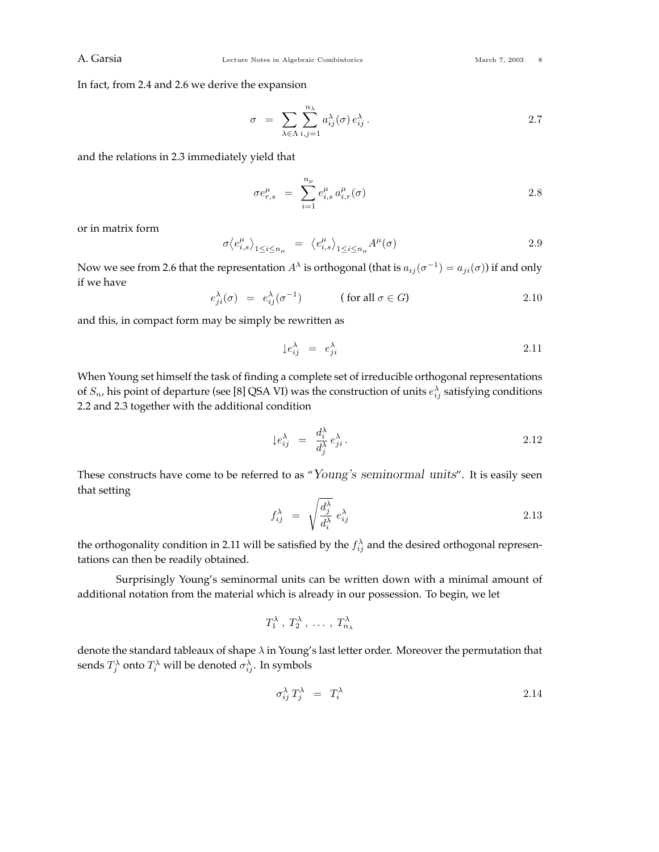In fact, from 2.4 and 2.6 we derive the expansion

$$
\sigma = \sum_{\lambda \in \Lambda} \sum_{i,j=1}^{n_{\lambda}} a_{ij}^{\lambda}(\sigma) e_{ij}^{\lambda}.
$$

and the relations in 2.3 immediately yield that

$$
\sigma e_{r,s}^{\mu} = \sum_{i=1}^{n_{\mu}} e_{i,s}^{\mu} a_{i,r}^{\mu}(\sigma)
$$
 2.8

or in matrix form

$$
\sigma \langle e_{i,s}^{\mu} \rangle_{1 \le i \le n_{\mu}} = \langle e_{i,s}^{\mu} \rangle_{1 \le i \le n_{\mu}} A^{\mu}(\sigma)
$$

Now we see from 2.6 that the representation  $A^{\lambda}$  is orthogonal (that is  $a_{ij}(\sigma^{-1}) = a_{ji}(\sigma)$ ) if and only if we have

$$
e_{ji}^{\lambda}(\sigma) = e_{ij}^{\lambda}(\sigma^{-1}) \qquad (\text{ for all } \sigma \in G)
$$

and this, in compact form may be simply be rewritten as

$$
\downarrow e_{ij}^{\lambda} = e_{ji}^{\lambda} \tag{2.11}
$$

When Young set himself the task of finding a complete set of irreducible orthogonal representations of  $S_n$ , his point of departure (see [8] QSA VI) was the construction of units  $e^{\lambda}_{ij}$  satisfying conditions 2.2 and 2.3 together with the additional condition

$$
\downarrow e_{ij}^{\lambda} = \frac{d_i^{\lambda}}{d_j^{\lambda}} e_{ji}^{\lambda}.
$$

These constructs have come to be referred to as "*Young's seminormal units*". It is easily seen that setting

$$
f_{ij}^{\lambda} = \sqrt{\frac{d_j^{\lambda}}{d_i^{\lambda}}} e_{ij}^{\lambda}
$$

the orthogonality condition in 2.11 will be satisfied by the  $f_{ij}^{\lambda}$  and the desired orthogonal representations can then be readily obtained.

Surprisingly Young's seminormal units can be written down with a minimal amount of additional notation from the material which is already in our possession. To begin, we let

$$
T_1^{\lambda}, T_2^{\lambda}, \ldots, T_{n_{\lambda}}^{\lambda}
$$

denote the standard tableaux of shape *λ* in Young's last letter order. Moreover the permutation that sends  $T_j^{\lambda}$  onto  $T_i^{\lambda}$  will be denoted  $\sigma_{ij}^{\lambda}$ . In symbols

$$
\sigma_{ij}^{\lambda} T_j^{\lambda} = T_i^{\lambda} \tag{2.14}
$$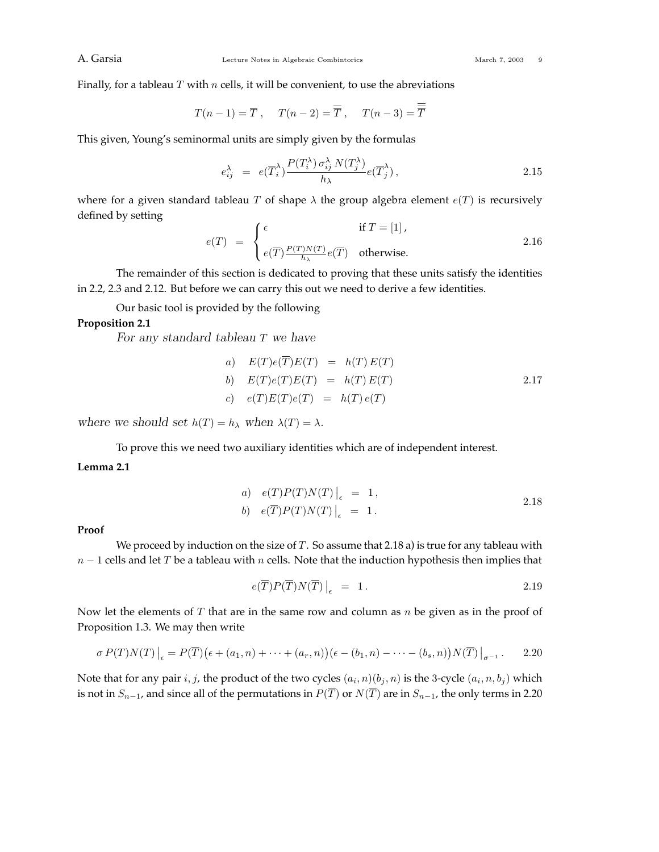Finally, for a tableau *T* with *n* cells, it will be convenient, to use the abreviations

$$
T(n-1) = \overline{T}
$$
,  $T(n-2) = \overline{\overline{T}}$ ,  $T(n-3) = \overline{\overline{T}}$ 

This given, Young's seminormal units are simply given by the formulas

$$
e_{ij}^{\lambda} = e(\overline{T}_{i}^{\lambda}) \frac{P(T_{i}^{\lambda}) \sigma_{ij}^{\lambda} N(T_{j}^{\lambda})}{h_{\lambda}} e(\overline{T}_{j}^{\lambda}), \qquad (2.15)
$$

where for a given standard tableau *T* of shape  $\lambda$  the group algebra element  $e(T)$  is recursively defined by setting

$$
e(T) = \begin{cases} \epsilon & \text{if } T = [1], \\ e(\overline{T}) \frac{P(T)N(T)}{h_{\lambda}} e(\overline{T}) & \text{otherwise.} \end{cases}
$$
 2.16

The remainder of this section is dedicated to proving that these units satisfy the identities in 2.2, 2.3 and 2.12. But before we can carry this out we need to derive a few identities.

Our basic tool is provided by the following

## **Proposition 2.1**

*For any standard tableau T we have*

a) 
$$
E(T)e(T)E(T) = h(T)E(T)
$$
  
\nb) 
$$
E(T)e(T)E(T) = h(T)E(T)
$$
  
\nc) 
$$
e(T)E(T)e(T) = h(T)e(T)
$$
  
\n2.17

*where we should set*  $h(T) = h_{\lambda}$  *when*  $\lambda(T) = \lambda$ *.* 

To prove this we need two auxiliary identities which are of independent interest.

## **Lemma 2.1**

a) 
$$
e(T)P(T)N(T)|_{\epsilon} = 1,
$$
  
\nb)  $e(\overline{T})P(T)N(T)|_{\epsilon} = 1.$  2.18

### **Proof**

We proceed by induction on the size of *T*. So assume that 2.18 a) is true for any tableau with *n* − 1 cells and let *T* be a tableau with *n* cells. Note that the induction hypothesis then implies that

$$
e(\overline{T})P(\overline{T})N(\overline{T})\Big|_{\epsilon} = 1.
$$

Now let the elements of *T* that are in the same row and column as *n* be given as in the proof of Proposition 1.3. We may then write

$$
\sigma P(T)N(T)\big|_{\epsilon} = P(\overline{T})(\epsilon + (a_1, n) + \cdots + (a_r, n))(\epsilon - (b_1, n) - \cdots - (b_s, n))N(\overline{T})\big|_{\sigma^{-1}}.
$$
 2.20

Note that for any pair *i*, *j*, the product of the two cycles  $(a_i, n)(b_j, n)$  is the 3-cycle  $(a_i, n, b_j)$  which is not in  $S_{n-1}$ , and since all of the permutations in  $P(\overline{T})$  or  $N(\overline{T})$  are in  $S_{n-1}$ , the only terms in 2.20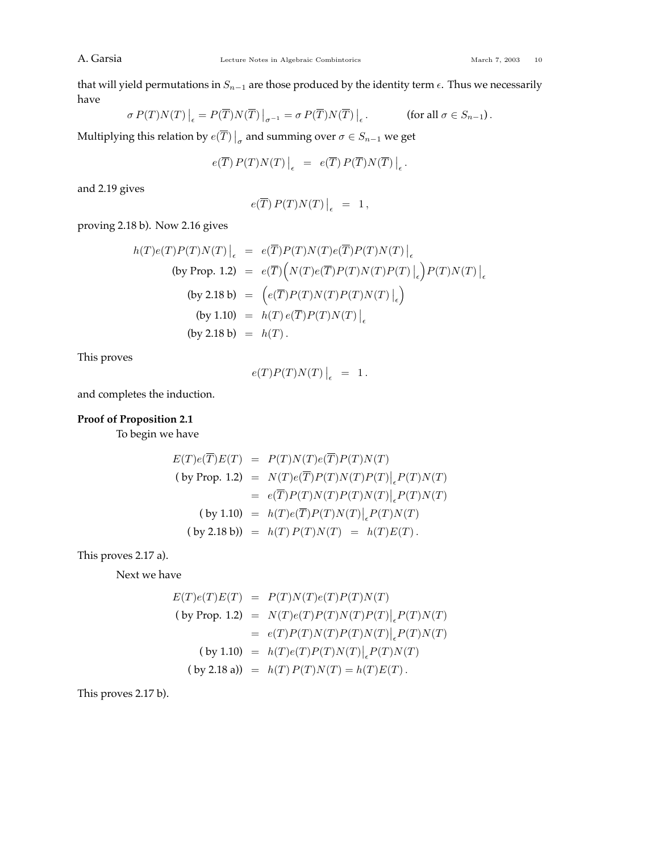that will yield permutations in  $S_{n-1}$  are those produced by the identity term  $\epsilon$ . Thus we necessarily have

$$
\sigma P(T)N(T)\Big|_{\epsilon} = P(\overline{T})N(\overline{T})\Big|_{\sigma^{-1}} = \sigma P(\overline{T})N(\overline{T})\Big|_{\epsilon}.
$$
 (for all  $\sigma \in S_{n-1}$ ).

Multiplying this relation by  $e(\overline{T})\big|_{\sigma}$  and summing over  $\sigma \in S_{n-1}$  we get

$$
e(\overline{T}) P(T) N(T) \Big|_{\epsilon} = e(\overline{T}) P(\overline{T}) N(\overline{T}) \Big|_{\epsilon}.
$$

and 2.19 gives

$$
e(\overline{T}) P(T) N(T) \Big|_{\epsilon} = 1,
$$

proving 2.18 b). Now 2.16 gives

$$
h(T)e(T)P(T)N(T)\Big|_{\epsilon} = e(\overline{T})P(T)N(T)e(\overline{T})P(T)N(T)\Big|_{\epsilon}
$$
  
\n(by Prop. 1.2) =  $e(\overline{T})\Big(N(T)e(\overline{T})P(T)N(T)P(T)\Big|_{\epsilon}\Big)P(T)N(T)\Big|_{\epsilon}$   
\n(by 2.18 b) =  $\Big(e(\overline{T})P(T)N(T)P(T)N(T)\Big|_{\epsilon}\Big)$   
\n(by 1.10) =  $h(T)e(\overline{T})P(T)N(T)\Big|_{\epsilon}$   
\n(by 2.18 b) =  $h(T)$ .

This proves

$$
e(T)P(T)N(T)\Big|_{\epsilon} = 1.
$$

and completes the induction.

## **Proof of Proposition 2.1**

To begin we have

$$
E(T)e(\overline{T})E(T) = P(T)N(T)e(\overline{T})P(T)N(T)
$$
  
\n(by Prop. 1.2) =  $N(T)e(\overline{T})P(T)N(T)P(T)|_eP(T)N(T)$   
\n=  $e(\overline{T})P(T)N(T)P(T)N(T)|_eP(T)N(T)$   
\n(by 1.10) =  $h(T)e(\overline{T})P(T)N(T)|_eP(T)N(T)$   
\n(by 2.18 b)) =  $h(T)P(T)N(T) = h(T)E(T)$ .

This proves 2.17 a).

Next we have

$$
E(T)e(T)E(T) = P(T)N(T)e(T)P(T)N(T)
$$
  
\n(by Prop. 1.2) =  $N(T)e(T)P(T)N(T)P(T)|_eP(T)N(T)$   
\n=  $e(T)P(T)N(T)P(T)N(T)|_eP(T)N(T)$   
\n(by 1.10) =  $h(T)e(T)P(T)N(T)|_eP(T)N(T)$   
\n(by 2.18 a)) =  $h(T)P(T)N(T) = h(T)E(T)$ .

This proves 2.17 b).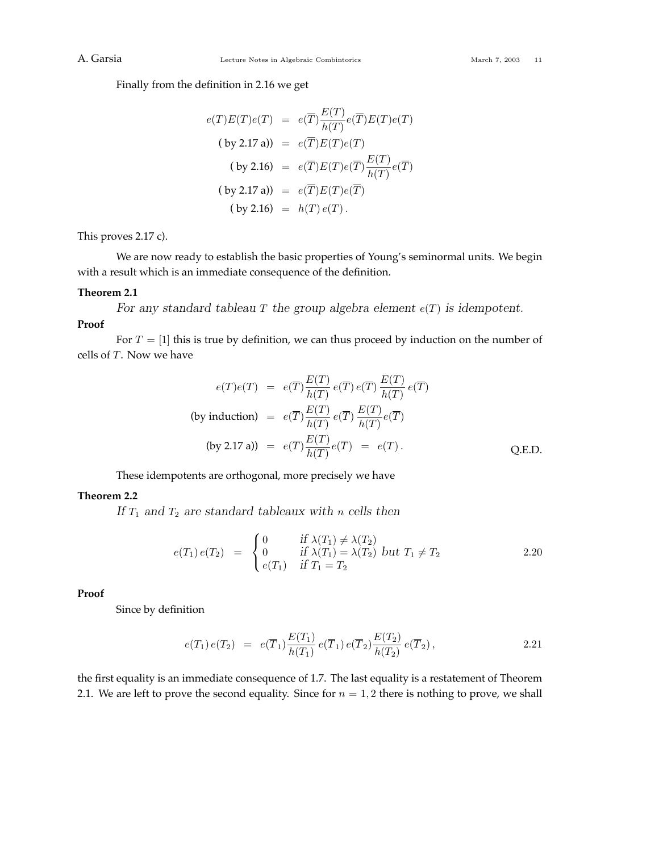Finally from the definition in 2.16 we get

$$
e(T)E(T)e(T) = e(\overline{T})\frac{E(T)}{h(T)}e(\overline{T})E(T)e(T)
$$
  
\n(by 2.17 a)) =  $e(\overline{T})E(T)e(T)$   
\n(by 2.16) =  $e(\overline{T})E(T)e(\overline{T})\frac{E(T)}{h(T)}e(\overline{T})$   
\n(by 2.17 a)) =  $e(\overline{T})E(T)e(\overline{T})$   
\n(by 2.16) =  $h(T)e(T)$ .

This proves 2.17 c).

We are now ready to establish the basic properties of Young's seminormal units. We begin with a result which is an immediate consequence of the definition.

#### **Theorem 2.1**

*For any standard tableau T* the group algebra element  $e(T)$  *is idempotent.* 

## **Proof**

For  $T = [1]$  this is true by definition, we can thus proceed by induction on the number of cells of *T*. Now we have

$$
e(T)e(T) = e(\overline{T}) \frac{E(T)}{h(T)} e(\overline{T}) e(\overline{T}) \frac{E(T)}{h(T)} e(\overline{T})
$$
  
(by induction) =  $e(\overline{T}) \frac{E(T)}{h(T)} e(\overline{T}) \frac{E(T)}{h(T)} e(\overline{T})$   
(by 2.17 a)) =  $e(\overline{T}) \frac{E(T)}{h(T)} e(\overline{T}) = e(T)$ . Q.E.D.

These idempotents are orthogonal, more precisely we have

## **Theorem 2.2**

*If T*<sup>1</sup> *and T*<sup>2</sup> *are standard tableaux with n cells then*

$$
e(T_1) e(T_2) = \begin{cases} 0 & \text{if } \lambda(T_1) \neq \lambda(T_2) \\ 0 & \text{if } \lambda(T_1) = \lambda(T_2) \text{ but } T_1 \neq T_2 \\ e(T_1) & \text{if } T_1 = T_2 \end{cases}
$$
 2.20

**Proof**

Since by definition

$$
e(T_1) e(T_2) = e(\overline{T}_1) \frac{E(T_1)}{h(T_1)} e(\overline{T}_1) e(\overline{T}_2) \frac{E(T_2)}{h(T_2)} e(\overline{T}_2),
$$
 (2.21)

the first equality is an immediate consequence of 1.7. The last equality is a restatement of Theorem 2.1. We are left to prove the second equality. Since for  $n = 1, 2$  there is nothing to prove, we shall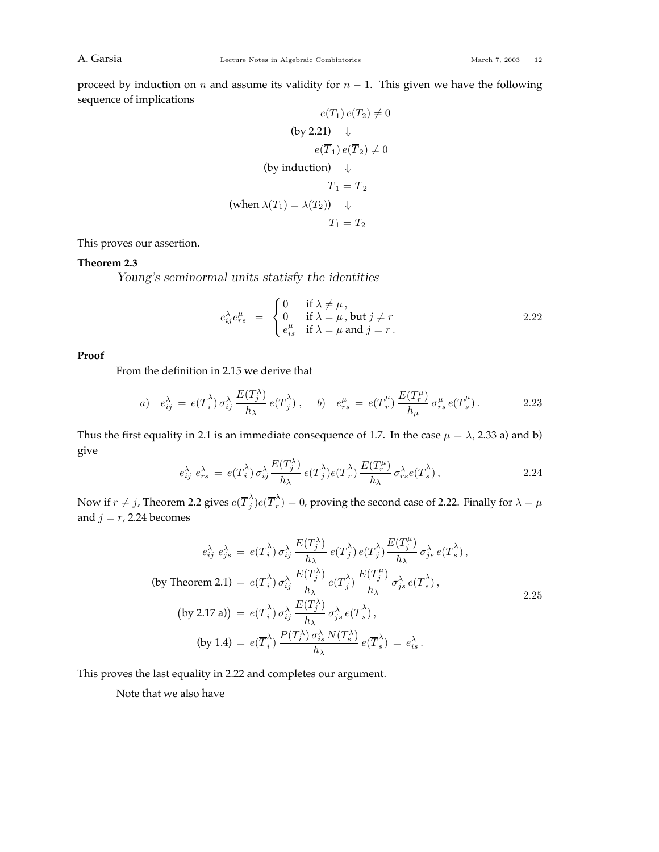proceed by induction on *n* and assume its validity for  $n - 1$ . This given we have the following sequence of implications

$$
e(T_1) e(T_2) \neq 0
$$
  
\n(by 2.21)  $\Downarrow$   
\n
$$
e(\overline{T}_1) e(\overline{T}_2) \neq 0
$$
  
\n(by induction)  $\Downarrow$   
\n $\overline{T}_1 = \overline{T}_2$   
\n(when  $\lambda(T_1) = \lambda(T_2)$ )  $\Downarrow$   
\n $T_1 = T_2$ 

This proves our assertion.

## **Theorem 2.3**

*Young's seminormal units statisfy the identities*

$$
e_{ij}^{\lambda}e_{rs}^{\mu} = \begin{cases} 0 & \text{if } \lambda \neq \mu, \\ 0 & \text{if } \lambda = \mu, \text{ but } j \neq r \\ e_{is}^{\mu} & \text{if } \lambda = \mu \text{ and } j = r. \end{cases}
$$
 2.22

## **Proof**

From the definition in 2.15 we derive that

a) 
$$
e_{ij}^{\lambda} = e(\overline{T}_{i}^{\lambda}) \sigma_{ij}^{\lambda} \frac{E(T_{j}^{\lambda})}{h_{\lambda}} e(\overline{T}_{j}^{\lambda}), \quad b) \quad e_{rs}^{\mu} = e(\overline{T}_{r}^{\mu}) \frac{E(T_{r}^{\mu})}{h_{\mu}} \sigma_{rs}^{\mu} e(\overline{T}_{s}^{\mu}).
$$

Thus the first equality in 2.1 is an immediate consequence of 1.7. In the case  $\mu = \lambda$ , 2.33 a) and b) give

$$
e_{ij}^{\lambda} e_{rs}^{\lambda} = e(\overline{T}_{i}^{\lambda}) \sigma_{ij}^{\lambda} \frac{E(T_{j}^{\lambda})}{h_{\lambda}} e(\overline{T}_{j}^{\lambda}) e(\overline{T}_{r}^{\lambda}) \frac{E(T_{r}^{\mu})}{h_{\lambda}} \sigma_{rs}^{\lambda} e(\overline{T}_{s}^{\lambda}), \qquad (2.24)
$$

Now if  $r \neq j$ , Theorem 2.2 gives  $e(\overline{T}_j^\lambda)e(\overline{T}_r^\lambda)=0$ , proving the second case of 2.22. Finally for  $\lambda=\mu$ and  $j = r$ , 2.24 becomes

$$
e_{ij}^{\lambda} e_{js}^{\lambda} = e(\overline{T}_{i}^{\lambda}) \sigma_{ij}^{\lambda} \frac{E(T_{j}^{\lambda})}{h_{\lambda}} e(\overline{T}_{j}^{\lambda}) e(\overline{T}_{j}^{\lambda}) \frac{E(T_{j}^{\mu})}{h_{\lambda}} \sigma_{js}^{\lambda} e(\overline{T}_{s}^{\lambda}),
$$
  
\n(by Theorem 2.1) =  $e(\overline{T}_{i}^{\lambda}) \sigma_{ij}^{\lambda} \frac{E(T_{j}^{\lambda})}{h_{\lambda}} e(\overline{T}_{j}^{\lambda}) \frac{E(T_{j}^{\mu})}{h_{\lambda}} \sigma_{js}^{\lambda} e(\overline{T}_{s}^{\lambda}),$   
\n(by 2.17 a)) =  $e(\overline{T}_{i}^{\lambda}) \sigma_{ij}^{\lambda} \frac{E(T_{j}^{\lambda})}{h_{\lambda}} \sigma_{js}^{\lambda} e(\overline{T}_{s}^{\lambda}),$   
\n(by 1.4) =  $e(\overline{T}_{i}^{\lambda}) \frac{P(T_{i}^{\lambda}) \sigma_{is}^{\lambda} N(T_{s}^{\lambda})}{h_{\lambda}} e(\overline{T}_{s}^{\lambda}) = e_{is}^{\lambda}.$ 

This proves the last equality in 2.22 and completes our argument.

Note that we also have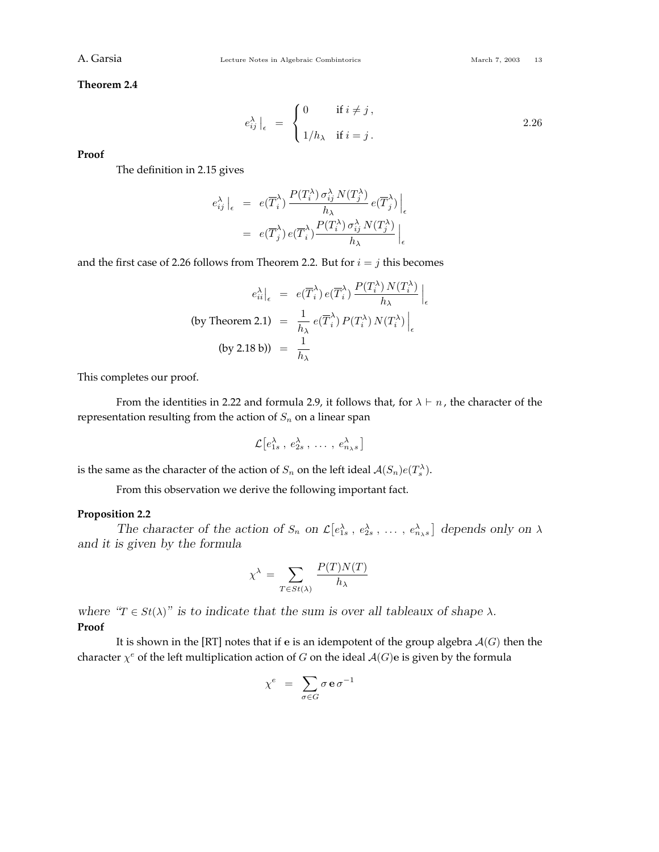**Theorem 2.4**

$$
e_{ij}^{\lambda} \Big|_{\epsilon} = \begin{cases} 0 & \text{if } i \neq j, \\ 1/h_{\lambda} & \text{if } i = j. \end{cases}
$$
 2.26

**Proof**

The definition in 2.15 gives

$$
e_{ij}^{\lambda} \Big|_{\epsilon} = e(\overline{T}_{i}^{\lambda}) \frac{P(T_{i}^{\lambda}) \sigma_{ij}^{\lambda} N(T_{j}^{\lambda})}{h_{\lambda}} e(\overline{T}_{j}^{\lambda}) \Big|_{\epsilon}
$$
  

$$
= e(\overline{T}_{j}^{\lambda}) e(\overline{T}_{i}^{\lambda}) \frac{P(T_{i}^{\lambda}) \sigma_{ij}^{\lambda} N(T_{j}^{\lambda})}{h_{\lambda}} \Big|_{\epsilon}
$$

and the first case of 2.26 follows from Theorem 2.2. But for  $i = j$  this becomes

$$
e_{ii}^{\lambda}\Big|_{\epsilon} = e(\overline{T}_{i}^{\lambda}) e(\overline{T}_{i}^{\lambda}) \frac{P(T_{i}^{\lambda}) N(T_{i}^{\lambda})}{h_{\lambda}}\Big|_{\epsilon}
$$
  
(by Theorem 2.1) =  $\frac{1}{h_{\lambda}} e(\overline{T}_{i}^{\lambda}) P(T_{i}^{\lambda}) N(T_{i}^{\lambda})\Big|_{\epsilon}$   
(by 2.18 b)) =  $\frac{1}{h_{\lambda}}$ 

This completes our proof.

From the identities in 2.22 and formula 2.9, it follows that, for  $\lambda \vdash n$ , the character of the representation resulting from the action of  $S_n$  on a linear span

$$
\mathcal{L}\big[e_{1s}^{\lambda},\,e_{2s}^{\lambda},\,\ldots\,,\,e_{n_{\lambda}s}^{\lambda}\big]
$$

is the same as the character of the action of  $S_n$  on the left ideal  $\mathcal{A}(S_n)e(T_s^{\lambda}).$ 

From this observation we derive the following important fact.

## **Proposition 2.2**

*The character of the action of*  $S_n$  *on*  $\mathcal{L}[e_{1s}^{\lambda}, e_{2s}^{\lambda}, \dots, e_{n\lambda s}^{\lambda}]$  depends only on  $\lambda$ *and it is given by the formula*

$$
\chi^{\lambda} = \sum_{T \in St(\lambda)} \frac{P(T)N(T)}{h_{\lambda}}
$$

*where*  $\mathscr{T} \in St(\lambda)$  *is to indicate that the sum is over all tableaux of shape*  $\lambda$ *.* **Proof**

It is shown in the [RT] notes that if **e** is an idempotent of the group algebra A(*G*) then the character  $\chi^e$  of the left multiplication action of *G* on the ideal  $A(G)$ e is given by the formula

$$
\chi^e \;\; = \;\; \sum_{\sigma \in G} \sigma \, \mathbf{e} \, \sigma^{-1}
$$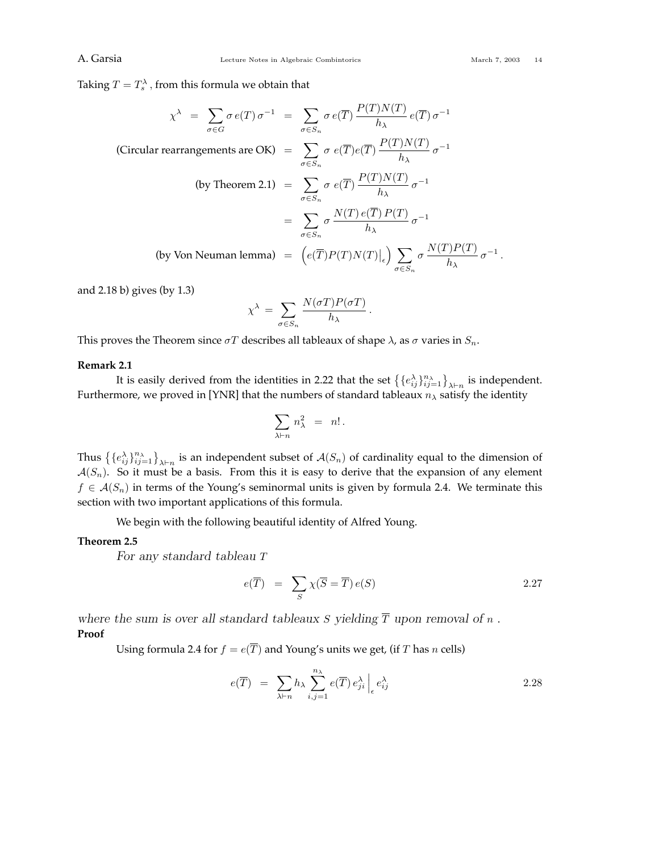Taking  $T=T_s^{\lambda}$  , from this formula we obtain that

$$
\chi^{\lambda} = \sum_{\sigma \in G} \sigma e(T) \sigma^{-1} = \sum_{\sigma \in S_n} \sigma e(\overline{T}) \frac{P(T)N(T)}{h_{\lambda}} e(\overline{T}) \sigma^{-1}
$$
  
(Circular rearrangements are OK) = 
$$
\sum_{\sigma \in S_n} \sigma e(\overline{T}) e(\overline{T}) \frac{P(T)N(T)}{h_{\lambda}} \sigma^{-1}
$$
  
(by Theorem 2.1) = 
$$
\sum_{\sigma \in S_n} \sigma e(\overline{T}) \frac{P(T)N(T)}{h_{\lambda}} \sigma^{-1}
$$

$$
= \sum_{\sigma \in S_n} \sigma \frac{N(T) e(\overline{T}) P(T)}{h_{\lambda}} \sigma^{-1}
$$
  
(by Von Neuman lemma) = 
$$
\left(e(\overline{T}) P(T) N(T)\Big|_{\epsilon}\right) \sum_{\sigma \in S_n} \sigma \frac{N(T) P(T)}{h_{\lambda}} \sigma^{-1}.
$$

and 2.18 b) gives (by 1.3)

$$
\chi^{\lambda} = \sum_{\sigma \in S_n} \frac{N(\sigma T) P(\sigma T)}{h_{\lambda}}.
$$

This proves the Theorem since  $\sigma T$  describes all tableaux of shape  $\lambda$ , as  $\sigma$  varies in  $S_n$ .

#### **Remark 2.1**

It is easily derived from the identities in 2.22 that the set  $\{ \{e_i^{\lambda}\}_{i,j=1}^{n_{\lambda}} \}_{\lambda \vdash n}$  is independent. Furthermore, we proved in [YNR] that the numbers of standard tableaux *n<sup>λ</sup>* satisfy the identity

$$
\sum_{\lambda \vdash n} \, n_\lambda^2 \;\; = \;\; n! \, .
$$

Thus  $\{ \{e_{ij}^{\lambda}\}_{i,j=1}^{n_{\lambda}} \}$  is an independent subset of  $\mathcal{A}(S_n)$  of cardinality equal to the dimension of  $A(S_n)$ . So it must be a basis. From this it is easy to derive that the expansion of any element *f* ∈  $A(S_n)$  in terms of the Young's seminormal units is given by formula 2.4. We terminate this section with two important applications of this formula.

We begin with the following beautiful identity of Alfred Young.

#### **Theorem 2.5**

*For any standard tableau T*

$$
e(\overline{T}) = \sum_{S} \chi(\overline{S} = \overline{T}) e(S) \qquad (2.27)
$$

where the sum is over all standard tableaux *S* yielding  $\overline{T}$  upon removal of *n*. **Proof**

Using formula 2.4 for  $f = e(\overline{T})$  and Young's units we get, (if *T* has *n* cells)

$$
e(\overline{T}) = \sum_{\lambda \vdash n} h_{\lambda} \sum_{i,j=1}^{n_{\lambda}} e(\overline{T}) e_{ji}^{\lambda} \Big|_{\epsilon} e_{ij}^{\lambda} \qquad (2.28)
$$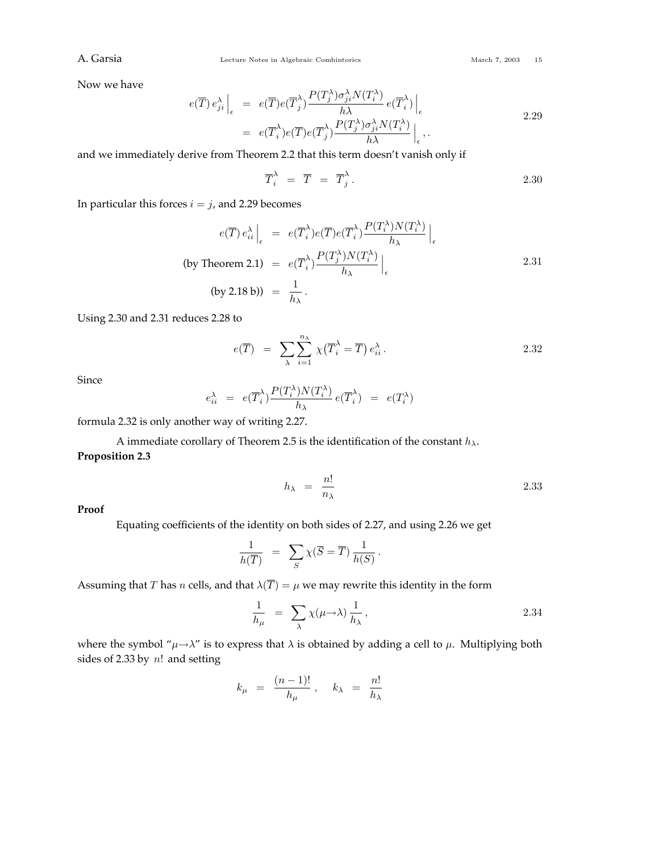A. Garsia Combine Lecture Notes in Algebraic Combintorics March 7, 2003 15

Now we have

$$
e(\overline{T}) e_{ji}^{\lambda} \Big|_{\epsilon} = e(\overline{T}) e(\overline{T}_{j}^{\lambda}) \frac{P(T_{j}^{\lambda}) \sigma_{ji}^{\lambda} N(T_{i}^{\lambda})}{h \lambda} e(\overline{T}_{i}^{\lambda}) \Big|_{\epsilon}
$$
  
=  $e(\overline{T}_{i}^{\lambda}) e(\overline{T}) e(\overline{T}_{j}^{\lambda}) \frac{P(T_{j}^{\lambda}) \sigma_{ji}^{\lambda} N(T_{i}^{\lambda})}{h \lambda} \Big|_{\epsilon}$ , (2.29)

and we immediately derive from Theorem 2.2 that this term doesn't vanish only if

$$
\overline{T}_i^{\lambda} = \overline{T} = \overline{T}_j^{\lambda}.
$$
 (2.30)

In particular this forces  $i = j$ , and 2.29 becomes

$$
e(\overline{T}) e_{ii}^{\lambda} \Big|_{\epsilon} = e(\overline{T}_{i}^{\lambda}) e(\overline{T}) e(\overline{T}_{i}^{\lambda}) \frac{P(T_{i}^{\lambda}) N(T_{i}^{\lambda})}{h_{\lambda}} \Big|_{\epsilon}
$$
  
(by Theorem 2.1) =  $e(\overline{T}_{i}^{\lambda}) \frac{P(T_{j}^{\lambda}) N(T_{i}^{\lambda})}{h_{\lambda}} \Big|_{\epsilon}$   
(by 2.18 b)) =  $\frac{1}{h_{\lambda}}$ .

Using 2.30 and 2.31 reduces 2.28 to

$$
e(\overline{T}) = \sum_{\lambda} \sum_{i=1}^{n_{\lambda}} \chi(\overline{T}_{i}^{\lambda} = \overline{T}) e_{ii}^{\lambda}.
$$

Since

$$
e_{ii}^{\lambda} = e(\overline{T}_{i}^{\lambda}) \frac{P(T_{i}^{\lambda}) N(T_{i}^{\lambda})}{h_{\lambda}} e(\overline{T}_{i}^{\lambda}) = e(T_{i}^{\lambda})
$$

formula 2.32 is only another way of writing 2.27.

A immediate corollary of Theorem 2.5 is the identification of the constant *hλ*. **Proposition 2.3**

$$
h_{\lambda} = \frac{n!}{n_{\lambda}} \tag{2.33}
$$

**Proof**

Equating coefficients of the identity on both sides of 2.27, and using 2.26 we get

$$
\frac{1}{h(\overline{T})} = \sum_{S} \chi(\overline{S} = \overline{T}) \frac{1}{h(S)}.
$$

Assuming that *T* has *n* cells, and that  $\lambda(\overline{T}) = \mu$  we may rewrite this identity in the form

$$
\frac{1}{h_{\mu}} = \sum_{\lambda} \chi(\mu \to \lambda) \frac{1}{h_{\lambda}}, \qquad (2.34)
$$

where the symbol " $\mu \rightarrow \lambda$ " is to express that  $\lambda$  is obtained by adding a cell to  $\mu$ . Multiplying both sides of 2.33 by *n*! and setting

$$
k_{\mu} = \frac{(n-1)!}{h_{\mu}} , \quad k_{\lambda} = \frac{n!}{h_{\lambda}}
$$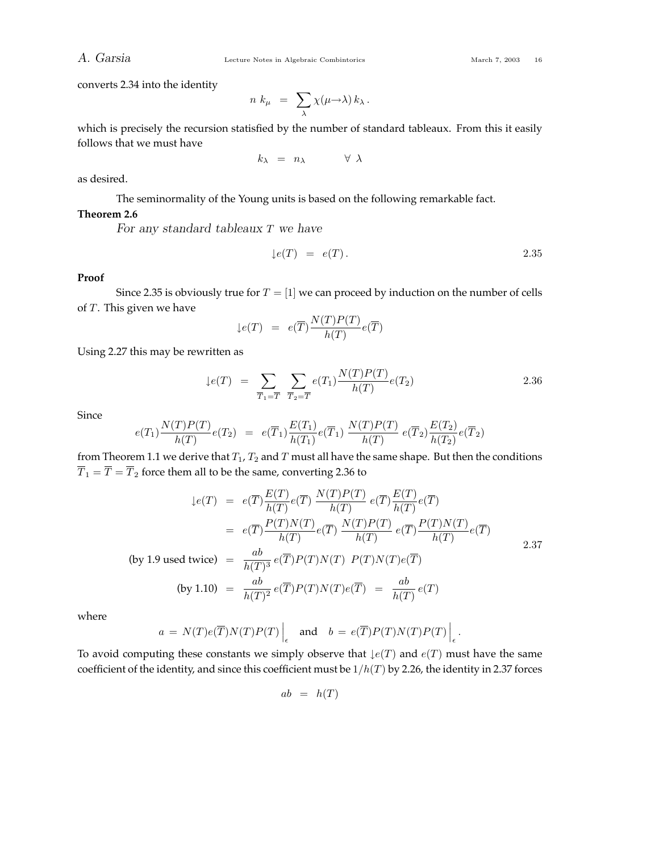converts 2.34 into the identity

$$
n k_{\mu} = \sum_{\lambda} \chi(\mu \rightarrow \lambda) k_{\lambda}.
$$

which is precisely the recursion statisfied by the number of standard tableaux. From this it easily follows that we must have

$$
k_{\lambda} = n_{\lambda} \qquad \forall \lambda
$$

as desired.

The seminormality of the Young units is based on the following remarkable fact.

## **Theorem 2.6**

*For any standard tableaux T we have*

$$
\downarrow e(T) = e(T). \qquad \qquad 2.35
$$

## **Proof**

Since 2.35 is obviously true for  $T = [1]$  we can proceed by induction on the number of cells of *T*. This given we have

$$
\downarrow e(T) = e(\overline{T}) \frac{N(T)P(T)}{h(T)} e(\overline{T})
$$

Using 2.27 this may be rewritten as

$$
\downarrow e(T) = \sum_{\overline{T}_1 = \overline{T}} \sum_{\overline{T}_2 = \overline{T}} e(T_1) \frac{N(T)P(T)}{h(T)} e(T_2)
$$
 2.36

**Since** 

$$
e(T_1)\frac{N(T)P(T)}{h(T)}e(T_2) = e(\overline{T}_1)\frac{E(T_1)}{h(T_1)}e(\overline{T}_1)\frac{N(T)P(T)}{h(T)}e(\overline{T}_2)\frac{E(T_2)}{h(T_2)}e(\overline{T}_2)
$$

from Theorem 1.1 we derive that  $T_1$ ,  $T_2$  and  $T$  must all have the same shape. But then the conditions  $\overline{T}_1 = \overline{T} = \overline{T}_2$  force them all to be the same, converting 2.36 to

$$
\begin{aligned}\n\downarrow e(T) &= e(\overline{T}) \frac{E(T)}{h(T)} e(\overline{T}) \frac{N(T)P(T)}{h(T)} e(\overline{T}) \frac{E(T)}{h(T)} e(\overline{T}) \\
&= e(\overline{T}) \frac{P(T)N(T)}{h(T)} e(\overline{T}) \frac{N(T)P(T)}{h(T)} e(\overline{T}) \frac{P(T)N(T)}{h(T)} e(\overline{T}) \\
\text{(by 1.9 used twice)} &= \frac{ab}{h(T)^3} e(\overline{T}) P(T) N(T) P(T) N(T) e(\overline{T}) \\
\text{(by 1.10)} &= \frac{ab}{h(T)^2} e(\overline{T}) P(T) N(T) e(\overline{T}) = \frac{ab}{h(T)} e(T)\n\end{aligned}
$$

where

$$
a = N(T)e(\overline{T})N(T)P(T)\Big|_{\epsilon}
$$
 and  $b = e(\overline{T})P(T)N(T)P(T)\Big|_{\epsilon}$ .

To avoid computing these constants we simply observe that  $\text{L}(F)$  and  $e(T)$  must have the same coefficient of the identity, and since this coefficient must be 1*/h*(*T*) by 2.26, the identity in 2.37 forces

$$
ab = h(T)
$$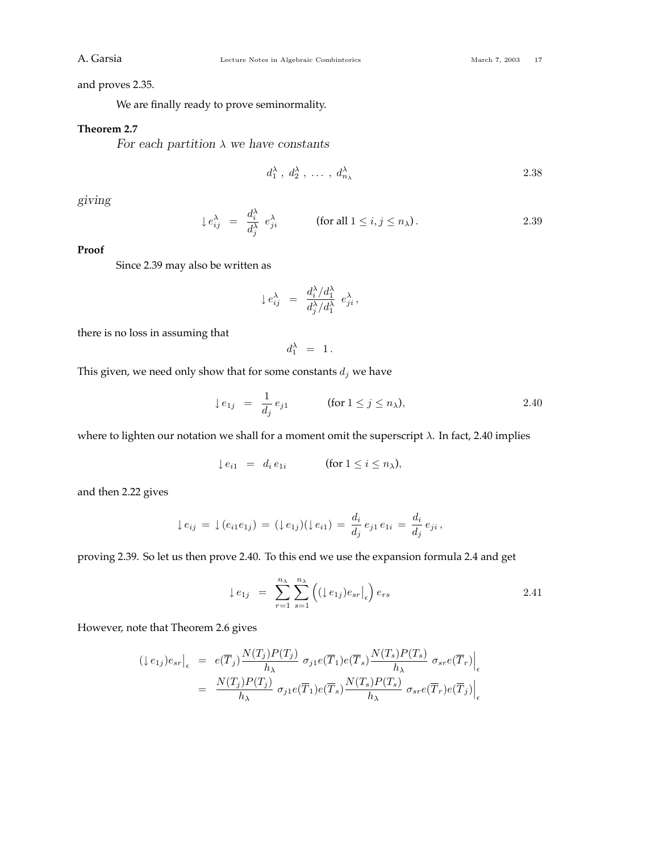and proves 2.35.

We are finally ready to prove seminormality.

## **Theorem 2.7**

*For each partition λ we have constants*

$$
d_1^{\lambda}, d_2^{\lambda}, \ldots, d_{n_{\lambda}}^{\lambda}
$$
 2.38

*giving*

$$
\downarrow e_{ij}^{\lambda} = \frac{d_i^{\lambda}}{d_j^{\lambda}} e_{ji}^{\lambda} \qquad \text{(for all } 1 \le i, j \le n_{\lambda}\text{)}.
$$

#### **Proof**

Since 2.39 may also be written as

$$
\downarrow e_{ij}^{\lambda} = \frac{d_i^{\lambda}/d_1^{\lambda}}{d_j^{\lambda}/d_1^{\lambda}} e_{ji}^{\lambda},
$$

there is no loss in assuming that

$$
d_1^{\lambda} ~=~ 1{\,}.
$$

This given, we need only show that for some constants  $d_j$  we have

$$
\downarrow e_{1j} = \frac{1}{d_j} e_{j1} \quad \text{(for } 1 \le j \le n_\lambda), \tag{2.40}
$$

where to lighten our notation we shall for a moment omit the superscript *λ*. In fact, 2.40 implies

$$
\downarrow e_{i1} = d_i e_{1i} \qquad (\text{for } 1 \le i \le n_\lambda),
$$

and then 2.22 gives

$$
\downarrow e_{ij} = \downarrow (e_{i1}e_{1j}) = (\downarrow e_{1j})(\downarrow e_{i1}) = \frac{d_i}{d_j}e_{j1}e_{1i} = \frac{d_i}{d_j}e_{ji},
$$

proving 2.39. So let us then prove 2.40. To this end we use the expansion formula 2.4 and get

$$
\downarrow e_{1j} = \sum_{r=1}^{n_{\lambda}} \sum_{s=1}^{n_{\lambda}} \left( (\downarrow e_{1j}) e_{sr} \vert_{\epsilon} \right) e_{rs}
$$

However, note that Theorem 2.6 gives

$$
\begin{split} (\downarrow e_{1j}) e_{sr} \big|_{\epsilon} &= e(\overline{T}_j) \frac{N(T_j)P(T_j)}{h_{\lambda}} \sigma_{j1} e(\overline{T}_1) e(\overline{T}_s) \frac{N(T_s)P(T_s)}{h_{\lambda}} \sigma_{sr} e(\overline{T}_r) \big|_{\epsilon} \\ &= \frac{N(T_j)P(T_j)}{h_{\lambda}} \sigma_{j1} e(\overline{T}_1) e(\overline{T}_s) \frac{N(T_s)P(T_s)}{h_{\lambda}} \sigma_{sr} e(\overline{T}_r) e(\overline{T}_j) \big|_{\epsilon} \end{split}
$$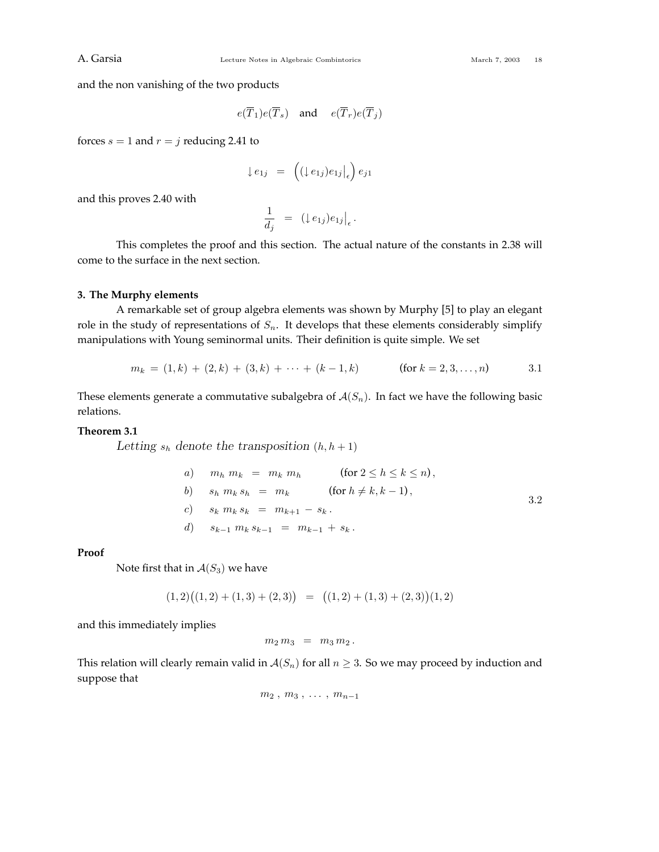and the non vanishing of the two products

$$
e(\overline{T}_1)e(\overline{T}_s)
$$
 and  $e(\overline{T}_r)e(\overline{T}_j)$ 

forces  $s = 1$  and  $r = j$  reducing 2.41 to

$$
\downarrow e_{1j} = \left( (\downarrow e_{1j}) e_{1j} \middle|_{\epsilon} \right) e_{j1}
$$

and this proves 2.40 with

$$
\frac{1}{d_j} = (l \t e_{1j}) e_{1j} \big|_{\epsilon}.
$$

This completes the proof and this section. The actual nature of the constants in 2.38 will come to the surface in the next section.

## **3. The Murphy elements**

A remarkable set of group algebra elements was shown by Murphy [5] to play an elegant role in the study of representations of *Sn*. It develops that these elements considerably simplify manipulations with Young seminormal units. Their definition is quite simple. We set

$$
m_k = (1, k) + (2, k) + (3, k) + \dots + (k - 1, k) \quad \text{(for } k = 2, 3, \dots, n \quad 3.1
$$

These elements generate a commutative subalgebra of  $A(S_n)$ . In fact we have the following basic relations.

## **Theorem 3.1**

Letting  $s_h$  denote the transposition  $(h, h + 1)$ 

| $a$ ) $m_h m_k = m_k m_h$                     | (for $2 \le h \le k \le n$ ), |
|-----------------------------------------------|-------------------------------|
| $b$ ) $s_h m_k s_h = m_k$                     | (for $h \ne k, k-1$ ),        |
| $c$ ) $s_k m_k s_k = m_{k+1} - s_k$ .         |                               |
| $d$ ) $s_{k-1} m_k s_{k-1} = m_{k-1} + s_k$ . |                               |

### **Proof**

Note first that in  $A(S_3)$  we have

$$
(1,2)((1,2)+(1,3)+(2,3)) = ((1,2)+(1,3)+(2,3))(1,2)
$$

and this immediately implies

$$
m_2\,m_3\,\,=\,\,m_3\,m_2\,.
$$

This relation will clearly remain valid in  $A(S_n)$  for all  $n \geq 3$ . So we may proceed by induction and suppose that

$$
m_2, m_3, \ldots, m_{n-1}
$$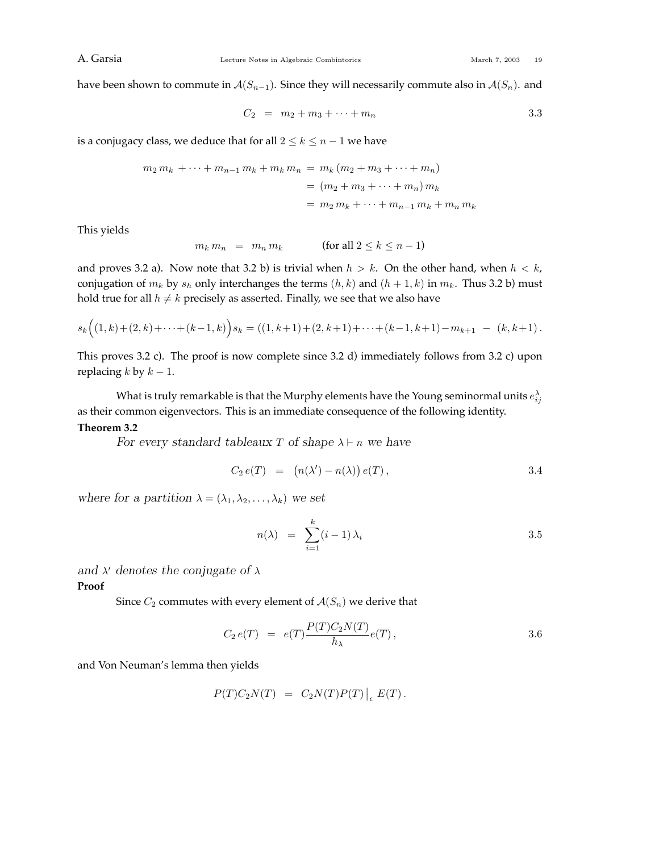have been shown to commute in  $A(S_{n-1})$ . Since they will necessarily commute also in  $A(S_n)$ . and

$$
C_2 = m_2 + m_3 + \dots + m_n \tag{3.3}
$$

is a conjugacy class, we deduce that for all  $2 \leq k \leq n-1$  we have

$$
m_2 m_k + \dots + m_{n-1} m_k + m_k m_n = m_k (m_2 + m_3 + \dots + m_n)
$$
  
=  $(m_2 + m_3 + \dots + m_n) m_k$   
=  $m_2 m_k + \dots + m_{n-1} m_k + m_n m_k$ 

This yields

$$
m_k m_n = m_n m_k \qquad \text{(for all } 2 \le k \le n-1\text{)}
$$

and proves 3.2 a). Now note that 3.2 b) is trivial when  $h > k$ . On the other hand, when  $h < k$ , conjugation of  $m_k$  by  $s_h$  only interchanges the terms  $(h, k)$  and  $(h + 1, k)$  in  $m_k$ . Thus 3.2 b) must hold true for all  $h \neq k$  precisely as asserted. Finally, we see that we also have

$$
s_k((1,k)+(2,k)+\cdots+(k-1,k))s_k=((1,k+1)+(2,k+1)+\cdots+(k-1,k+1)-m_{k+1}-(k,k+1).
$$

This proves 3.2 c). The proof is now complete since 3.2 d) immediately follows from 3.2 c) upon replacing  $k$  by  $k - 1$ .

What is truly remarkable is that the Murphy elements have the Young seminormal units  $e_{ij}^{\lambda}$ as their common eigenvectors. This is an immediate consequence of the following identity. **Theorem 3.2**

*For every standard tableaux T of shape*  $\lambda \vdash n$  *we have* 

$$
C_2 e(T) = (n(\lambda') - n(\lambda)) e(T), \qquad \qquad 3.4
$$

*where for a partition*  $\lambda = (\lambda_1, \lambda_2, \dots, \lambda_k)$  *we set* 

$$
n(\lambda) = \sum_{i=1}^{k} (i-1) \lambda_i
$$
 3.5

*and λ denotes the conjugate of λ*

**Proof**

Since  $C_2$  commutes with every element of  $A(S_n)$  we derive that

$$
C_2 e(T) = e(\overline{T}) \frac{P(T) C_2 N(T)}{h_{\lambda}} e(\overline{T}), \qquad 3.6
$$

and Von Neuman's lemma then yields

$$
P(T)C_2N(T) = C_2N(T)P(T)|_{\epsilon} E(T).
$$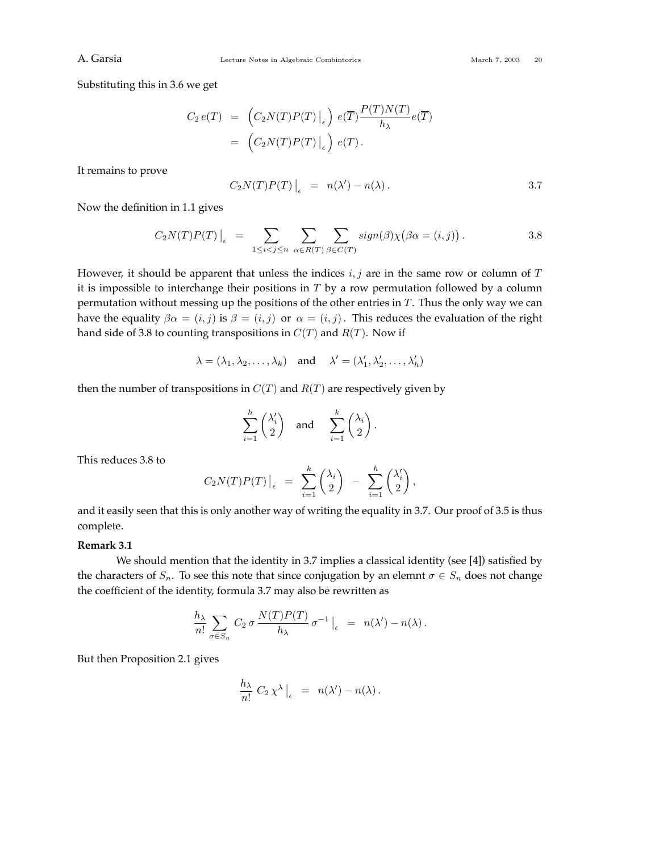Substituting this in 3.6 we get

$$
C_2 e(T) = (C_2 N(T) P(T) \Big|_{\epsilon} e)^{n} e(T) \frac{P(T) N(T)}{h_{\lambda}} e(T)
$$
  
= (C\_2 N(T) P(T) \Big|\_{\epsilon} e)^{n} e(T).

It remains to prove

$$
C_2N(T)P(T)\Big|_{\epsilon} = n(\lambda') - n(\lambda).
$$
 3.7

Now the definition in 1.1 gives

$$
C_2N(T)P(T)\Big|_{\epsilon} = \sum_{1 \leq i < j \leq n} \sum_{\alpha \in R(T)} \sum_{\beta \in C(T)} sign(\beta) \chi(\beta \alpha = (i, j)). \tag{3.8}
$$

However, it should be apparent that unless the indices *i, j* are in the same row or column of *T* it is impossible to interchange their positions in *T* by a row permutation followed by a column permutation without messing up the positions of the other entries in *T*. Thus the only way we can have the equality  $\beta \alpha = (i, j)$  is  $\beta = (i, j)$  or  $\alpha = (i, j)$ . This reduces the evaluation of the right hand side of 3.8 to counting transpositions in  $C(T)$  and  $R(T)$ . Now if

$$
\lambda = (\lambda_1, \lambda_2, \dots, \lambda_k)
$$
 and  $\lambda' = (\lambda'_1, \lambda'_2, \dots, \lambda'_h)$ 

then the number of transpositions in  $C(T)$  and  $R(T)$  are respectively given by

$$
\sum_{i=1}^h \binom{\lambda_i'}{2} \quad \text{and} \quad \sum_{i=1}^k \binom{\lambda_i}{2} \, .
$$

This reduces 3.8 to

$$
C_2N(T)P(T)\Big|_{\epsilon} = \sum_{i=1}^k \binom{\lambda_i}{2} - \sum_{i=1}^h \binom{\lambda'_i}{2},
$$

and it easily seen that this is only another way of writing the equality in 3.7. Our proof of 3.5 is thus complete.

## **Remark 3.1**

We should mention that the identity in 3.7 implies a classical identity (see [4]) satisfied by the characters of  $S_n$ . To see this note that since conjugation by an elemnt  $\sigma \in S_n$  does not change the coefficient of the identity, formula 3.7 may also be rewritten as

$$
\frac{h_{\lambda}}{n!} \sum_{\sigma \in S_n} C_2 \sigma \frac{N(T)P(T)}{h_{\lambda}} \sigma^{-1} \Big|_{\epsilon} = n(\lambda') - n(\lambda).
$$

But then Proposition 2.1 gives

$$
\frac{h_{\lambda}}{n!} C_2 \chi^{\lambda} \Big|_{\epsilon} = n(\lambda') - n(\lambda).
$$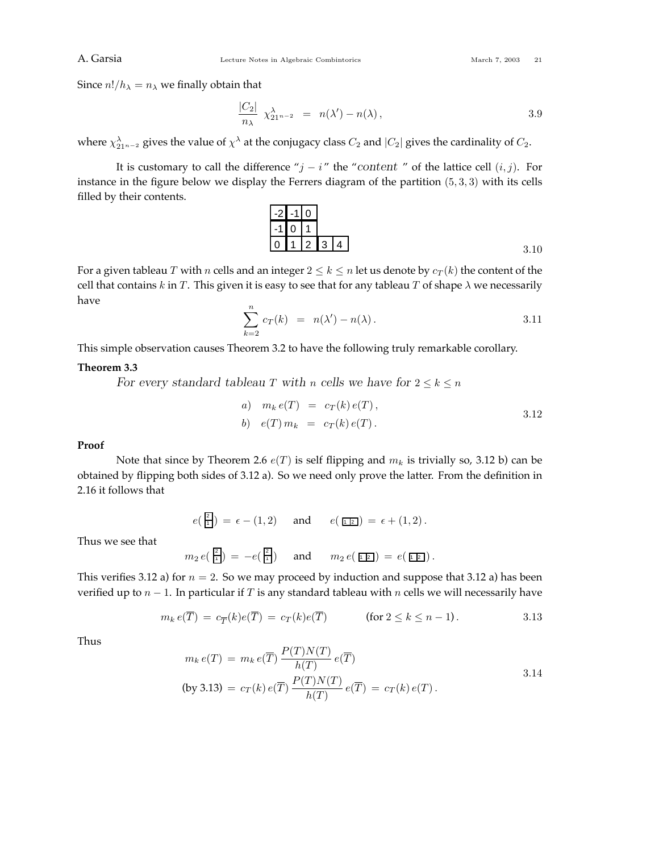Since  $n!/h_{\lambda} = n_{\lambda}$  we finally obtain that

$$
\frac{|C_2|}{n_{\lambda}} \ \chi^{\lambda}_{21^{n-2}} = n(\lambda') - n(\lambda) \,, \tag{3.9}
$$

where  $\chi^{\lambda}_{21^{n-2}}$  gives the value of  $\chi^{\lambda}$  at the conjugacy class  $C_2$  and  $|C_2|$  gives the cardinality of  $C_2$ .

It is customary to call the difference " $j - i$ " the "content " of the lattice cell  $(i, j)$ . For instance in the figure below we display the Ferrers diagram of the partition (5*,* 3*,* 3) with its cells filled by their contents.

$$
\begin{array}{c|c|c}\n-2 & -1 & 0 \\
\hline\n-1 & 0 & 1 \\
\hline\n0 & 1 & 2 & 3 & 4\n\end{array}
$$

For a given tableau *T* with *n* cells and an integer  $2 \le k \le n$  let us denote by  $c_T(k)$  the content of the cell that contains  $k$  in  $T$ . This given it is easy to see that for any tableau  $T$  of shape  $\lambda$  we necessarily have

$$
\sum_{k=2}^{n} c_T(k) = n(\lambda') - n(\lambda).
$$
 3.11

This simple observation causes Theorem 3.2 to have the following truly remarkable corollary.

## **Theorem 3.3**

*For every standard tableau T* with *n* cells we have for  $2 \leq k \leq n$ 

a) 
$$
m_k e(T) = c_T(k) e(T)
$$
,  
\nb)  $e(T) m_k = c_T(k) e(T)$ .  
\n3.12

## **Proof**

Note that since by Theorem 2.6 *e*(*T*) is self flipping and *m<sup>k</sup>* is trivially so, 3.12 b) can be obtained by flipping both sides of 3.12 a). So we need only prove the latter. From the definition in 2.16 it follows that

$$
e(\frac{2}{1}) = \epsilon - (1,2)
$$
 and  $e(\underline{r} \underline{r}) = \epsilon + (1,2).$ 

Thus we see that

$$
m_2 e(\frac{z}{1}) = -e(\frac{z}{1})
$$
 and  $m_2 e(\overline{1} = e(\overline{1} = 0).$ 

This verifies 3.12 a) for  $n = 2$ . So we may proceed by induction and suppose that 3.12 a) has been verified up to *n* − 1. In particular if *T* is any standard tableau with *n* cells we will necessarily have

$$
m_k e(\overline{T}) = c_{\overline{T}}(k) e(\overline{T}) = c_T(k) e(\overline{T}) \qquad \text{(for } 2 \le k \le n-1).
$$

Thus

$$
m_k e(T) = m_k e(\overline{T}) \frac{P(T)N(T)}{h(T)} e(\overline{T})
$$
  
(by 3.13) =  $c_T(k) e(\overline{T}) \frac{P(T)N(T)}{h(T)} e(\overline{T}) = c_T(k) e(T).$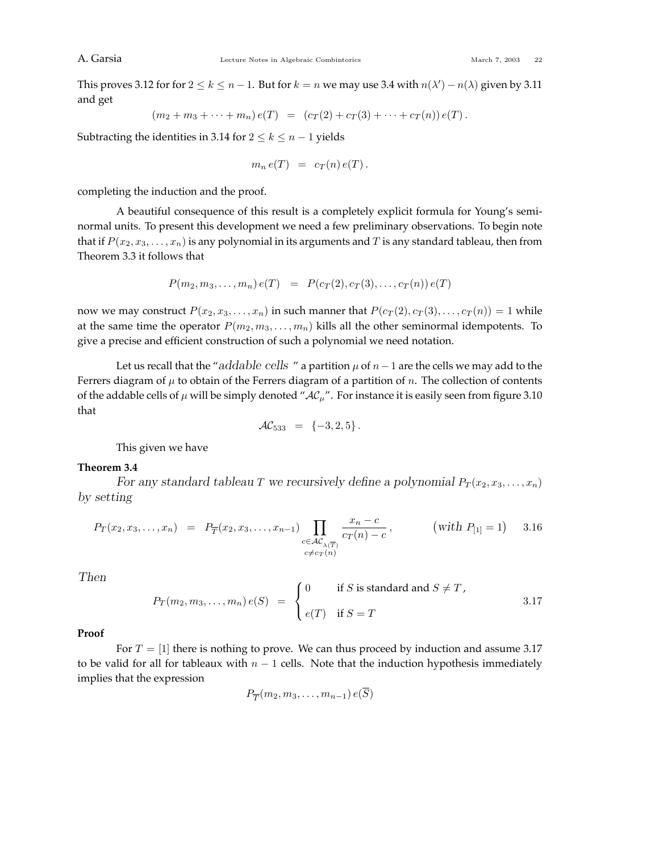This proves 3.12 for for  $2 \le k \le n-1$ . But for  $k=n$  we may use 3.4 with  $n(\lambda') - n(\lambda)$  given by 3.11 and get

$$
(m_2 + m_3 + \cdots + m_n) e(T) = (c_T(2) + c_T(3) + \cdots + c_T(n)) e(T).
$$

Subtracting the identities in 3.14 for  $2 \leq k \leq n-1$  yields

$$
m_n e(T) = c_T(n) e(T).
$$

completing the induction and the proof.

A beautiful consequence of this result is a completely explicit formula for Young's seminormal units. To present this development we need a few preliminary observations. To begin note that if  $P(x_2, x_3, \ldots, x_n)$  is any polynomial in its arguments and  $T$  is any standard tableau, then from Theorem 3.3 it follows that

$$
P(m_2, m_3, \ldots, m_n) e(T) = P(c_T(2), c_T(3), \ldots, c_T(n)) e(T)
$$

now we may construct  $P(x_2, x_3, \ldots, x_n)$  in such manner that  $P(c_T(2), c_T(3), \ldots, c_T(n)) = 1$  while at the same time the operator  $P(m_2, m_3, \ldots, m_n)$  kills all the other seminormal idempotents. To give a precise and efficient construction of such a polynomial we need notation.

Let us recall that the "*addable cells* " a partition  $\mu$  of  $n-1$  are the cells we may add to the Ferrers diagram of  $\mu$  to obtain of the Ferrers diagram of a partition of *n*. The collection of contents of the addable cells of  $\mu$  will be simply denoted " $AC_{\mu}$ ". For instance it is easily seen from figure 3.10 that

$$
\mathcal{AC}_{533} = \{-3, 2, 5\}.
$$

This given we have

## **Theorem 3.4**

*For any standard tableau T* we recursively define a polynomial  $P_T(x_2, x_3, \ldots, x_n)$ *by setting*

$$
P_T(x_2, x_3, \dots, x_n) = P_{\overline{T}}(x_2, x_3, \dots, x_{n-1}) \prod_{\substack{c \in \mathcal{AC}_{\lambda(\overline{T})} \\ c \neq c_T(n)}} \frac{x_n - c}{c_T(n) - c}, \quad (\text{with } P_{[1]} = 1) \quad 3.16
$$

*Then*

$$
P_T(m_2, m_3, \dots, m_n) e(S) = \begin{cases} 0 & \text{if } S \text{ is standard and } S \neq T, \\ e(T) & \text{if } S = T \end{cases}
$$
 3.17

**Proof**

For  $T = [1]$  there is nothing to prove. We can thus proceed by induction and assume 3.17 to be valid for all for tableaux with  $n - 1$  cells. Note that the induction hypothesis immediately implies that the expression

$$
P_{\overline{T}}(m_2, m_3, \ldots, m_{n-1}) e(S)
$$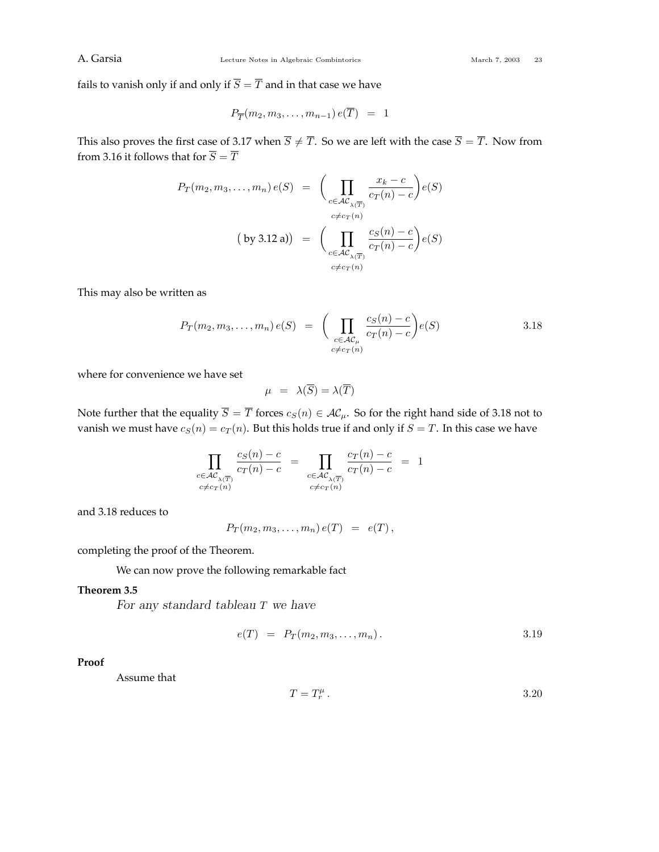fails to vanish only if and only if  $\overline{S} = \overline{T}$  and in that case we have

$$
P_{\overline{T}}(m_2, m_3, \ldots, m_{n-1}) e(T) = 1
$$

This also proves the first case of 3.17 when  $\overline{S} \neq \overline{T}$ . So we are left with the case  $\overline{S} = \overline{T}$ . Now from from 3.16 it follows that for  $\overline{S} = \overline{T}$ 

$$
P_T(m_2, m_3, \dots, m_n) e(S) = \left( \prod_{\substack{c \in \mathcal{AC}_{\lambda(\overline{T})} \\ c \neq c_T(n)}} \frac{x_k - c}{c_T(n) - c} \right) e(S)
$$
  
(by 3.12 a)) = 
$$
\left( \prod_{\substack{c \in \mathcal{AC}_{\lambda(\overline{T})} \\ c \neq c_T(n)}} \frac{c_S(n) - c}{c_T(n) - c} \right) e(S)
$$

This may also be written as

$$
P_T(m_2, m_3, \dots, m_n) e(S) = \left( \prod_{\substack{c \in \mathcal{AC}_{\mu} \\ c \neq c_T(n)}} \frac{c_S(n) - c}{c_T(n) - c} \right) e(S) \qquad 3.18
$$

where for convenience we have set

$$
\mu = \lambda(\overline{S}) = \lambda(\overline{T})
$$

Note further that the equality  $\overline{S} = \overline{T}$  forces  $c_S(n) \in \mathcal{AC}_\mu$ . So for the right hand side of 3.18 not to vanish we must have  $c_S(n) = c_T(n)$ . But this holds true if and only if  $S = T$ . In this case we have

$$
\prod_{\substack{c \in \mathcal{AC}_{\lambda(\overline{T})} \\ c \neq c_T(n)}} \frac{c_S(n) - c}{c_T(n) - c} = \prod_{\substack{c \in \mathcal{AC}_{\lambda(\overline{T})} \\ c \neq c_T(n)}} \frac{c_T(n) - c}{c_T(n) - c} = 1
$$

and 3.18 reduces to

$$
P_T(m_2, m_3, \ldots, m_n) e(T) = e(T),
$$

completing the proof of the Theorem.

We can now prove the following remarkable fact

## **Theorem 3.5**

*For any standard tableau T we have*

$$
e(T) = P_T(m_2, m_3, \dots, m_n). \tag{3.19}
$$

## **Proof**

Assume that

$$
T = T_r^{\mu}.
$$
 3.20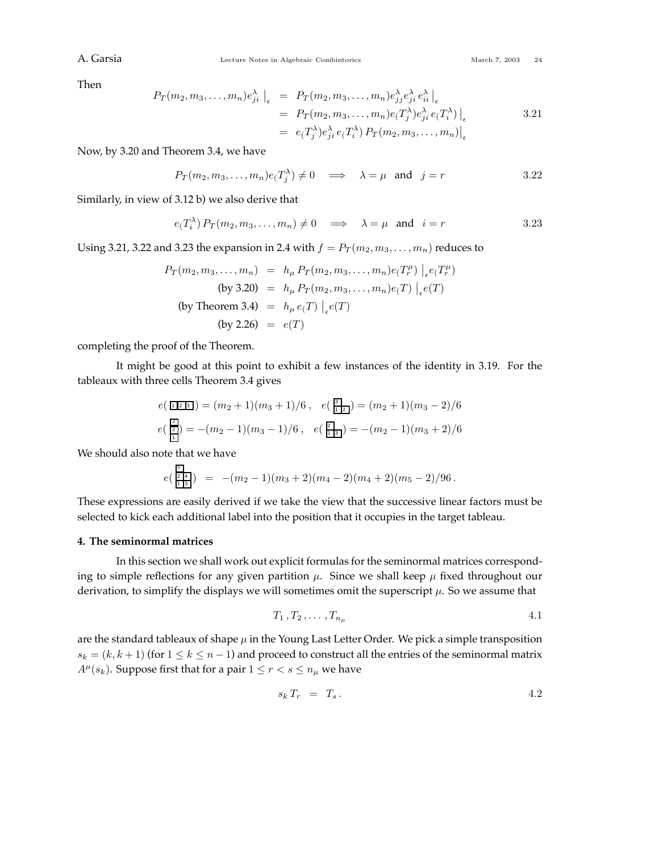## A. Garsia Combine Lecture Notes in Algebraic Combintorics March 7, 2003 24

Then

$$
P_T(m_2, m_3, \dots, m_n) e_{ji}^{\lambda} \Big|_{\epsilon} = P_T(m_2, m_3, \dots, m_n) e_{jj}^{\lambda} e_{ji}^{\lambda} e_{ii}^{\lambda} \Big|_{\epsilon}
$$
  
=  $P_T(m_2, m_3, \dots, m_n) e(T_j^{\lambda}) e_{ji}^{\lambda} e(T_i^{\lambda}) \Big|_{\epsilon}$  3.21  
=  $e(T_j^{\lambda}) e_{ji}^{\lambda} e(T_i^{\lambda}) P_T(m_2, m_3, \dots, m_n) \Big|_{\epsilon}$ 

Now, by 3.20 and Theorem 3.4, we have

 $P_T(m_2, m_3, \dots, m_n) e(T_j^{\lambda}) \neq 0 \implies \lambda = \mu \text{ and } j = r$  3*.*22

Similarly, in view of 3.12 b) we also derive that

$$
e(T_i^{\lambda}) P_T(m_2, m_3, ..., m_n) \neq 0 \implies \lambda = \mu \text{ and } i = r
$$
 3.23

Using 3.21, 3.22 and 3.23 the expansion in 2.4 with  $f = P_T(m_2, m_3, \ldots, m_n)$  reduces to

$$
P_T(m_2, m_3, ..., m_n) = h_{\mu} P_T(m_2, m_3, ..., m_n) e(T_r^{\mu}) \Big|_{\epsilon} e(T_r^{\mu})
$$
  
(by 3.20) =  $h_{\mu} P_T(m_2, m_3, ..., m_n) e(T) \Big|_{\epsilon} e(T)$   
(by Theorem 3.4) =  $h_{\mu} e(T) \Big|_{\epsilon} e(T)$   
(by 2.26) =  $e(T)$ 

completing the proof of the Theorem.

It might be good at this point to exhibit a few instances of the identity in 3.19. For the tableaux with three cells Theorem 3.4 gives

$$
e\left(\frac{\sqrt{2}}{2}\right) = (m_2 + 1)(m_3 + 1)/6, \quad e\left(\frac{\sqrt{2}}{2}\right) = (m_2 + 1)(m_3 - 2)/6
$$

$$
e\left(\frac{\sqrt{2}}{2}\right) = -(m_2 - 1)(m_3 - 1)/6, \quad e\left(\frac{\sqrt{2}}{2}\right) = -(m_2 - 1)(m_3 + 2)/6
$$

We should also note that we have

$$
e\left(\frac{\overline{5}}{\frac{1}{12}}\right) = -(m_2-1)(m_3+2)(m_4-2)(m_4+2)(m_5-2)/96.
$$

These expressions are easily derived if we take the view that the successive linear factors must be selected to kick each additional label into the position that it occupies in the target tableau.

### **4. The seminormal matrices**

In this section we shall work out explicit formulas for the seminormal matrices corresponding to simple reflections for any given partition  $\mu$ . Since we shall keep  $\mu$  fixed throughout our derivation, to simplify the displays we will sometimes omit the superscript *µ*. So we assume that

$$
T_1, T_2, \ldots, T_{n_\mu} \hspace{1.5cm} 4.1
$$

are the standard tableaux of shape  $\mu$  in the Young Last Letter Order. We pick a simple transposition  $s_k = (k, k + 1)$  (for  $1 \le k \le n - 1$ ) and proceed to construct all the entries of the seminormal matrix *A<sup>* $\mu$ *</sup>*(*s*<sub>*k*</sub>). Suppose first that for a pair  $1 \le r < s \le n_\mu$  we have

*s<sup>k</sup> T<sup>r</sup>* = *T<sup>s</sup> .* 4*.*2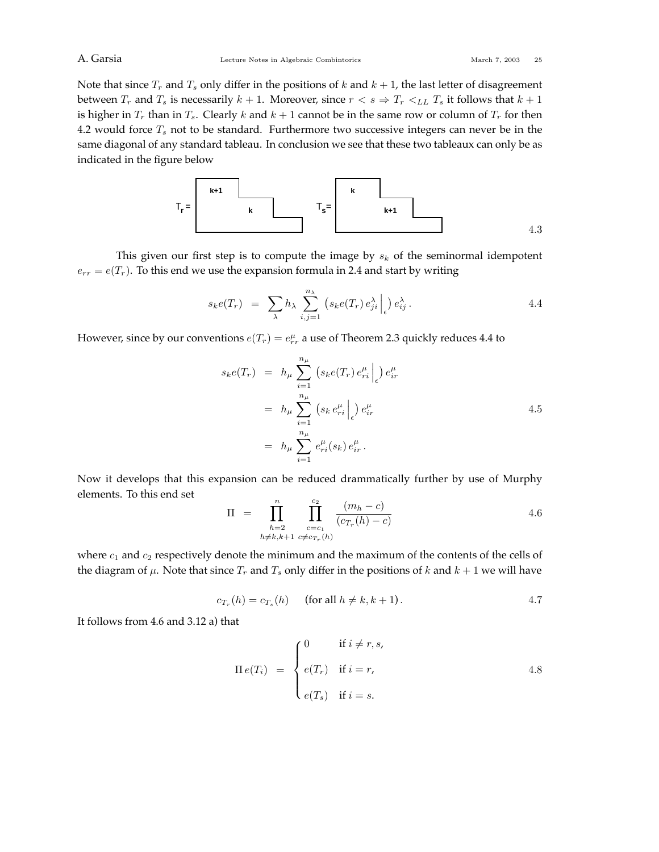Note that since  $T_r$  and  $T_s$  only differ in the positions of  $k$  and  $k + 1$ , the last letter of disagreement between  $T_r$  and  $T_s$  is necessarily  $k + 1$ . Moreover, since  $r < s \Rightarrow T_r <_{LL} T_s$  it follows that  $k + 1$ is higher in  $T_r$  than in  $T_s$ . Clearly  $k$  and  $k + 1$  cannot be in the same row or column of  $T_r$  for then 4.2 would force  $T_s$  not to be standard. Furthermore two successive integers can never be in the same diagonal of any standard tableau. In conclusion we see that these two tableaux can only be as indicated in the figure below



This given our first step is to compute the image by *s<sup>k</sup>* of the seminormal idempotent  $e_{rr} = e(T_r)$ . To this end we use the expansion formula in 2.4 and start by writing

$$
s_k e(T_r) = \sum_{\lambda} h_{\lambda} \sum_{i,j=1}^{n_{\lambda}} \left( s_k e(T_r) e_{ji}^{\lambda} \Big|_{\epsilon} \right) e_{ij}^{\lambda} . \tag{4.4}
$$

However, since by our conventions  $e(T_r) = e^{\mu}_{rr}$  a use of Theorem 2.3 quickly reduces 4.4 to

$$
s_{k}e(T_{r}) = h_{\mu} \sum_{i=1}^{n_{\mu}} (s_{k}e(T_{r}) e_{ri}^{\mu}) e_{ir}^{\mu}
$$
  
=  $h_{\mu} \sum_{i=1}^{n_{\mu}} (s_{k} e_{ri}^{\mu}) e_{ir}^{\mu}$   
=  $h_{\mu} \sum_{i=1}^{n_{\mu}} e_{ri}^{\mu}(s_{k}) e_{ir}^{\mu}$ .  
4.5

Now it develops that this expansion can be reduced drammatically further by use of Murphy elements. To this end set

$$
\Pi = \prod_{\substack{h=2 \\ h \neq k, k+1}}^{n} \prod_{\substack{c=c_1 \\ c \neq c_{T_r}(h)}}^{c_2} \frac{(m_h - c)}{(c_{T_r}(h) - c)}
$$
4.6

where *c*<sup>1</sup> and *c*<sup>2</sup> respectively denote the minimum and the maximum of the contents of the cells of the diagram of  $\mu$ . Note that since  $T_r$  and  $T_s$  only differ in the positions of  $k$  and  $k + 1$  we will have

$$
c_{T_r}(h) = c_{T_s}(h) \qquad \text{(for all } h \neq k, k+1).
$$

It follows from 4.6 and 3.12 a) that

$$
\Pi e(T_i) = \begin{cases} 0 & \text{if } i \neq r, s, \\ e(T_r) & \text{if } i = r, \\ e(T_s) & \text{if } i = s. \end{cases}
$$
 4.8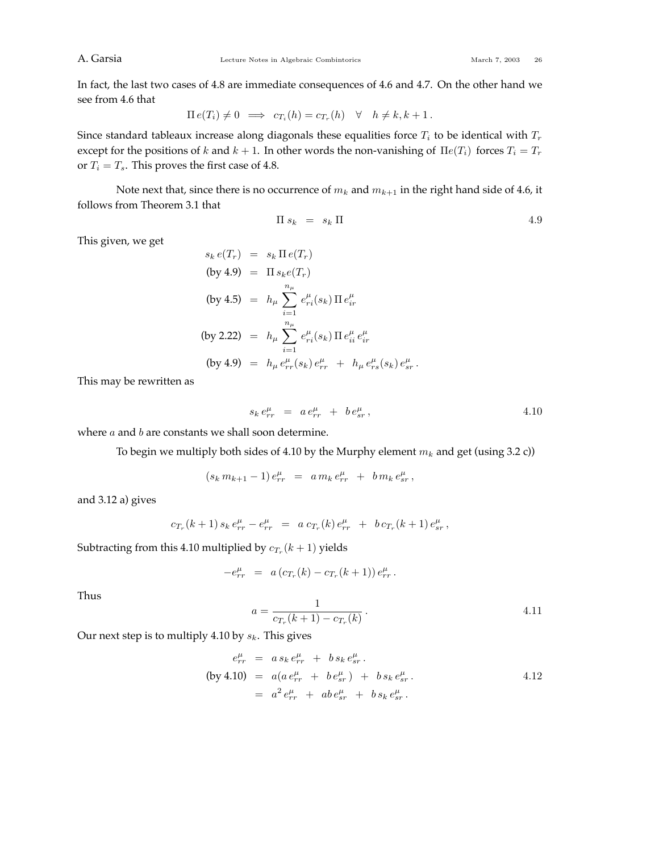In fact, the last two cases of 4.8 are immediate consequences of 4.6 and 4.7. On the other hand we see from 4.6 that

$$
\Pi e(T_i) \neq 0 \implies c_{T_i}(h) = c_{T_r}(h) \quad \forall \quad h \neq k, k+1.
$$

Since standard tableaux increase along diagonals these equalities force  $T_i$  to be identical with  $T_r$ except for the positions of *k* and  $k + 1$ . In other words the non-vanishing of  $\Pi e(T_i)$  forces  $T_i = T_r$ or  $T_i = T_s$ . This proves the first case of 4.8.

Note next that, since there is no occurrence of  $m_k$  and  $m_{k+1}$  in the right hand side of 4.6, it follows from Theorem 3.1 that

$$
\Pi s_k = s_k \Pi \tag{4.9}
$$

This given, we get

$$
s_k e(T_r) = s_k \Pi e(T_r)
$$
  
\n(by 4.9) =  $\Pi s_k e(T_r)$   
\n(by 4.5) =  $h_\mu \sum_{i=1}^{n_\mu} e_{ri}^\mu(s_k) \Pi e_{ir}^\mu$   
\n(by 2.22) =  $h_\mu \sum_{i=1}^{n_\mu} e_{ri}^\mu(s_k) \Pi e_{ii}^\mu e_{ir}^\mu$   
\n(by 4.9) =  $h_\mu e_{rr}^\mu(s_k) e_{rr}^\mu + h_\mu e_{rs}^\mu(s_k) e_{sr}^\mu$ .

This may be rewritten as

$$
s_k e_{rr}^{\mu} = a e_{rr}^{\mu} + b e_{sr}^{\mu}, \qquad (4.10)
$$

where *a* and *b* are constants we shall soon determine.

To begin we multiply both sides of 4.10 by the Murphy element *m<sup>k</sup>* and get (using 3.2 c))

$$
(s_k m_{k+1} - 1) e_{rr}^{\mu} = a m_k e_{rr}^{\mu} + b m_k e_{sr}^{\mu},
$$

and 3.12 a) gives

$$
c_{T_r}(k+1)\,s_k\,e^{\mu}_{rr}\,-\,e^{\mu}_{rr}\ =\ a\,c_{T_r}(k)\,e^{\mu}_{rr}\ +\ b\,c_{T_r}(k+1)\,e^{\mu}_{sr}\,,
$$

Subtracting from this 4.10 multiplied by  $c_{T_r}(k+1)$  yields

$$
-e_{rr}^{\mu} = a (c_{T_r}(k) - c_{T_r}(k+1)) e_{rr}^{\mu}.
$$

Thus

$$
a = \frac{1}{c_{T_r}(k+1) - c_{T_r}(k)}.
$$

Our next step is to multiply 4.10 by *sk*. This gives

$$
e_{rr}^{\mu} = a s_k e_{rr}^{\mu} + b s_k e_{sr}^{\mu}.
$$
  
\n(by 4.10) =  $a(a e_{rr}^{\mu} + b e_{sr}^{\mu}) + b s_k e_{sr}^{\mu}.$   
\n=  $a^2 e_{rr}^{\mu} + ab e_{sr}^{\mu} + b s_k e_{sr}^{\mu}.$  4.12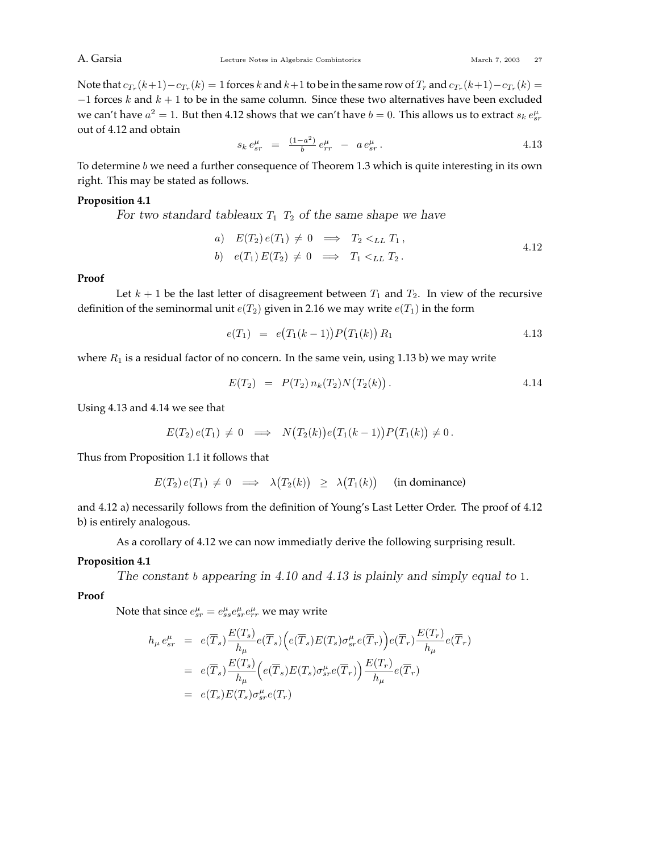Note that  $c_{T_r}(k+1)-c_{T_r}(k)=1$  forces k and  $k+1$  to be in the same row of  $T_r$  and  $c_{T_r}(k+1)-c_{T_r}(k)=$ −1 forces *k* and *k* + 1 to be in the same column. Since these two alternatives have been excluded we can't have  $a^2 = 1$ . But then 4.12 shows that we can't have  $b = 0$ . This allows us to extract  $s_k \, e^{\mu}_{sr}$ out of 4.12 and obtain

$$
s_k e_{sr}^{\mu} = \frac{(1 - a^2)}{b} e_{rr}^{\mu} - a e_{sr}^{\mu}.
$$

To determine *b* we need a further consequence of Theorem 1.3 which is quite interesting in its own right. This may be stated as follows.

## **Proposition 4.1**

*For two standard tableaux T*<sup>1</sup> *T*<sup>2</sup> *of the same shape we have*

a) 
$$
E(T_2)e(T_1) \neq 0 \implies T_2 <_{LL} T_1,
$$
  
\nb)  $e(T_1)E(T_2) \neq 0 \implies T_1 <_{LL} T_2.$  4.12

## **Proof**

Let  $k + 1$  be the last letter of disagreement between  $T_1$  and  $T_2$ . In view of the recursive definition of the seminormal unit  $e(T_2)$  given in 2.16 we may write  $e(T_1)$  in the form

$$
e(T_1) = e(T_1(k-1))P(T_1(k)) R_1
$$
\n
$$
4.13
$$

where  $R_1$  is a residual factor of no concern. In the same vein, using 1.13 b) we may write

$$
E(T_2) = P(T_2) n_k(T_2) N(T_2(k)). \qquad 4.14
$$

Using 4.13 and 4.14 we see that

$$
E(T_2) e(T_1) \neq 0 \implies N(T_2(k)) e(T_1(k-1)) P(T_1(k)) \neq 0.
$$

Thus from Proposition 1.1 it follows that

$$
E(T_2) e(T_1) \neq 0 \implies \lambda(T_2(k)) \geq \lambda(T_1(k)) \quad \text{(in dominance)}
$$

and 4.12 a) necessarily follows from the definition of Young's Last Letter Order. The proof of 4.12 b) is entirely analogous.

As a corollary of 4.12 we can now immediatly derive the following surprising result.

## **Proposition 4.1**

*The constant b appearing in 4.10 and 4.13 is plainly and simply equal to* 1*.*

#### **Proof**

Note that since  $e^{\mu}_{sr} = e^{\mu}_{ss}e^{\mu}_{sr}e^{\mu}_{rr}$  we may write

$$
h_{\mu} e_{sr}^{\mu} = e(\overline{T}_s) \frac{E(T_s)}{h_{\mu}} e(\overline{T}_s) \Big( e(\overline{T}_s) E(T_s) \sigma_{sr}^{\mu} e(\overline{T}_r) \Big) e(\overline{T}_r) \frac{E(T_r)}{h_{\mu}} e(\overline{T}_r)
$$
  

$$
= e(\overline{T}_s) \frac{E(T_s)}{h_{\mu}} \Big( e(\overline{T}_s) E(T_s) \sigma_{sr}^{\mu} e(\overline{T}_r) \Big) \frac{E(T_r)}{h_{\mu}} e(\overline{T}_r)
$$
  

$$
= e(T_s) E(T_s) \sigma_{sr}^{\mu} e(T_r)
$$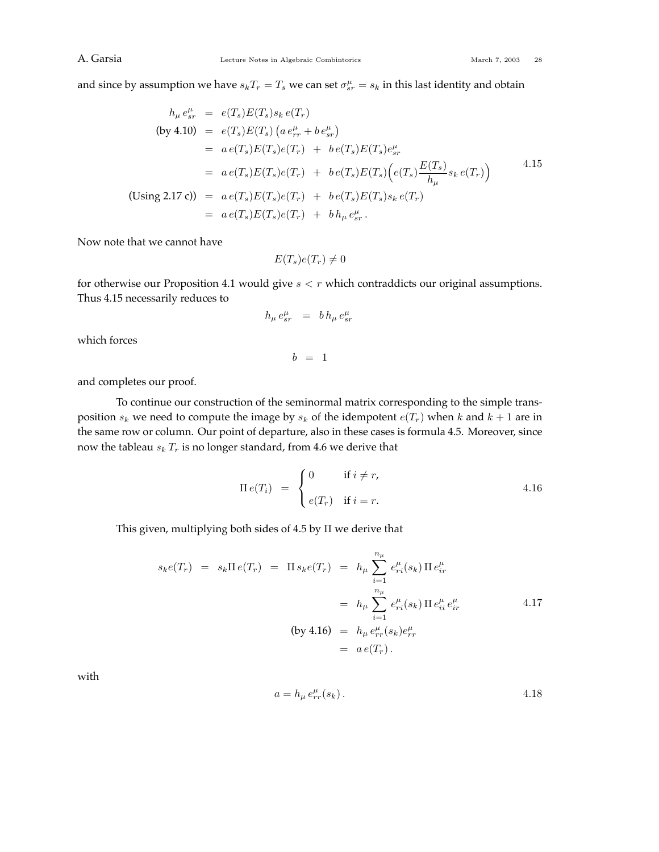and since by assumption we have  $s_kT_r = T_s$  we can set  $\sigma_{sr}^{\mu} = s_k$  in this last identity and obtain

$$
h_{\mu} e_{sr}^{\mu} = e(T_s)E(T_s)s_k e(T_r)
$$
  
\n(by 4.10) =  $e(T_s)E(T_s) (a e_{rr}^{\mu} + b e_{sr}^{\mu})$   
\n=  $a e(T_s)E(T_s)e(T_r) + b e(T_s)E(T_s)e_{sr}^{\mu}$   
\n=  $a e(T_s)E(T_s)e(T_r) + b e(T_s)E(T_s) (e(T_s) \frac{E(T_s)}{h_{\mu}} s_k e(T_r))$   
\n(Using 2.17 c)) =  $a e(T_s)E(T_s)e(T_r) + b e(T_s)E(T_s)s_k e(T_r)$   
\n=  $a e(T_s)E(T_s)e(T_r) + b h_{\mu} e_{sr}^{\mu}$ .

Now note that we cannot have

$$
E(T_s)e(T_r) \neq 0
$$

for otherwise our Proposition 4.1 would give  $s < r$  which contraddicts our original assumptions. Thus 4.15 necessarily reduces to

$$
h_\mu\,e_{sr}^\mu\quad =\quad b\,h_\mu\,e_{sr}^\mu
$$

which forces

 $b = 1$ 

and completes our proof.

To continue our construction of the seminormal matrix corresponding to the simple transposition  $s_k$  we need to compute the image by  $s_k$  of the idempotent  $e(T_r)$  when  $k$  and  $k + 1$  are in the same row or column. Our point of departure, also in these cases is formula 4.5. Moreover, since now the tableau  $s_k T_r$  is no longer standard, from 4.6 we derive that

$$
\Pi e(T_i) = \begin{cases} 0 & \text{if } i \neq r, \\ e(T_r) & \text{if } i = r. \end{cases}
$$
 4.16

This given, multiplying both sides of 4.5 by Π we derive that

$$
s_k e(T_r) = s_k \Pi e(T_r) = \Pi s_k e(T_r) = h_\mu \sum_{i=1}^{n_\mu} e_{ri}^\mu(s_k) \Pi e_{ir}^\mu
$$
  
=  $h_\mu \sum_{i=1}^{n_\mu} e_{ri}^\mu(s_k) \Pi e_{ii}^\mu e_{ir}^\mu$   
(by 4.16) =  $h_\mu e_{rr}^\mu(s_k) e_{rr}^\mu$   
=  $a e(T_r)$ .

with

$$
a = h_{\mu} e_{rr}^{\mu}(s_k). \tag{4.18}
$$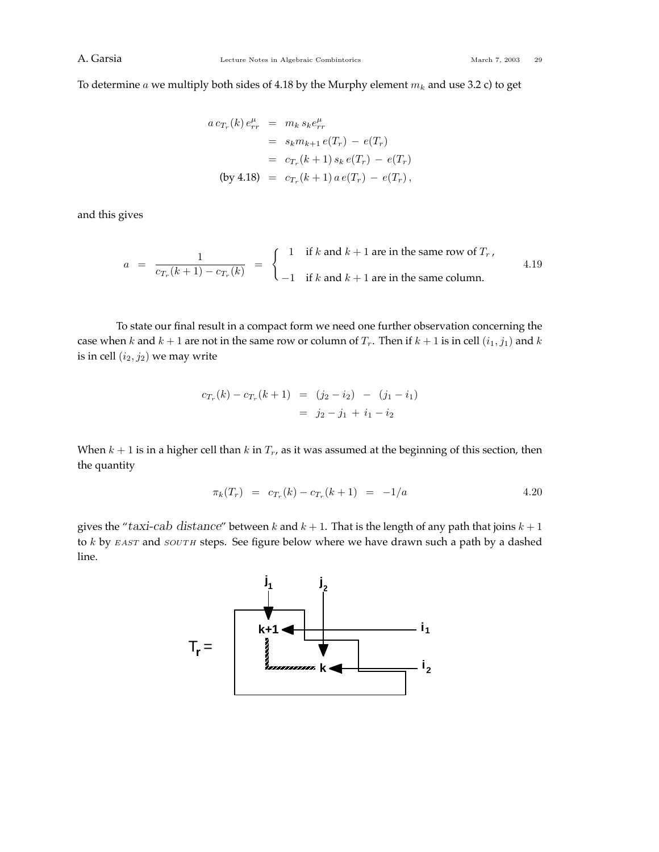To determine *a* we multiply both sides of 4.18 by the Murphy element *m<sup>k</sup>* and use 3.2 c) to get

$$
a c_{T_r}(k) e_{rr}^{\mu} = m_k s_k e_{rr}^{\mu}
$$
  
=  $s_k m_{k+1} e(T_r) - e(T_r)$   
=  $c_{T_r}(k+1) s_k e(T_r) - e(T_r)$   
(by 4.18) =  $c_{T_r}(k+1) a e(T_r) - e(T_r)$ ,

and this gives

$$
a = \frac{1}{c_{T_r}(k+1) - c_{T_r}(k)} = \begin{cases} 1 & \text{if } k \text{ and } k+1 \text{ are in the same row of } T_r, \\ -1 & \text{if } k \text{ and } k+1 \text{ are in the same column.} \end{cases}
$$
 4.19

To state our final result in a compact form we need one further observation concerning the case when *k* and  $k + 1$  are not in the same row or column of  $T_r$ . Then if  $k + 1$  is in cell  $(i_1, j_1)$  and  $k$ is in cell  $(i_2, j_2)$  we may write

$$
c_{T_r}(k) - c_{T_r}(k+1) = (j_2 - i_2) - (j_1 - i_1)
$$
  
=  $j_2 - j_1 + i_1 - i_2$ 

When  $k + 1$  is in a higher cell than  $k$  in  $T_r$ , as it was assumed at the beginning of this section, then the quantity

$$
\pi_k(T_r) = c_{T_r}(k) - c_{T_r}(k+1) = -1/a \tag{4.20}
$$

gives the "*taxi-cab distance*" between  $k$  and  $k + 1$ . That is the length of any path that joins  $k + 1$ to *k* by *EAST* and *SOUTH* steps. See figure below where we have drawn such a path by a dashed line.

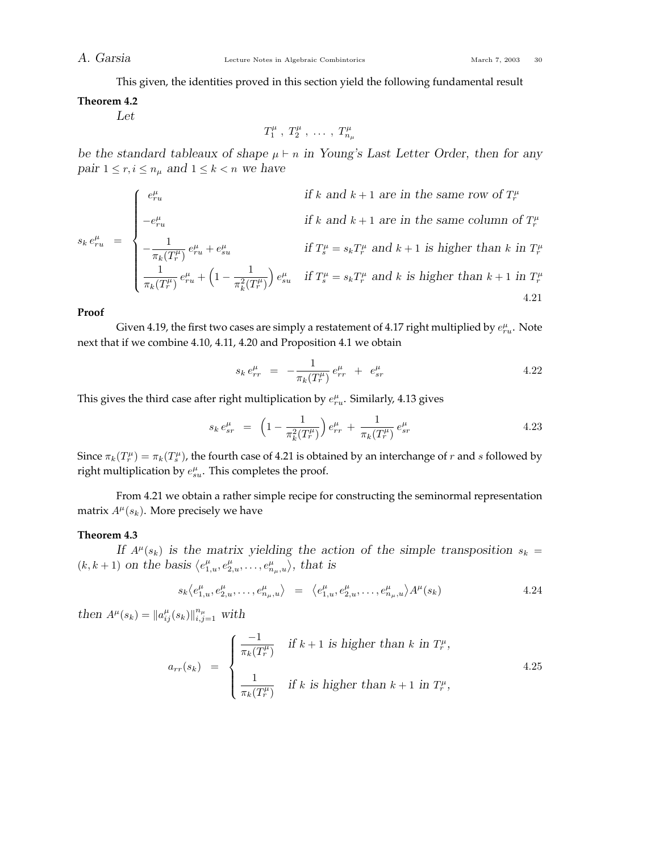*A. Garsia* Lecture Notes in Algebraic Combintorics March 7, 2003 30

This given, the identities proved in this section yield the following fundamental result

## **Theorem 4.2**

*Let*

$$
T_1^{\mu} , T_2^{\mu} , \ldots , T_{n_{\mu}}^{\mu}
$$

*be* the standard tableaux of shape  $\mu \vdash n$  in Young's Last Letter Order, then for any *pair*  $1 \le r, i \le n_\mu$  *and*  $1 \le k < n$  *we have* 

$$
s_k e_{ru}^{\mu} = \begin{cases} e_{ru}^{\mu} & \text{if } k \text{ and } k+1 \text{ are in the same row of } T_r^{\mu} \\ -e_{ru}^{\mu} & \text{if } k \text{ and } k+1 \text{ are in the same column of } T_r^{\mu} \\ -\frac{1}{\pi_k(T_r^{\mu})} e_{ru}^{\mu} + e_{su}^{\mu} & \text{if } T_s^{\mu} = s_k T_r^{\mu} \text{ and } k+1 \text{ is higher than } k \text{ in } T_r^{\mu} \\ \frac{1}{\pi_k(T_r^{\mu})} e_{ru}^{\mu} + \left(1 - \frac{1}{\pi_k^2(T_r^{\mu})}\right) e_{su}^{\mu} & \text{if } T_s^{\mu} = s_k T_r^{\mu} \text{ and } k \text{ is higher than } k+1 \text{ in } T_r^{\mu} \end{cases}
$$
4.21

## **Proof**

Given 4.19, the first two cases are simply a restatement of 4.17 right multiplied by  $e^{\mu}_{ru}$ . Note next that if we combine 4.10, 4.11, 4.20 and Proposition 4.1 we obtain

$$
s_k e_{rr}^{\mu} = -\frac{1}{\pi_k(T_r^{\mu})} e_{rr}^{\mu} + e_{sr}^{\mu} \tag{4.22}
$$

This gives the third case after right multiplication by  $e_{ru}^{\mu}$ . Similarly, 4.13 gives

$$
s_k e_{sr}^{\mu} = \left(1 - \frac{1}{\pi_k^2(T_r^{\mu})}\right) e_{rr}^{\mu} + \frac{1}{\pi_k(T_r^{\mu})} e_{sr}^{\mu} \tag{4.23}
$$

Since  $\pi_k(T_r^{\mu}) = \pi_k(T_s^{\mu})$ , the fourth case of 4.21 is obtained by an interchange of *r* and *s* followed by right multiplication by  $e_{su}^{\mu}$ . This completes the proof.

From 4.21 we obtain a rather simple recipe for constructing the seminormal representation matrix  $A^{\mu}(s_k)$ . More precisely we have

## **Theorem 4.3**

*If*  $A^{\mu}(s_k)$  *is the matrix yielding the action of the simple transposition*  $s_k =$  $(k, k + 1)$  on the basis  $\langle e_{1,u}^{\mu}, e_{2,u}^{\mu}, \ldots, e_{n_{\mu},u}^{\mu} \rangle$ , that is

$$
s_k \langle e_{1,u}^{\mu}, e_{2,u}^{\mu}, \dots, e_{n_{\mu},u}^{\mu} \rangle = \langle e_{1,u}^{\mu}, e_{2,u}^{\mu}, \dots, e_{n_{\mu},u}^{\mu} \rangle A^{\mu}(s_k)
$$
 4.24

*then*  $A^{\mu}(s_k) = ||a^{\mu}_{ij}(s_k)||_{i,j=1}^{n_{\mu}}$  with

$$
a_{rr}(s_k) = \begin{cases} \frac{-1}{\pi_k(T_r^{\mu})} & \text{if } k+1 \text{ is higher than } k \text{ in } T_r^{\mu}, \\ \frac{1}{\pi_k(T_r^{\mu})} & \text{if } k \text{ is higher than } k+1 \text{ in } T_r^{\mu}, \end{cases}
$$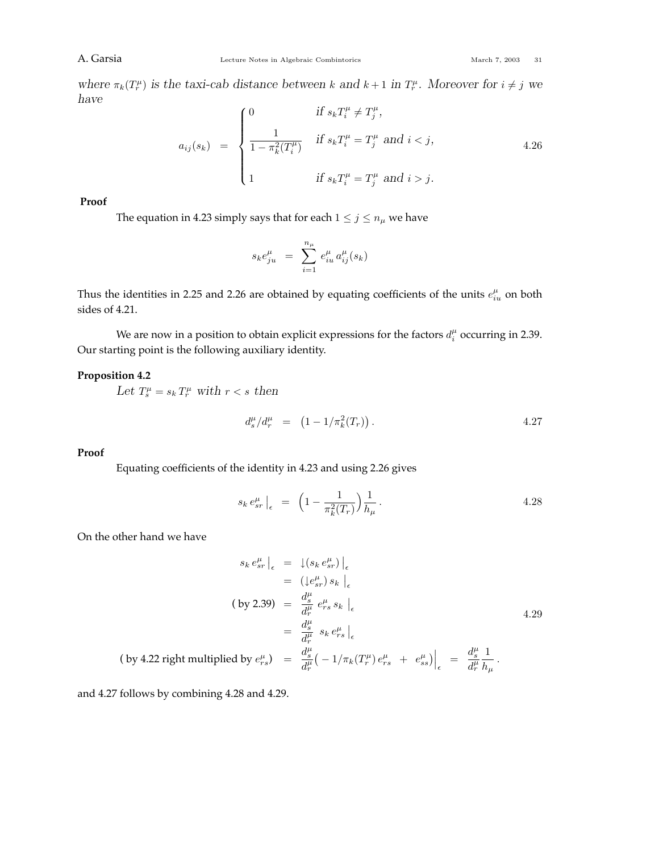A. Garsia Combine Lecture Notes in Algebraic Combintorics March 7, 2003 31

where  $\pi_k(T_r^{\mu})$  is the taxi-cab distance between k and  $k+1$  in  $T_r^{\mu}$ . Moreover for  $i \neq j$  we *have*

$$
a_{ij}(s_k) = \begin{cases} 0 & \text{if } s_k T_i^{\mu} \neq T_j^{\mu}, \\ \frac{1}{1 - \pi_k^2(T_i^{\mu})} & \text{if } s_k T_i^{\mu} = T_j^{\mu} \text{ and } i < j, \\ 1 & \text{if } s_k T_i^{\mu} = T_j^{\mu} \text{ and } i > j. \end{cases}
$$
4.26

**Proof**

The equation in 4.23 simply says that for each  $1 \le j \le n_\mu$  we have

$$
s_k e_{ju}^\mu \;\; = \;\; \sum_{i=1}^{n_\mu} \, e_{iu}^\mu \, a_{ij}^\mu(s_k)
$$

Thus the identities in 2.25 and 2.26 are obtained by equating coefficients of the units  $e_{iu}^{\mu}$  on both sides of 4.21.

We are now in a position to obtain explicit expressions for the factors  $d_i^{\mu}$  occurring in 2.39. Our starting point is the following auxiliary identity.

## **Proposition 4.2**

Let  $T_s^{\mu} = s_k T_r^{\mu}$  with  $r < s$  then

$$
d_s^{\mu}/d_r^{\mu} = (1 - 1/\pi_k^2(T_r)). \qquad (4.27)
$$

## **Proof**

Equating coefficients of the identity in 4.23 and using 2.26 gives

$$
s_k \, e_{sr}^{\mu} \Big|_{\epsilon} = \left( 1 - \frac{1}{\pi_k^2(T_r)} \right) \frac{1}{h_{\mu}} \,. \tag{4.28}
$$

On the other hand we have

$$
s_k e_{sr}^{\mu}|_{\epsilon} = \left. \int (s_k e_{sr}^{\mu}) \right|_{\epsilon}
$$
  
\n
$$
= \left. \left( \int e_{sr}^{\mu} \right) s_k \right|_{\epsilon}
$$
  
\n
$$
(by 2.39) = \frac{d_s^{\mu}}{d_r^{\mu}} e_{rs}^{\mu} s_k \right|_{\epsilon}
$$
  
\n
$$
= \frac{d_s^{\mu}}{d_r^{\mu}} s_k e_{rs}^{\mu} \Big|_{\epsilon}
$$
  
\n
$$
(by 4.22 \text{ right multiplied by } e_{rs}^{\mu}) = \frac{d_s^{\mu}}{d_r^{\mu}} \left( -\frac{1}{\pi_k} \left( T_r^{\mu} \right) e_{rs}^{\mu} + e_{ss}^{\mu} \right) \Big|_{\epsilon} = \frac{d_s^{\mu}}{d_r^{\mu}} \frac{1}{h_{\mu}}.
$$

and 4.27 follows by combining 4.28 and 4.29.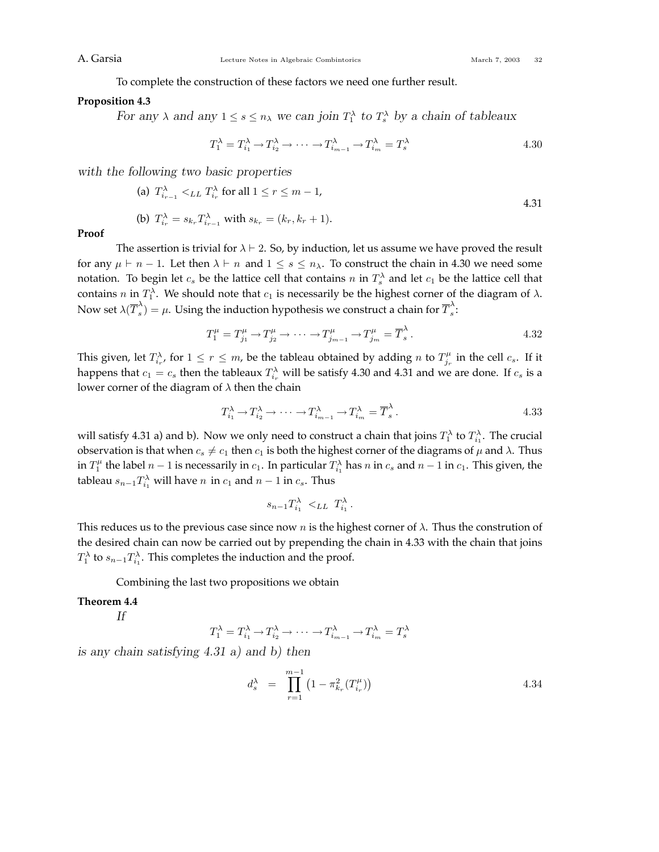To complete the construction of these factors we need one further result.

#### **Proposition 4.3**

*For any*  $\lambda$  *and any*  $1 \le s \le n_\lambda$  *we can join*  $T_1^{\lambda}$  *to*  $T_s^{\lambda}$  *by a chain of tableaux* 

$$
T_1^{\lambda} = T_{i_1}^{\lambda} \to T_{i_2}^{\lambda} \to \cdots \to T_{i_{m-1}}^{\lambda} \to T_{i_m}^{\lambda} = T_s^{\lambda}
$$

*with the following two basic properties*

(a) 
$$
T_{i_{r-1}}^{\lambda} <_{LL} T_{i_r}^{\lambda}
$$
 for all  $1 \le r \le m - 1$ ,  
\n(b)  $T_{i_r}^{\lambda} = s_{k_r} T_{i_{r-1}}^{\lambda}$  with  $s_{k_r} = (k_r, k_r + 1)$ .

**Proof**

The assertion is trivial for  $\lambda \vdash 2$ . So, by induction, let us assume we have proved the result for any  $\mu \vdash n-1$ . Let then  $\lambda \vdash n$  and  $1 \leq s \leq n_\lambda$ . To construct the chain in 4.30 we need some notation. To begin let  $c_s$  be the lattice cell that contains  $n$  in  $T_s^{\lambda}$  and let  $c_1$  be the lattice cell that contains *n* in  $T_1^{\lambda}$ . We should note that  $c_1$  is necessarily be the highest corner of the diagram of  $\lambda$ . Now set  $\lambda(\overline{T}_s^{\lambda})=\mu.$  Using the induction hypothesis we construct a chain for  $\overline{T}_s^{\lambda}$ :

$$
T_1^{\mu} = T_{j_1}^{\mu} \to T_{j_2}^{\mu} \to \cdots \to T_{j_{m-1}}^{\mu} \to T_{j_m}^{\mu} = \overline{T}_s^{\lambda}.
$$
 4.32

This given, let  $T^{\lambda}_{i,r}$ , for  $1 \leq r \leq m$ , be the tableau obtained by adding *n* to  $T^{\mu}_{j_r}$  in the cell  $c_s$ . If it happens that  $c_1 = c_s$  then the tableaux  $T_{i_r}^{\lambda}$  will be satisfy 4.30 and 4.31 and we are done. If  $c_s$  is a lower corner of the diagram of *λ* then the chain

$$
T_{i_1}^{\lambda} \to T_{i_2}^{\lambda} \to \cdots \to T_{i_{m-1}}^{\lambda} \to T_{i_m}^{\lambda} = \overline{T}_s^{\lambda}.
$$

will satisfy 4.31 a) and b). Now we only need to construct a chain that joins  $T_1^{\lambda}$  to  $T_{i_1}^{\lambda}$ . The crucial observation is that when  $c_s \neq c_1$  then  $c_1$  is both the highest corner of the diagrams of  $\mu$  and  $\lambda$ . Thus in  $T_1^{\mu}$  the label *n* − 1 is necessarily in  $c_1$ . In particular  $T_{i_1}^{\lambda}$  has *n* in  $c_s$  and *n* − 1 in  $c_1$ . This given, the tableau  $s_{n-1}T_{i_1}^{\lambda}$  will have  $n$  in  $c_1$  and  $n-1$  in  $c_s$ . Thus

$$
s_{n-1}T_{i_1}^{\lambda} \prec_{LL} T_{i_1}^{\lambda}.
$$

This reduces us to the previous case since now *n* is the highest corner of *λ*. Thus the constrution of the desired chain can now be carried out by prepending the chain in 4.33 with the chain that joins  $T_1^{\lambda}$  to  $s_{n-1}T_{i_1}^{\lambda}$ . This completes the induction and the proof.

Combining the last two propositions we obtain

#### **Theorem 4.4**

*If*

$$
T_1^{\lambda} = T_{i_1}^{\lambda} \to T_{i_2}^{\lambda} \to \cdots \to T_{i_{m-1}}^{\lambda} \to T_{i_m}^{\lambda} = T_s^{\lambda}
$$

*is any chain satisfying 4.31 a) and b) then*

$$
d_s^{\lambda} = \prod_{r=1}^{m-1} \left( 1 - \pi_{k_r}^2(T_{i_r}^{\mu}) \right)
$$
 4.34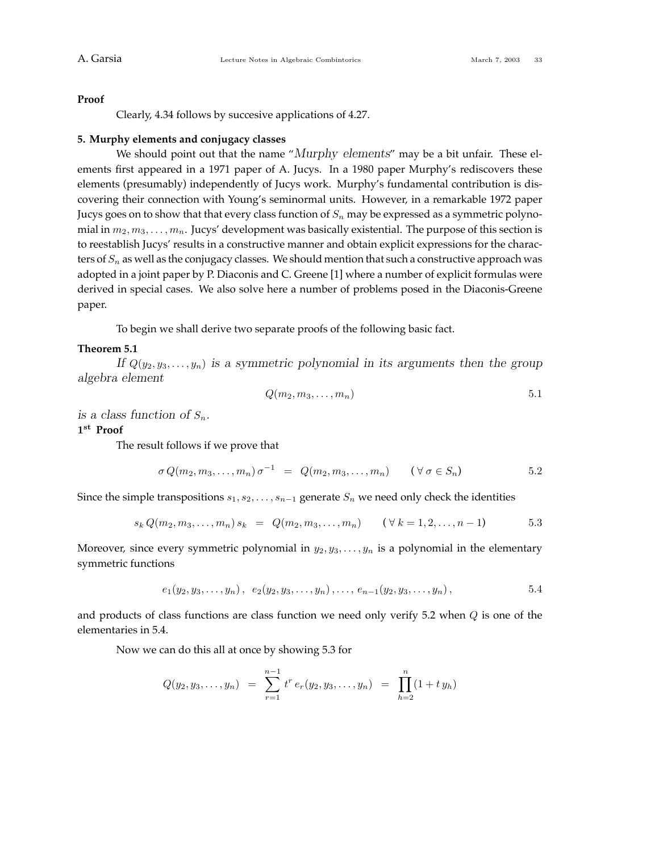#### **Proof**

Clearly, 4.34 follows by succesive applications of 4.27.

#### **5. Murphy elements and conjugacy classes**

We should point out that the name "*Murphy elements*" may be a bit unfair. These elements first appeared in a 1971 paper of A. Jucys. In a 1980 paper Murphy's rediscovers these elements (presumably) independently of Jucys work. Murphy's fundamental contribution is discovering their connection with Young's seminormal units. However, in a remarkable 1972 paper Jucys goes on to show that that every class function of  $S_n$  may be expressed as a symmetric polynomial in *m*2*, m*3*,...,mn*. Jucys' development was basically existential. The purpose of this section is to reestablish Jucys' results in a constructive manner and obtain explicit expressions for the characters of *S<sup>n</sup>* as well as the conjugacy classes. We should mention that such a constructive approach was adopted in a joint paper by P. Diaconis and C. Greene [1] where a number of explicit formulas were derived in special cases. We also solve here a number of problems posed in the Diaconis-Greene paper.

To begin we shall derive two separate proofs of the following basic fact.

## **Theorem 5.1**

*If*  $Q(y_2, y_3, \ldots, y_n)$  *is a symmetric polynomial in its arguments then the group algebra element*

$$
Q(m_2, m_3, \ldots, m_n) \tag{5.1}
$$

*is a class function of*  $S_n$ .

**1st Proof**

The result follows if we prove that

$$
\sigma Q(m_2, m_3, \dots, m_n) \sigma^{-1} = Q(m_2, m_3, \dots, m_n) \quad (\forall \sigma \in S_n)
$$

Since the simple transpositions  $s_1, s_2, \ldots, s_{n-1}$  generate  $S_n$  we need only check the identities

$$
s_k Q(m_2, m_3, \dots, m_n) s_k = Q(m_2, m_3, \dots, m_n) \quad (\forall k = 1, 2, \dots, n-1)
$$
 5.3

Moreover, since every symmetric polynomial in  $y_2, y_3, \ldots, y_n$  is a polynomial in the elementary symmetric functions

$$
e_1(y_2, y_3, \ldots, y_n), e_2(y_2, y_3, \ldots, y_n), \ldots, e_{n-1}(y_2, y_3, \ldots, y_n),
$$
 5.4

and products of class functions are class function we need only verify 5.2 when *Q* is one of the elementaries in 5.4.

Now we can do this all at once by showing 5.3 for

$$
Q(y_2, y_3, \ldots, y_n) = \sum_{r=1}^{n-1} t^r e_r(y_2, y_3, \ldots, y_n) = \prod_{h=2}^n (1 + t y_h)
$$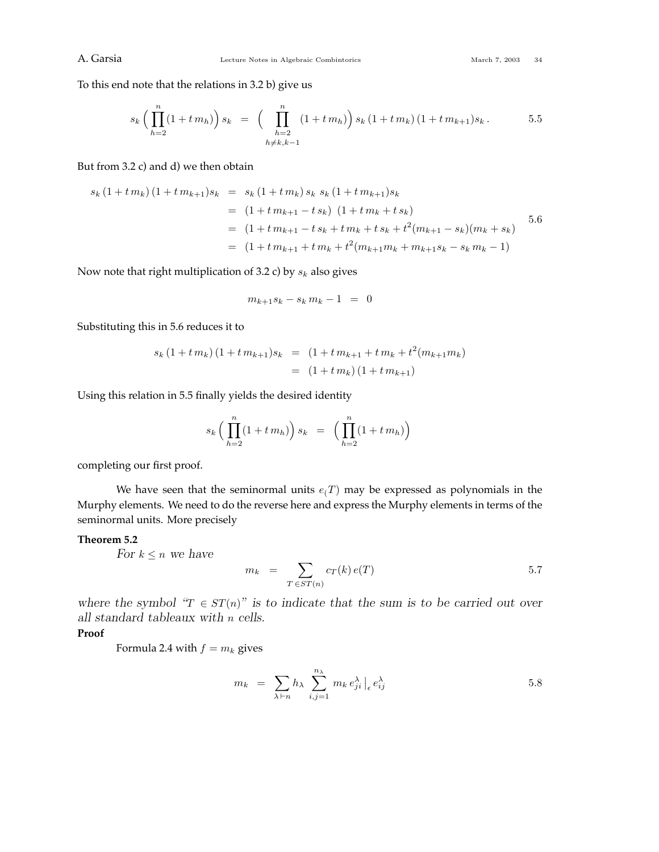To this end note that the relations in 3.2 b) give us

$$
s_k \left( \prod_{h=2}^n (1 + t \, m_h) \right) s_k \ = \ \left( \prod_{\substack{h=2 \\ h \neq k, k-1}}^n (1 + t \, m_h) \right) s_k \left( 1 + t \, m_k \right) (1 + t \, m_{k+1}) s_k \,. \tag{5.5}
$$

But from 3.2 c) and d) we then obtain

$$
s_k (1 + t m_k) (1 + t m_{k+1}) s_k = s_k (1 + t m_k) s_k s_k (1 + t m_{k+1}) s_k
$$
  
= (1 + t m\_{k+1} - t s\_k) (1 + t m\_k + t s\_k)  
= (1 + t m\_{k+1} - t s\_k + t m\_k + t s\_k + t^2 (m\_{k+1} - s\_k) (m\_k + s\_k)  
= (1 + t m\_{k+1} + t m\_k + t^2 (m\_{k+1} m\_k + m\_{k+1} s\_k - s\_k m\_k - 1)

Now note that right multiplication of 3.2 c) by *s<sup>k</sup>* also gives

$$
m_{k+1}s_k - s_k m_k - 1 = 0
$$

Substituting this in 5.6 reduces it to

$$
s_k (1 + t m_k) (1 + t m_{k+1}) s_k = (1 + t m_{k+1} + t m_k + t^2 (m_{k+1} m_k))
$$
  
= (1 + t m\_k) (1 + t m\_{k+1})

Using this relation in 5.5 finally yields the desired identity

$$
s_k \left( \prod_{h=2}^n (1 + t \, m_h) \right) s_k \ = \ \left( \prod_{h=2}^n (1 + t \, m_h) \right)
$$

completing our first proof.

We have seen that the seminormal units  $e(T)$  may be expressed as polynomials in the Murphy elements. We need to do the reverse here and express the Murphy elements in terms of the seminormal units. More precisely

## **Theorem 5.2**

*For*  $k \leq n$  *we have* 

$$
m_k = \sum_{T \in ST(n)} c_T(k) e(T) \tag{5.7}
$$

*where the symbol "* $T \in ST(n)$ *" is to indicate that the sum is to be carried out over all standard tableaux with n cells.*

## **Proof**

Formula 2.4 with  $f = m_k$  gives

$$
m_k = \sum_{\lambda \vdash n} h_{\lambda} \sum_{i,j=1}^{n_{\lambda}} m_k e_{ji}^{\lambda} |_{\epsilon} e_{ij}^{\lambda}
$$
 5.8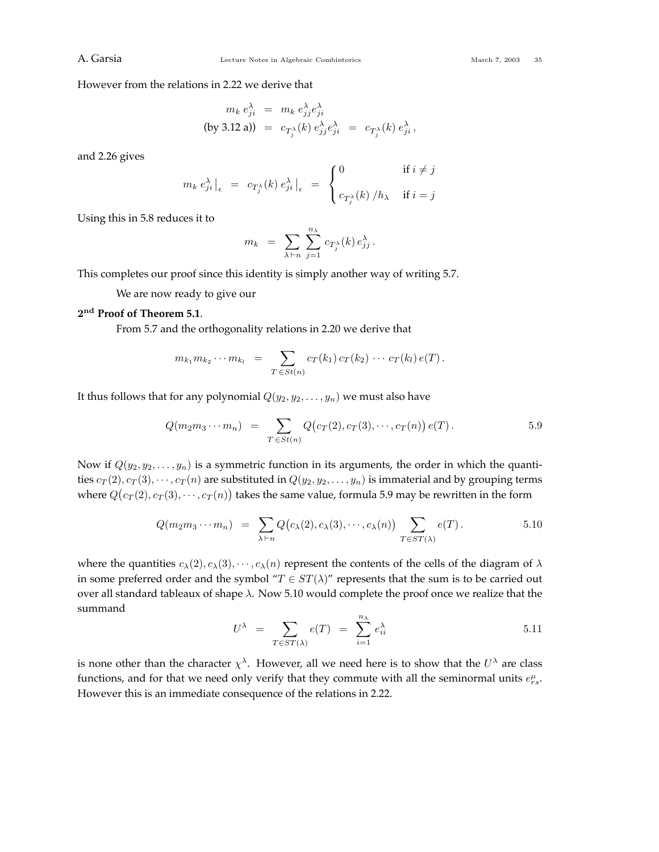However from the relations in 2.22 we derive that

$$
m_k e_{ji}^{\lambda} = m_k e_{jj}^{\lambda} e_{ji}^{\lambda}
$$
  
(by 3.12 a)) =  $c_{T_j^{\lambda}}(k) e_{jj}^{\lambda} e_{ji}^{\lambda} = c_{T_j^{\lambda}}(k) e_{ji}^{\lambda},$ 

and 2.26 gives

$$
m_k e_{ji}^{\lambda} \Big|_{\epsilon} = c_{T_j^{\lambda}}(k) e_{ji}^{\lambda} \Big|_{\epsilon} = \begin{cases} 0 & \text{if } i \neq j \\ c_{T_j^{\lambda}}(k) / h_{\lambda} & \text{if } i = j \end{cases}
$$

Using this in 5.8 reduces it to

$$
m_k = \sum_{\lambda \vdash n} \sum_{j=1}^{n_{\lambda}} c_{T_j^{\lambda}}(k) e_j^{\lambda}.
$$

This completes our proof since this identity is simply another way of writing 5.7.

We are now ready to give our

## **2nd Proof of Theorem 5.1**.

From 5.7 and the orthogonality relations in 2.20 we derive that

$$
m_{k_1} m_{k_2} \cdots m_{k_l} = \sum_{T \in St(n)} c_T(k_1) c_T(k_2) \cdots c_T(k_l) e(T).
$$

It thus follows that for any polynomial  $Q(y_2, y_2, \ldots, y_n)$  we must also have

$$
Q(m_2 m_3 \cdots m_n) = \sum_{T \in St(n)} Q(c_T(2), c_T(3), \cdots, c_T(n)) e(T).
$$
 5.9

Now if  $Q(y_2, y_2, \ldots, y_n)$  is a symmetric function in its arguments, the order in which the quantities  $c_T(2), c_T(3), \cdots, c_T(n)$  are substituted in  $Q(y_2, y_2, \ldots, y_n)$  is immaterial and by grouping terms where  $Q(c_{T}(2), c_{T}(3), \cdots, c_{T}(n))$  takes the same value, formula 5.9 may be rewritten in the form

$$
Q(m_2 m_3 \cdots m_n) = \sum_{\lambda \vdash n} Q(c_{\lambda}(2), c_{\lambda}(3), \cdots, c_{\lambda}(n)) \sum_{T \in ST(\lambda)} e(T).
$$
 5.10

where the quantities  $c_{\lambda}(2), c_{\lambda}(3), \dots, c_{\lambda}(n)$  represent the contents of the cells of the diagram of  $\lambda$ in some preferred order and the symbol " $T \in ST(\lambda)$ " represents that the sum is to be carried out over all standard tableaux of shape *λ*. Now 5.10 would complete the proof once we realize that the summand

$$
U^{\lambda} = \sum_{T \in ST(\lambda)} e(T) = \sum_{i=1}^{n_{\lambda}} e_{ii}^{\lambda}
$$
 5.11

is none other than the character  $\chi^{\lambda}$ . However, all we need here is to show that the  $U^{\lambda}$  are class functions, and for that we need only verify that they commute with all the seminormal units  $e^{\mu}_{rs}$ . However this is an immediate consequence of the relations in 2.22.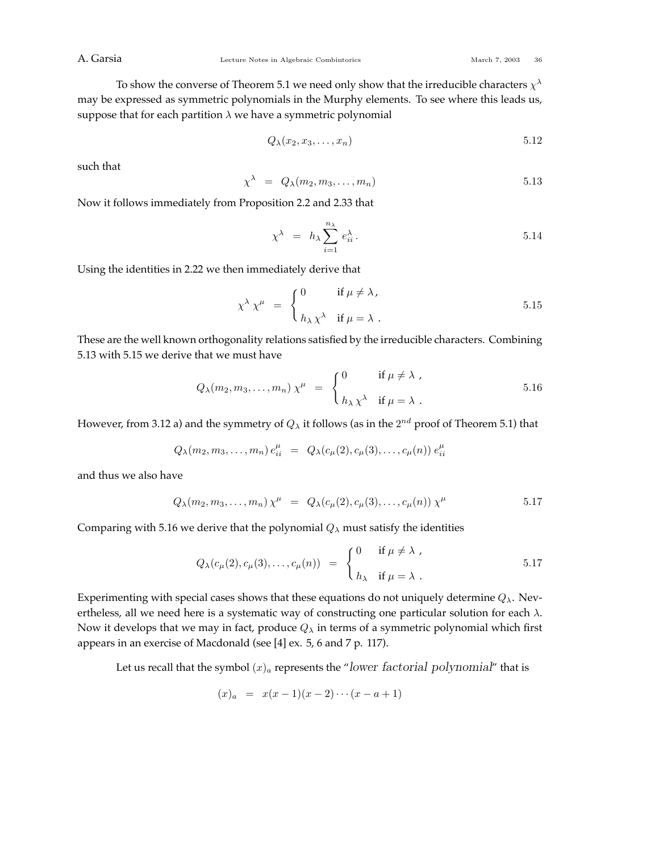To show the converse of Theorem 5.1 we need only show that the irreducible characters *χ<sup>λ</sup>* may be expressed as symmetric polynomials in the Murphy elements. To see where this leads us, suppose that for each partition  $\lambda$  we have a symmetric polynomial

$$
Q_{\lambda}(x_2, x_3, \ldots, x_n) \tag{5.12}
$$

such that

$$
\chi^{\lambda} = Q_{\lambda}(m_2, m_3, \dots, m_n) \tag{5.13}
$$

Now it follows immediately from Proposition 2.2 and 2.33 that

$$
\chi^{\lambda} = h_{\lambda} \sum_{i=1}^{n_{\lambda}} e_{ii}^{\lambda}.
$$
 5.14

Using the identities in 2.22 we then immediately derive that

$$
\chi^{\lambda} \chi^{\mu} = \begin{cases} 0 & \text{if } \mu \neq \lambda, \\ h_{\lambda} \chi^{\lambda} & \text{if } \mu = \lambda. \end{cases}
$$
 5.15

These are the well known orthogonality relations satisfied by the irreducible characters. Combining 5.13 with 5.15 we derive that we must have

$$
Q_{\lambda}(m_2, m_3, \dots, m_n) \chi^{\mu} = \begin{cases} 0 & \text{if } \mu \neq \lambda, \\ h_{\lambda} \chi^{\lambda} & \text{if } \mu = \lambda. \end{cases}
$$
 5.16

However, from 3.12 a) and the symmetry of *Q<sup>λ</sup>* it follows (as in the 2*nd* proof of Theorem 5.1) that

$$
Q_{\lambda}(m_2, m_3, \ldots, m_n) e_{ii}^{\mu} = Q_{\lambda}(c_{\mu}(2), c_{\mu}(3), \ldots, c_{\mu}(n)) e_{ii}^{\mu}
$$

and thus we also have

$$
Q_{\lambda}(m_2, m_3, \dots, m_n) \chi^{\mu} = Q_{\lambda}(c_{\mu}(2), c_{\mu}(3), \dots, c_{\mu}(n)) \chi^{\mu} \qquad 5.17
$$

Comparing with 5.16 we derive that the polynomial  $Q_\lambda$  must satisfy the identities

$$
Q_{\lambda}(c_{\mu}(2), c_{\mu}(3), \dots, c_{\mu}(n)) = \begin{cases} 0 & \text{if } \mu \neq \lambda, \\ h_{\lambda} & \text{if } \mu = \lambda. \end{cases}
$$
 5.17

Experimenting with special cases shows that these equations do not uniquely determine  $Q_\lambda$ . Nevertheless, all we need here is a systematic way of constructing one particular solution for each *λ*. Now it develops that we may in fact, produce *Q<sup>λ</sup>* in terms of a symmetric polynomial which first appears in an exercise of Macdonald (see [4] ex. 5, 6 and 7 p. 117).

Let us recall that the symbol  $(x)$ <sub>*a*</sub> represents the "*lower factorial polynomial*" that is

$$
(x)_a = x(x-1)(x-2)\cdots(x-a+1)
$$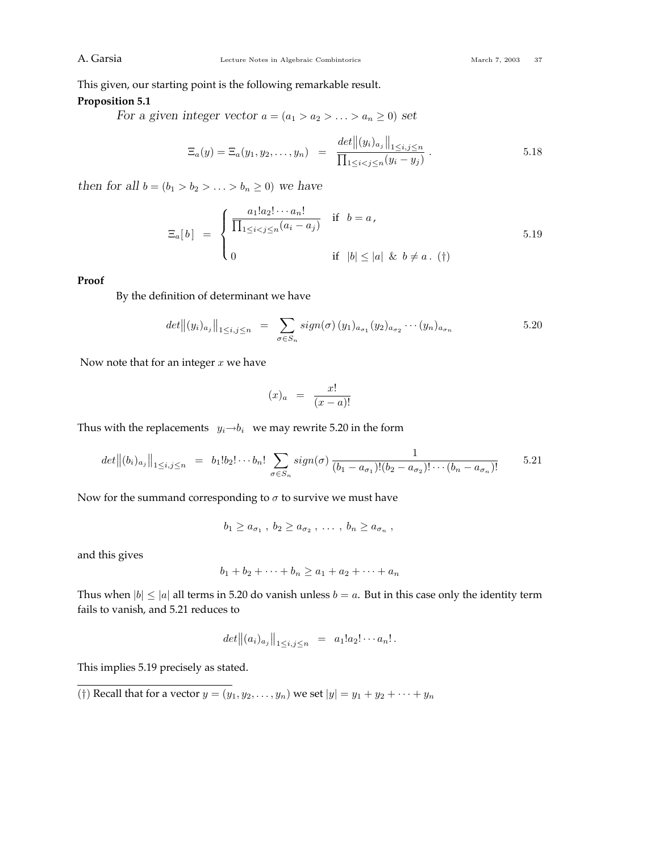This given, our starting point is the following remarkable result.

## **Proposition 5.1**

*For a given integer vector*  $a = (a_1 > a_2 > \ldots > a_n \geq 0)$  *set* 

$$
\Xi_a(y) = \Xi_a(y_1, y_2, \dots, y_n) = \frac{\det \|(y_i)_{a_j}\|_{1 \le i, j \le n}}{\prod_{1 \le i < j \le n} (y_i - y_j)}.
$$
\n5.18

*then for all*  $b = (b_1 > b_2 > ... > b_n \ge 0)$  *we have* 

$$
\Xi_a[b] = \begin{cases} \frac{a_1! a_2! \cdots a_n!}{\prod_{1 \le i < j \le n} (a_i - a_j)} & \text{if } b = a, \\ 0 & \text{if } |b| \le |a| \ \& b \ne a. \end{cases} \tag{5.19}
$$

## **Proof**

By the definition of determinant we have

$$
det||(y_i)_{a_j}||_{1 \le i,j \le n} = \sum_{\sigma \in S_n} sign(\sigma) (y_1)_{a_{\sigma_1}} (y_2)_{a_{\sigma_2}} \cdots (y_n)_{a_{\sigma_n}}
$$
\n
$$
\qquad \qquad 5.20
$$

Now note that for an integer *x* we have

$$
(x)_a = \frac{x!}{(x-a)!}
$$

Thus with the replacements  $y_i \rightarrow b_i$  we may rewrite 5.20 in the form

$$
det||(b_i)_{a_j}||_{1\leq i,j\leq n} = b_1!b_2!\cdots b_n! \sum_{\sigma \in S_n} sign(\sigma) \frac{1}{(b_1 - a_{\sigma_1})!(b_2 - a_{\sigma_2})!\cdots (b_n - a_{\sigma_n})!}
$$
 5.21

Now for the summand corresponding to  $\sigma$  to survive we must have

$$
b_1 \geq a_{\sigma_1} , b_2 \geq a_{\sigma_2} , \ldots , b_n \geq a_{\sigma_n} ,
$$

and this gives

$$
b_1 + b_2 + \dots + b_n \ge a_1 + a_2 + \dots + a_n
$$

Thus when  $|b| \le |a|$  all terms in 5.20 do vanish unless  $b = a$ . But in this case only the identity term fails to vanish, and 5.21 reduces to

$$
det||(a_i)_{a_j}||_{1\leq i,j\leq n} = a_1!a_2!\cdots a_n!.
$$

This implies 5.19 precisely as stated.

(†) Recall that for a vector  $y = (y_1, y_2, ..., y_n)$  we set  $|y| = y_1 + y_2 + ... + y_n$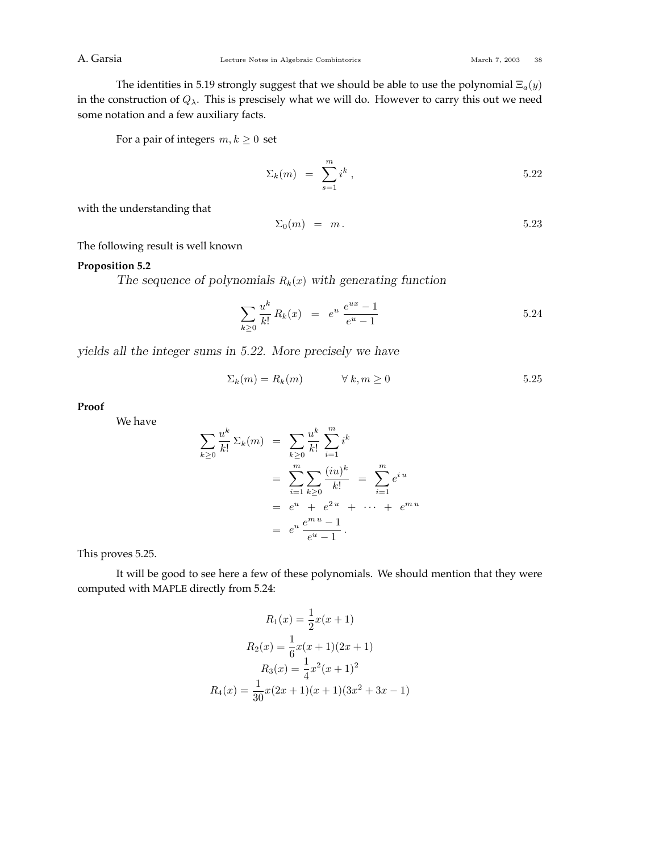The identities in 5.19 strongly suggest that we should be able to use the polynomial Ξ*a*(*y*) in the construction of *Qλ*. This is prescisely what we will do. However to carry this out we need some notation and a few auxiliary facts.

For a pair of integers  $m, k \geq 0$  set

$$
\Sigma_k(m) = \sum_{s=1}^m i^k , \qquad \qquad 5.22
$$

with the understanding that

$$
\Sigma_0(m) = m. \tag{5.23}
$$

The following result is well known

## **Proposition 5.2**

The sequence of polynomials  $R_k(x)$  with generating function

$$
\sum_{k\geq 0} \frac{u^k}{k!} R_k(x) = e^u \frac{e^{ux} - 1}{e^u - 1}
$$
 5.24

*yields all the integer sums in 5.22. More precisely we have*

$$
\Sigma_k(m) = R_k(m) \qquad \forall \, k, m \ge 0 \tag{5.25}
$$

**Proof**

We have

$$
\sum_{k\geq 0} \frac{u^k}{k!} \Sigma_k(m) = \sum_{k\geq 0} \frac{u^k}{k!} \sum_{i=1}^m i^k
$$
  
= 
$$
\sum_{i=1}^m \sum_{k\geq 0} \frac{(iu)^k}{k!} = \sum_{i=1}^m e^{iu}
$$
  
= 
$$
e^u + e^{2u} + \cdots + e^{mu}
$$
  
= 
$$
e^u \frac{e^{mu} - 1}{e^u - 1}.
$$

This proves 5.25.

It will be good to see here a few of these polynomials. We should mention that they were computed with MAPLE directly from 5.24:

$$
R_1(x) = \frac{1}{2}x(x+1)
$$

$$
R_2(x) = \frac{1}{6}x(x+1)(2x+1)
$$

$$
R_3(x) = \frac{1}{4}x^2(x+1)^2
$$

$$
R_4(x) = \frac{1}{30}x(2x+1)(x+1)(3x^2+3x-1)
$$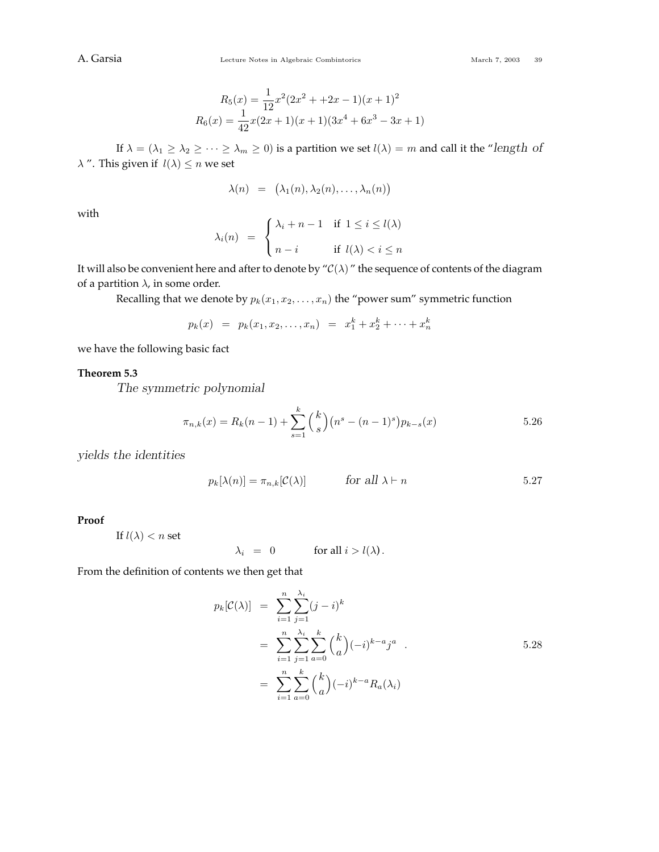$$
R_5(x) = \frac{1}{12}x^2(2x^2 + 2x - 1)(x + 1)^2
$$
  

$$
R_6(x) = \frac{1}{42}x(2x + 1)(x + 1)(3x^4 + 6x^3 - 3x + 1)
$$

If  $\lambda = (\lambda_1 \geq \lambda_2 \geq \cdots \geq \lambda_m \geq 0)$  is a partition we set  $l(\lambda) = m$  and call it the "length of *λ* ". This given if  $l(λ) ≤ n$  we set

$$
\lambda(n) = (\lambda_1(n), \lambda_2(n), \ldots, \lambda_n(n))
$$

with

$$
\lambda_i(n) = \begin{cases} \lambda_i + n - 1 & \text{if } 1 \le i \le l(\lambda) \\ n - i & \text{if } l(\lambda) < i \le n \end{cases}
$$

It will also be convenient here and after to denote by " $\mathcal{C}(\lambda)$ " the sequence of contents of the diagram of a partition  $\lambda$ , in some order.

Recalling that we denote by  $p_k(x_1, x_2, \ldots, x_n)$  the "power sum" symmetric function

$$
p_k(x) = p_k(x_1, x_2, \dots, x_n) = x_1^k + x_2^k + \dots + x_n^k
$$

we have the following basic fact

## **Theorem 5.3**

*The symmetric polynomial*

$$
\pi_{n,k}(x) = R_k(n-1) + \sum_{s=1}^k {k \choose s} (n^s - (n-1)^s) p_{k-s}(x)
$$
 5.26

*yields the identities*

$$
p_k[\lambda(n)] = \pi_{n,k}[\mathcal{C}(\lambda)] \qquad \text{for all } \lambda \vdash n \qquad 5.27
$$

**Proof**

If  $l(\lambda) < n$  set

$$
\lambda_i = 0 \qquad \text{for all } i > l(\lambda).
$$

From the definition of contents we then get that

$$
p_k[\mathcal{C}(\lambda)] = \sum_{i=1}^n \sum_{j=1}^{\lambda_i} (j-i)^k
$$
  
= 
$$
\sum_{i=1}^n \sum_{j=1}^{\lambda_i} \sum_{a=0}^k {k \choose a} (-i)^{k-a} j^a
$$
  
= 
$$
\sum_{i=1}^n \sum_{a=0}^k {k \choose a} (-i)^{k-a} R_a(\lambda_i)
$$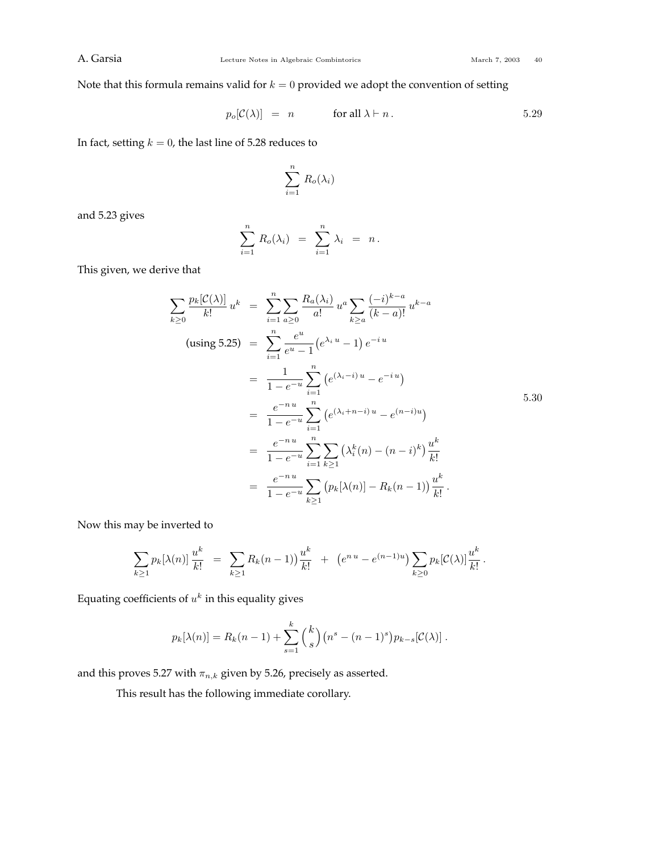Note that this formula remains valid for  $k = 0$  provided we adopt the convention of setting

$$
p_o[\mathcal{C}(\lambda)] = n \quad \text{for all } \lambda \vdash n. \tag{5.29}
$$

In fact, setting  $k = 0$ , the last line of 5.28 reduces to

$$
\sum_{i=1}^n R_o(\lambda_i)
$$

and 5.23 gives

$$
\sum_{i=1}^n R_o(\lambda_i) = \sum_{i=1}^n \lambda_i = n.
$$

This given, we derive that

$$
\sum_{k\geq 0} \frac{p_k[\mathcal{C}(\lambda)]}{k!} u^k = \sum_{i=1}^n \sum_{a\geq 0} \frac{R_a(\lambda_i)}{a!} u^a \sum_{k\geq a} \frac{(-i)^{k-a}}{(k-a)!} u^{k-a}
$$
\n
$$
\text{(using 5.25)} = \sum_{i=1}^n \frac{e^u}{e^u - 1} (e^{\lambda_i u} - 1) e^{-iu}
$$
\n
$$
= \frac{1}{1 - e^{-u}} \sum_{i=1}^n (e^{(\lambda_i - i)u} - e^{-iu})
$$
\n
$$
= \frac{e^{-nu}}{1 - e^{-u}} \sum_{i=1}^n (e^{(\lambda_i + n - i)u} - e^{(n - i)u})
$$
\n
$$
= \frac{e^{-nu}}{1 - e^{-u}} \sum_{i=1}^n \sum_{k\geq 1} (\lambda_i^k(n) - (n - i)^k) \frac{u^k}{k!}
$$
\n
$$
= \frac{e^{-nu}}{1 - e^{-u}} \sum_{k\geq 1} (p_k[\lambda(n)] - R_k(n - 1)) \frac{u^k}{k!}.
$$

Now this may be inverted to

$$
\sum_{k\geq 1} p_k[\lambda(n)] \frac{u^k}{k!} = \sum_{k\geq 1} R_k(n-1) \frac{u^k}{k!} + (e^{n \cdot u} - e^{(n-1)u}) \sum_{k\geq 0} p_k[\mathcal{C}(\lambda)] \frac{u^k}{k!}.
$$

Equating coefficients of  $u^k$  in this equality gives

$$
p_k[\lambda(n)] = R_k(n-1) + \sum_{s=1}^k {k \choose s} (n^s - (n-1)^s) p_{k-s}[\mathcal{C}(\lambda)].
$$

and this proves 5.27 with  $\pi_{n,k}$  given by 5.26, precisely as asserted.

This result has the following immediate corollary.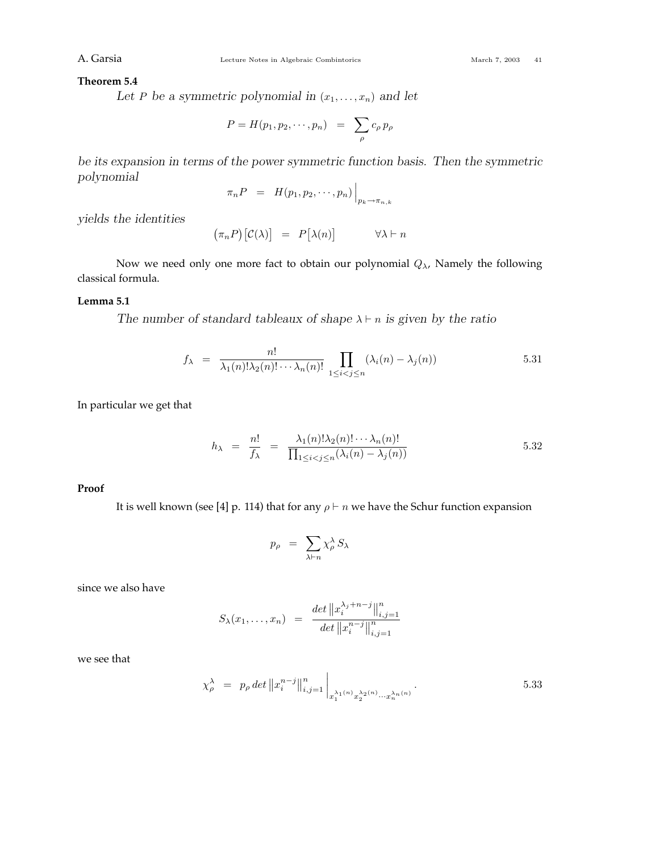### **Theorem 5.4**

Let *P* be a symmetric polynomial in  $(x_1, \ldots, x_n)$  and let

$$
P = H(p_1, p_2, \cdots, p_n) = \sum_{\rho} c_{\rho} p_{\rho}
$$

*be its expansion in terms of the power symmetric function basis. Then the symmetric polynomial*

$$
\pi_n P = H(p_1, p_2, \cdots, p_n) \Big|_{p_k \to \pi_{n,k}}
$$

*yields the identities*

$$
(\pi_n P) [C(\lambda)] = P [\lambda(n)] \qquad \forall \lambda \vdash n
$$

Now we need only one more fact to obtain our polynomial *Qλ*, Namely the following classical formula.

## **Lemma 5.1**

*The number of standard tableaux of shape*  $\lambda \vdash n$  *is given by the ratio* 

$$
f_{\lambda} = \frac{n!}{\lambda_1(n)!\lambda_2(n)!\cdots\lambda_n(n)!} \prod_{1 \leq i < j \leq n} (\lambda_i(n) - \lambda_j(n)) \tag{5.31}
$$

In particular we get that

$$
h_{\lambda} = \frac{n!}{f_{\lambda}} = \frac{\lambda_1(n)! \lambda_2(n)! \cdots \lambda_n(n)!}{\prod_{1 \le i < j \le n} (\lambda_i(n) - \lambda_j(n))} \tag{5.32}
$$

## **Proof**

It is well known (see [4] p. 114) that for any  $\rho \vdash n$  we have the Schur function expansion

$$
p_{\rho} \;\; = \;\; \sum_{\lambda \vdash n} \chi_{\rho}^{\lambda} \, S_{\lambda}
$$

since we also have

$$
S_{\lambda}(x_1,\ldots,x_n) = \frac{\det \|x_i^{\lambda_j+n-j}\|_{i,j=1}^n}{\det \|x_i^{n-j}\|_{i,j=1}^n}
$$

we see that

$$
\chi_{\rho}^{\lambda} = p_{\rho} \det ||x_{i}^{n-j}||_{i,j=1}^{n} \Big|_{x_{1}^{\lambda_{1}(n)} x_{2}^{\lambda_{2}(n)} \cdots x_{n}^{\lambda_{n}(n)}}.
$$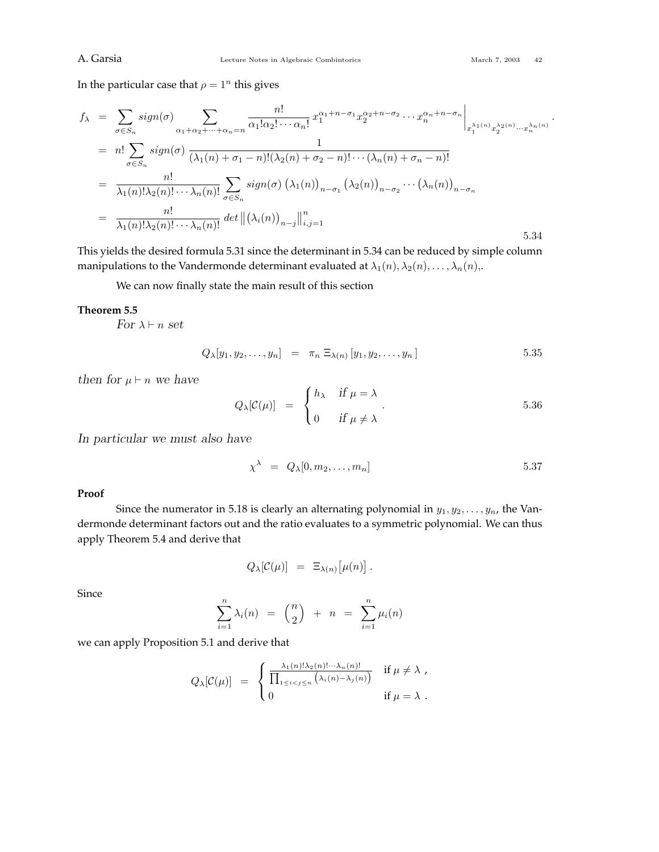In the particular case that  $\rho = 1^n$  this gives

$$
f_{\lambda} = \sum_{\sigma \in S_n} sign(\sigma) \sum_{\alpha_1 + \alpha_2 + \dots + \alpha_n = n} \frac{n!}{\alpha_1! \alpha_2! \cdots \alpha_n!} x_1^{\alpha_1 + n - \sigma_1} x_2^{\alpha_2 + n - \sigma_2} \cdots x_n^{\alpha_n + n - \sigma_n} \Big|_{x_1^{\lambda_1(n)} x_2^{\lambda_2(n)} \cdots x_n^{\lambda_n(n)}}.
$$
  
\n
$$
= n! \sum_{\sigma \in S_n} sign(\sigma) \frac{1}{(\lambda_1(n) + \sigma_1 - n)! (\lambda_2(n) + \sigma_2 - n)! \cdots (\lambda_n(n) + \sigma_n - n)!}
$$
  
\n
$$
= \frac{n!}{\lambda_1(n)! \lambda_2(n)! \cdots \lambda_n(n)!} \sum_{\sigma \in S_n} sign(\sigma) (\lambda_1(n))_{n - \sigma_1} (\lambda_2(n))_{n - \sigma_2} \cdots (\lambda_n(n))_{n - \sigma_n}
$$
  
\n
$$
= \frac{n!}{\lambda_1(n)! \lambda_2(n)! \cdots \lambda_n(n)!} det ||(\lambda_i(n))_{n - j}||_{i, j = 1}^n
$$
  
\n5.34

This yields the desired formula 5.31 since the determinant in 5.34 can be reduced by simple column manipulations to the Vandermonde determinant evaluated at  $\lambda_1(n), \lambda_2(n), \ldots, \lambda_n(n)$ ,.

We can now finally state the main result of this section

### **Theorem 5.5**

*For*  $\lambda \vdash n$  *set* 

$$
Q_{\lambda}[y_1, y_2, \dots, y_n] = \pi_n \ \Xi_{\lambda(n)}[y_1, y_2, \dots, y_n] \tag{5.35}
$$

*then for*  $\mu \vdash n$  *we have* 

$$
Q_{\lambda}[\mathcal{C}(\mu)] = \begin{cases} h_{\lambda} & \text{if } \mu = \lambda \\ 0 & \text{if } \mu \neq \lambda \end{cases} \qquad 5.36
$$

*In particular we must also have*

$$
\chi^{\lambda} = Q_{\lambda}[0, m_2, \dots, m_n] \qquad 5.37
$$

## **Proof**

Since the numerator in 5.18 is clearly an alternating polynomial in  $y_1, y_2, \ldots, y_n$ , the Vandermonde determinant factors out and the ratio evaluates to a symmetric polynomial. We can thus apply Theorem 5.4 and derive that

$$
Q_{\lambda}[\mathcal{C}(\mu)] = \Xi_{\lambda(n)}[\mu(n)].
$$

Since

$$
\sum_{i=1}^{n} \lambda_i(n) = {n \choose 2} + n = \sum_{i=1}^{n} \mu_i(n)
$$

we can apply Proposition 5.1 and derive that

$$
Q_{\lambda}[\mathcal{C}(\mu)] = \begin{cases} \frac{\lambda_1(n)! \lambda_2(n)! \cdots \lambda_n(n)!}{\prod_{1 \leq i < j \leq n} \left(\lambda_i(n) - \lambda_j(n)\right)} & \text{if } \mu \neq \lambda, \\ 0 & \text{if } \mu = \lambda. \end{cases}
$$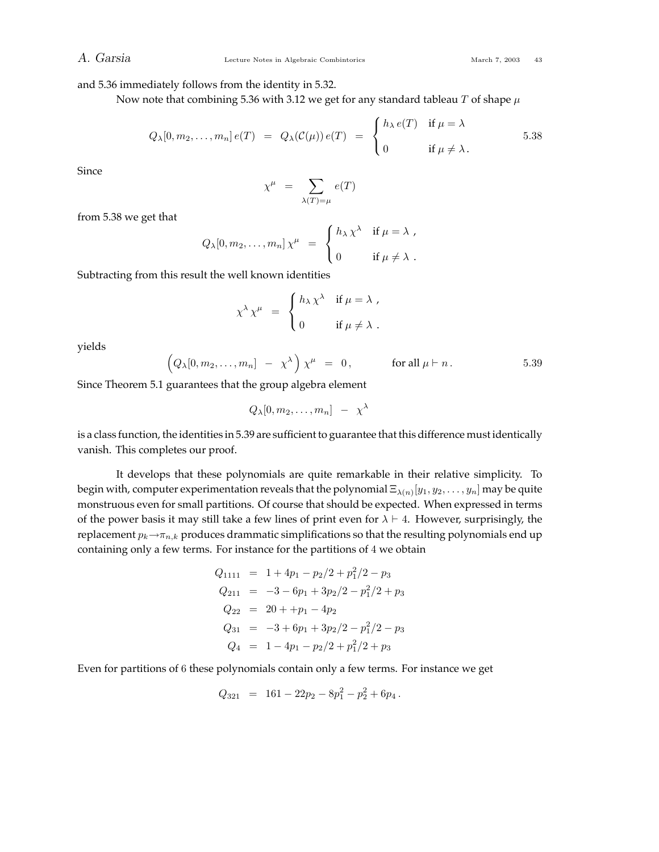and 5.36 immediately follows from the identity in 5.32.

Now note that combining 5.36 with 3.12 we get for any standard tableau *T* of shape *µ*

$$
Q_{\lambda}[0, m_2,..., m_n] e(T) = Q_{\lambda}(\mathcal{C}(\mu)) e(T) = \begin{cases} h_{\lambda} e(T) & \text{if } \mu = \lambda \\ 0 & \text{if } \mu \neq \lambda. \end{cases}
$$
 5.38

Since

$$
\chi^{\mu} = \sum_{\lambda(T)=\mu} e(T)
$$

from 5.38 we get that

$$
Q_{\lambda}[0, m_2,..., m_n] \chi^{\mu} = \begin{cases} h_{\lambda} \chi^{\lambda} & \text{if } \mu = \lambda ,\\ 0 & \text{if } \mu \neq \lambda . \end{cases}
$$

Subtracting from this result the well known identities

$$
\chi^{\lambda} \chi^{\mu} = \begin{cases} h_{\lambda} \chi^{\lambda} & \text{if } \mu = \lambda , \\ 0 & \text{if } \mu \neq \lambda . \end{cases}
$$

yields

$$
\left(Q_{\lambda}[0,m_2,\ldots,m_n] - \chi^{\lambda}\right)\chi^{\mu} = 0, \quad \text{for all } \mu \vdash n. \tag{5.39}
$$

Since Theorem 5.1 guarantees that the group algebra element

$$
Q_{\lambda}[0, m_2, \ldots, m_n] - \chi^{\lambda}
$$

is a class function, the identities in 5.39 are sufficient to guarantee that this difference must identically vanish. This completes our proof.

It develops that these polynomials are quite remarkable in their relative simplicity. To begin with, computer experimentation reveals that the polynomial  $\Xi_{\lambda(n)}[y_1, y_2, \ldots, y_n]$  may be quite monstruous even for small partitions. Of course that should be expected. When expressed in terms of the power basis it may still take a few lines of print even for  $\lambda \vdash 4$ . However, surprisingly, the replacement  $p_k \rightarrow \pi_{n,k}$  produces drammatic simplifications so that the resulting polynomials end up containing only a few terms. For instance for the partitions of 4 we obtain

$$
Q_{1111} = 1 + 4p_1 - p_2/2 + p_1^2/2 - p_3
$$
  
\n
$$
Q_{211} = -3 - 6p_1 + 3p_2/2 - p_1^2/2 + p_3
$$
  
\n
$$
Q_{22} = 20 + p_1 - 4p_2
$$
  
\n
$$
Q_{31} = -3 + 6p_1 + 3p_2/2 - p_1^2/2 - p_3
$$
  
\n
$$
Q_4 = 1 - 4p_1 - p_2/2 + p_1^2/2 + p_3
$$

Even for partitions of 6 these polynomials contain only a few terms. For instance we get

$$
Q_{321} = 161 - 22p_2 - 8p_1^2 - p_2^2 + 6p_4.
$$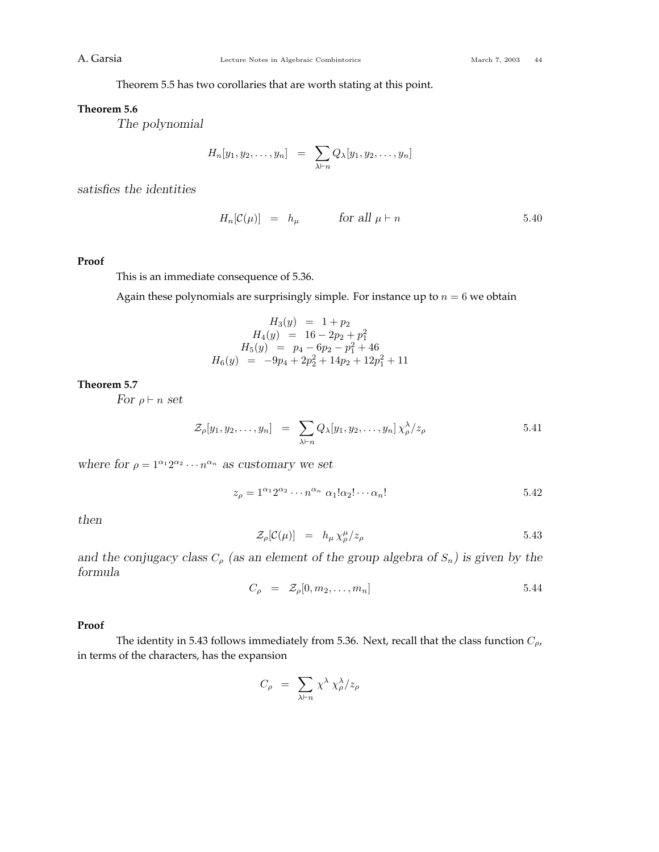Theorem 5.5 has two corollaries that are worth stating at this point.

## **Theorem 5.6**

*The polynomial*

$$
H_n[y_1, y_2, \ldots, y_n] = \sum_{\lambda \vdash n} Q_{\lambda}[y_1, y_2, \ldots, y_n]
$$

*satisfies the identities*

$$
H_n[\mathcal{C}(\mu)] = h_\mu \qquad \text{for all } \mu \vdash n \tag{5.40}
$$

## **Proof**

This is an immediate consequence of 5.36.

Again these polynomials are surprisingly simple. For instance up to  $n = 6$  we obtain

$$
H_3(y) = 1 + p_2
$$
  
\n
$$
H_4(y) = 16 - 2p_2 + p_1^2
$$
  
\n
$$
H_5(y) = p_4 - 6p_2 - p_1^2 + 46
$$
  
\n
$$
H_6(y) = -9p_4 + 2p_2^2 + 14p_2 + 12p_1^2 + 11
$$

## **Theorem 5.7**

*For*  $\rho \vdash n$  *set* 

$$
\mathcal{Z}_{\rho}[y_1, y_2, \dots, y_n] = \sum_{\lambda \vdash n} Q_{\lambda}[y_1, y_2, \dots, y_n] \chi_{\rho}^{\lambda}/z_{\rho} \qquad 5.41
$$

*where for*  $\rho = 1^{\alpha_1} 2^{\alpha_2} \cdots n^{\alpha_n}$  *as customary we set* 

$$
z_{\rho} = 1^{\alpha_1} 2^{\alpha_2} \cdots n^{\alpha_n} \alpha_1! \alpha_2! \cdots \alpha_n!
$$

*then*

$$
\mathcal{Z}_{\rho}[\mathcal{C}(\mu)] = h_{\mu} \chi_{\rho}^{\mu}/z_{\rho} \qquad 5.43
$$

*and the conjugacy class*  $C_p$  (as an element of the group algebra of  $S_n$ ) is given by the *formula*

$$
C_{\rho} = \mathcal{Z}_{\rho}[0, m_2, \dots, m_n] \qquad 5.44
$$

## **Proof**

The identity in 5.43 follows immediately from 5.36. Next, recall that the class function *Cρ*, in terms of the characters, has the expansion

$$
C_{\rho} = \sum_{\lambda \vdash n} \chi^{\lambda} \chi^{\lambda}_{\rho}/z_{\rho}
$$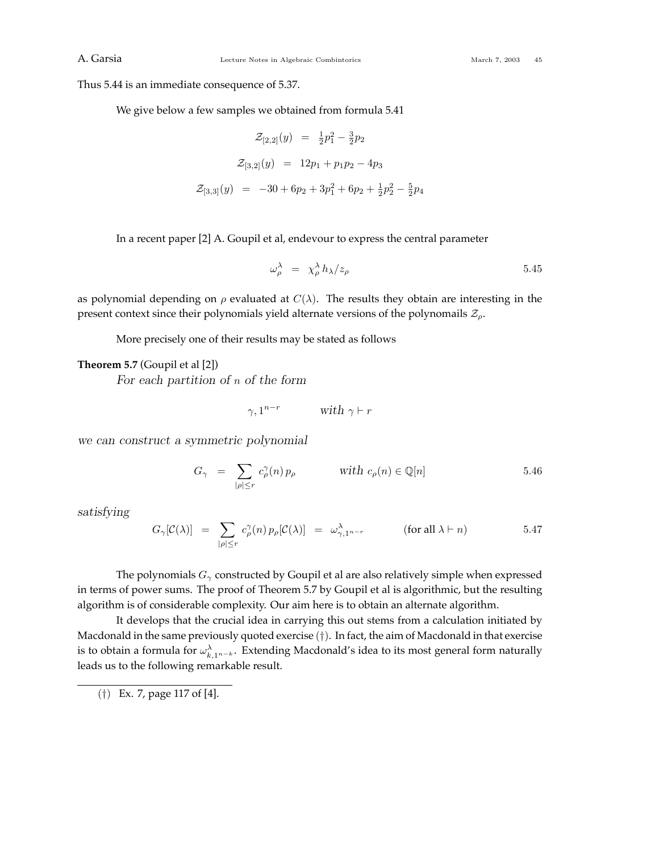Thus 5.44 is an immediate consequence of 5.37.

We give below a few samples we obtained from formula 5.41

$$
\mathcal{Z}_{[2,2]}(y) = \frac{1}{2}p_1^2 - \frac{3}{2}p_2
$$
  

$$
\mathcal{Z}_{[3,2]}(y) = 12p_1 + p_1p_2 - 4p_3
$$
  

$$
\mathcal{Z}_{[3,3]}(y) = -30 + 6p_2 + 3p_1^2 + 6p_2 + \frac{1}{2}p_2^2 - \frac{5}{2}p_4
$$

In a recent paper [2] A. Goupil et al, endevour to express the central parameter

$$
\omega_{\rho}^{\lambda} = \chi_{\rho}^{\lambda} h_{\lambda}/z_{\rho} \tag{5.45}
$$

as polynomial depending on  $\rho$  evaluated at  $C(\lambda)$ . The results they obtain are interesting in the present context since their polynomials yield alternate versions of the polynomails Z*ρ*.

More precisely one of their results may be stated as follows

## **Theorem 5.7** (Goupil et al [2])

*For each partition of n of the form*

$$
\gamma, 1^{n-r} \qquad \text{with } \gamma \vdash r
$$

*we can construct a symmetric polynomial*

$$
G_{\gamma} = \sum_{|\rho| \le r} c_{\rho}^{\gamma}(n) p_{\rho} \qquad \text{with } c_{\rho}(n) \in \mathbb{Q}[n] \qquad 5.46
$$

*satisfying*

$$
G_{\gamma}[\mathcal{C}(\lambda)] = \sum_{|\rho| \le r} c_{\rho}^{\gamma}(n) p_{\rho}[\mathcal{C}(\lambda)] = \omega_{\gamma,1^{n-r}}^{\lambda} \qquad (\text{for all } \lambda \vdash n) \qquad 5.47
$$

The polynomials *G<sup>γ</sup>* constructed by Goupil et al are also relatively simple when expressed in terms of power sums. The proof of Theorem 5.7 by Goupil et al is algorithmic, but the resulting algorithm is of considerable complexity. Our aim here is to obtain an alternate algorithm.

It develops that the crucial idea in carrying this out stems from a calculation initiated by Macdonald in the same previously quoted exercise (†). In fact, the aim of Macdonald in that exercise is to obtain a formula for  $\omega^{\lambda}_{k,1^{n-k}}$ . Extending Macdonald's idea to its most general form naturally leads us to the following remarkable result.

<sup>(</sup>†) Ex. 7, page 117 of [4].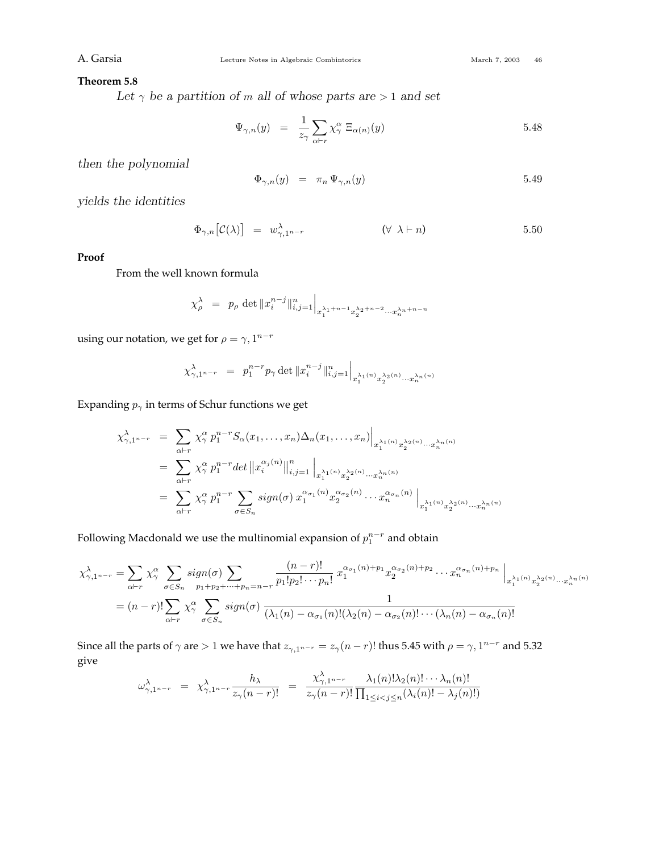## **Theorem 5.8**

Let  $\gamma$  be a partition of *m* all of whose parts are  $> 1$  and set

$$
\Psi_{\gamma,n}(y) = \frac{1}{z_{\gamma}} \sum_{\alpha \vdash r} \chi_{\gamma}^{\alpha} \Xi_{\alpha(n)}(y) \qquad 5.48
$$

*then the polynomial*

$$
\Phi_{\gamma,n}(y) = \pi_n \Psi_{\gamma,n}(y) \tag{5.49}
$$

*yields the identities*

$$
\Phi_{\gamma,n}\left[\mathcal{C}(\lambda)\right] = w_{\gamma,1^{n-r}}^{\lambda} \qquad (\forall \lambda \vdash n) \qquad 5.50
$$

## **Proof**

From the well known formula

$$
\chi_{\rho}^{\lambda} = p_{\rho} \det \|x_i^{n-j}\|_{i,j=1}^n \Big|_{x_1^{\lambda_1+n-1} x_2^{\lambda_2+n-2} \cdots x_n^{\lambda_n+n-n}}
$$

using our notation, we get for  $\rho = \gamma, 1^{n-r}$ 

$$
\chi^{\lambda}_{\gamma,1^{n-r}} = p_1^{n-r} p_\gamma \det \|x_i^{n-j}\|_{i,j=1}^n \Big|_{x_1^{\lambda_1(n)} x_2^{\lambda_2(n)} \cdots x_n^{\lambda_n(n)}}
$$

Expanding  $p_{\gamma}$  in terms of Schur functions we get

$$
\chi_{\gamma,1^{n-r}}^{\lambda} = \sum_{\alpha \vdash r} \chi_{\gamma}^{\alpha} p_1^{n-r} S_{\alpha}(x_1,\ldots,x_n) \Delta_n(x_1,\ldots,x_n) \Big|_{x_1^{\lambda_1(n)} x_2^{\lambda_2(n)} \cdots x_n^{\lambda_n(n)}}
$$
  
\n
$$
= \sum_{\alpha \vdash r} \chi_{\gamma}^{\alpha} p_1^{n-r} \det \|x_i^{\alpha_j(n)}\|_{i,j=1}^n \Big|_{x_1^{\lambda_1(n)} x_2^{\lambda_2(n)} \cdots x_n^{\lambda_n(n)}}
$$
  
\n
$$
= \sum_{\alpha \vdash r} \chi_{\gamma}^{\alpha} p_1^{n-r} \sum_{\sigma \in S_n} sign(\sigma) x_1^{\alpha_{\sigma_1}(n)} x_2^{\alpha_{\sigma_2}(n)} \cdots x_n^{\alpha_{\sigma_n}(n)} \Big|_{x_1^{\lambda_1(n)} x_2^{\lambda_2(n)} \cdots x_n^{\lambda_n(n)}}
$$

Following Macdonald we use the multinomial expansion of  $p_1^{n-r}$  and obtain

$$
\chi_{\gamma,1^{n-r}}^{\lambda} = \sum_{\alpha \vdash r} \chi_{\gamma}^{\alpha} \sum_{\sigma \in S_n} sign(\sigma) \sum_{p_1+p_2+\cdots+p_n=n-r} \frac{(n-r)!}{p_1!p_2! \cdots p_n!} x_1^{\alpha_{\sigma_1}(n)+p_1} x_2^{\alpha_{\sigma_2}(n)+p_2} \cdots x_n^{\alpha_{\sigma_n}(n)+p_n} \Big|_{x_1^{\lambda_1(n)} x_2^{\lambda_2(n)} \cdots x_n^{\lambda_n(n)}}
$$
  
=  $(n-r)!\sum_{\alpha \vdash r} \chi_{\gamma}^{\alpha} \sum_{\sigma \in S_n} sign(\sigma) \frac{1}{(\lambda_1(n)-\alpha_{\sigma_1}(n)!(\lambda_2(n)-\alpha_{\sigma_2}(n)!\cdots(\lambda_n(n)-\alpha_{\sigma_n}(n))!} \frac{1}{(\lambda_1(n)-\alpha_{\sigma_1}(n)!(\lambda_2(n)-\alpha_{\sigma_2}(n)!\cdots(\lambda_n(n)-\alpha_{\sigma_n}(n))!} \Big|_{x_1^{\lambda_1(n)} x_2^{\lambda_2(n)} \cdots x_n^{\lambda_n(n)}}$ 

Since all the parts of  $\gamma$  are  $> 1$  we have that  $z_{\gamma,1^{n-r}} = z_{\gamma}(n-r)!$  thus 5.45 with  $\rho = \gamma, 1^{n-r}$  and 5.32 give

$$
\omega_{\gamma,1^{n-r}}^{\lambda} = \chi_{\gamma,1^{n-r}}^{\lambda} \frac{h_{\lambda}}{z_{\gamma}(n-r)!} = \frac{\chi_{\gamma,1^{n-r}}^{\lambda} \lambda_1(n)! \lambda_2(n)! \cdots \lambda_n(n)!}{z_{\gamma}(n-r)!} \frac{\lambda_1(n)! \lambda_2(n)! \cdots \lambda_n(n)!}{\prod_{1 \leq i < j \leq n} (\lambda_i(n)! - \lambda_j(n)!)}
$$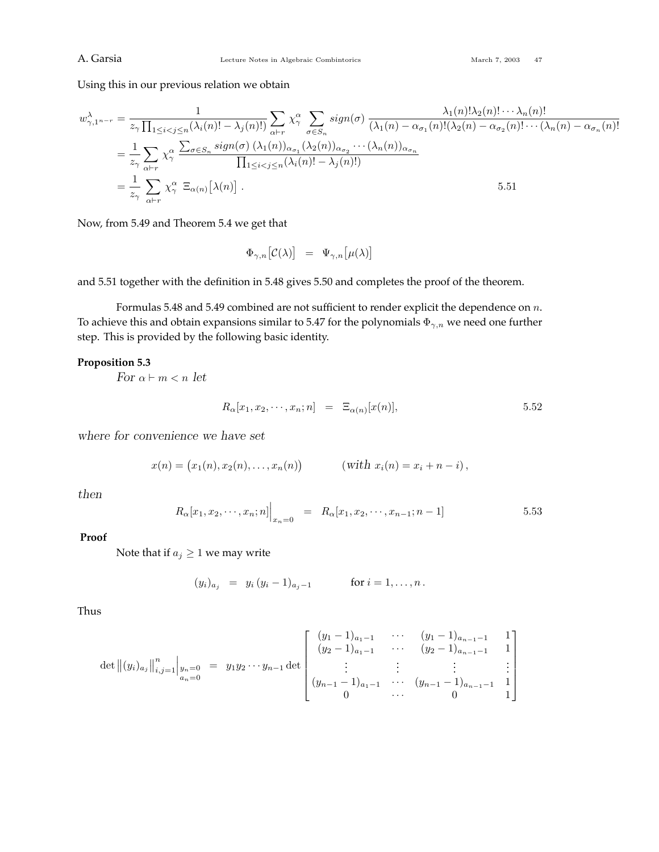Using this in our previous relation we obtain

$$
w_{\gamma,1^{n-r}}^{\lambda} = \frac{1}{z_{\gamma} \prod_{1 \leq i < j \leq n} (\lambda_i(n)! - \lambda_j(n)!)} \sum_{\alpha \vdash r} \chi_{\gamma}^{\alpha} \sum_{\sigma \in S_n} sign(\sigma) \frac{\lambda_1(n)! \lambda_2(n)! \cdots \lambda_n(n)!}{(\lambda_1(n) - \alpha_{\sigma_1}(n)! (\lambda_2(n) - \alpha_{\sigma_2}(n)! \cdots (\lambda_n(n) - \alpha_{\sigma_n}(n)!))}
$$
\n
$$
= \frac{1}{z_{\gamma}} \sum_{\alpha \vdash r} \chi_{\gamma}^{\alpha} \frac{\sum_{\sigma \in S_n} sign(\sigma) (\lambda_1(n))_{\alpha_{\sigma_1}} (\lambda_2(n))_{\alpha_{\sigma_2}} \cdots (\lambda_n(n))_{\alpha_{\sigma_n}}}{\prod_{1 \leq i < j \leq n} (\lambda_i(n)! - \lambda_j(n)!)}
$$
\n
$$
= \frac{1}{z_{\gamma}} \sum_{\alpha \vdash r} \chi_{\gamma}^{\alpha} \Xi_{\alpha(n)}[\lambda(n)]. \tag{5.51}
$$

Now, from 5.49 and Theorem 5.4 we get that

$$
\Phi_{\gamma,n}\big[\mathcal{C}(\lambda)\big] \;\;=\;\; \Psi_{\gamma,n}\big[\mu(\lambda)\big]
$$

and 5.51 together with the definition in 5.48 gives 5.50 and completes the proof of the theorem.

Formulas 5.48 and 5.49 combined are not sufficient to render explicit the dependence on *n*. To achieve this and obtain expansions similar to 5.47 for the polynomials Φ*γ,n* we need one further step. This is provided by the following basic identity.

## **Proposition 5.3**

*For*  $\alpha \vdash m < n$  *let* 

$$
R_{\alpha}[x_1, x_2, \cdots, x_n; n] = \Xi_{\alpha(n)}[x(n)], \qquad \qquad 5.52
$$

*where for convenience we have set*

$$
x(n) = (x_1(n), x_2(n), \dots, x_n(n)) \qquad (with \ x_i(n) = x_i + n - i),
$$

*then*

$$
R_{\alpha}[x_1, x_2, \cdots, x_n; n] \Big|_{x_n=0} = R_{\alpha}[x_1, x_2, \cdots, x_{n-1}; n-1]
$$
 5.53

## **Proof**

Note that if  $a_j \geq 1$  we may write

$$
(y_i)_{a_j} = y_i (y_i - 1)_{a_j - 1}
$$
 for  $i = 1, ..., n$ .

Thus

$$
\det \left\| (y_i)_{a_j} \right\|_{i,j=1}^n \Big|_{\substack{y_n=0 \ a_n=0}} = y_1 y_2 \cdots y_{n-1} \det \begin{bmatrix} (y_1 - 1)_{a_1-1} & \cdots & (y_1 - 1)_{a_{n-1}-1} & 1 \\ (y_2 - 1)_{a_1-1} & \cdots & (y_2 - 1)_{a_{n-1}-1} & 1 \\ \vdots & \vdots & \ddots & \vdots & \vdots \\ (y_{n-1} - 1)_{a_1-1} & \cdots & (y_{n-1} - 1)_{a_{n-1}-1} & 1 \\ 0 & \cdots & 0 & 1 \end{bmatrix}
$$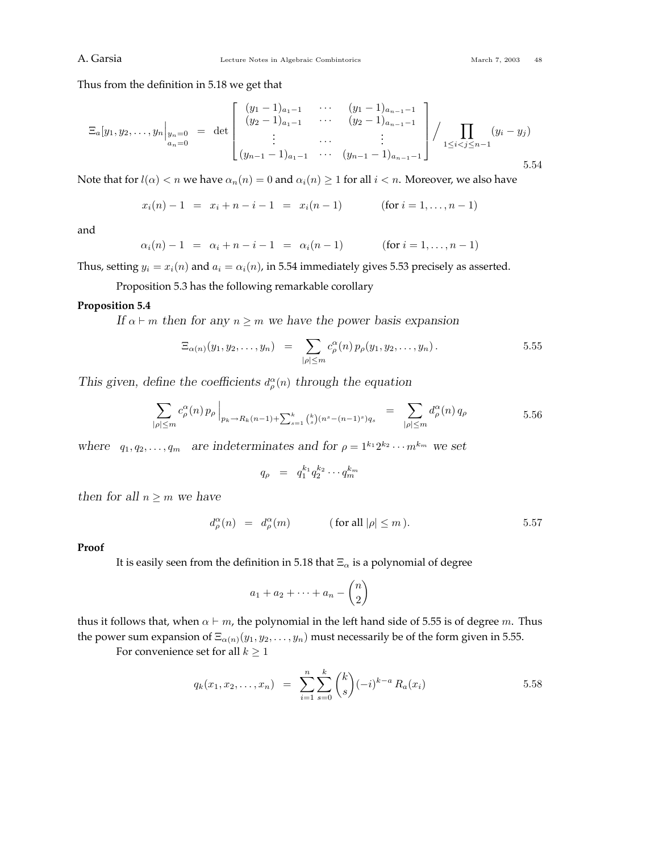Thus from the definition in 5.18 we get that

$$
\Xi_a[y_1, y_2, \dots, y_n]_{\substack{y_n=0 \ a_n=0}} = \det \begin{bmatrix} (y_1 - 1)_{a_1-1} & \cdots & (y_1 - 1)_{a_{n-1}-1} \\ (y_2 - 1)_{a_1-1} & \cdots & (y_2 - 1)_{a_{n-1}-1} \\ \vdots & \cdots & \vdots \\ (y_{n-1} - 1)_{a_1-1} & \cdots & (y_{n-1} - 1)_{a_{n-1}-1} \end{bmatrix} / \prod_{1 \le i < j \le n-1} (y_i - y_j)
$$
\n5.54

Note that for  $l(\alpha) < n$  we have  $\alpha_n(n) = 0$  and  $\alpha_i(n) \geq 1$  for all  $i < n$ . Moreover, we also have

 $x_i(n) - 1 = x_i + n - i - 1 = x_i(n - 1)$  (for  $i = 1, ..., n - 1$ )

and

$$
\alpha_i(n) - 1 = \alpha_i + n - i - 1 = \alpha_i(n - 1) \quad (\text{for } i = 1, ..., n - 1)
$$

Thus, setting  $y_i = x_i(n)$  and  $a_i = \alpha_i(n)$ , in 5.54 immediately gives 5.53 precisely as asserted.

Proposition 5.3 has the following remarkable corollary

### **Proposition 5.4**

*If*  $\alpha \vdash m$  *then for any*  $n \geq m$  *we have the power basis expansion* 

$$
\Xi_{\alpha(n)}(y_1, y_2, \dots, y_n) = \sum_{|\rho| \leq m} c^{\alpha}_{\rho}(n) p_{\rho}(y_1, y_2, \dots, y_n).
$$
 5.55

*This given, define the coefficients*  $d_{\rho}^{\alpha}(n)$  *through the equation* 

$$
\sum_{|\rho| \le m} c_{\rho}^{\alpha}(n) p_{\rho} \Big|_{p_{k} \to R_{k}(n-1)+ \sum_{s=1}^{k} {k \choose s} (n^{s} - (n-1)^{s}) q_{s}} = \sum_{|\rho| \le m} d_{\rho}^{\alpha}(n) q_{\rho} \qquad 5.56
$$

*where*  $q_1, q_2, \ldots, q_m$  *are indeterminates and for*  $\rho = 1^{k_1} 2^{k_2} \cdots m^{k_m}$  *we set* 

$$
q_{\rho} = q_1^{k_1} q_2^{k_2} \cdots q_m^{k_m}
$$

*then for all*  $n \geq m$  *we have* 

$$
d_{\rho}^{\alpha}(n) = d_{\rho}^{\alpha}(m) \qquad (\text{for all } |\rho| \le m). \qquad 5.57
$$

#### **Proof**

It is easily seen from the definition in 5.18 that Ξ*<sup>α</sup>* is a polynomial of degree

$$
a_1 + a_2 + \dots + a_n - \binom{n}{2}
$$

thus it follows that, when  $\alpha \vdash m$ , the polynomial in the left hand side of 5.55 is of degree *m*. Thus the power sum expansion of  $\Xi_{\alpha(n)}(y_1, y_2, \ldots, y_n)$  must necessarily be of the form given in 5.55.

For convenience set for all  $k \geq 1$ 

$$
q_k(x_1, x_2, \dots, x_n) = \sum_{i=1}^n \sum_{s=0}^k {k \choose s} (-i)^{k-a} R_a(x_i)
$$
 5.58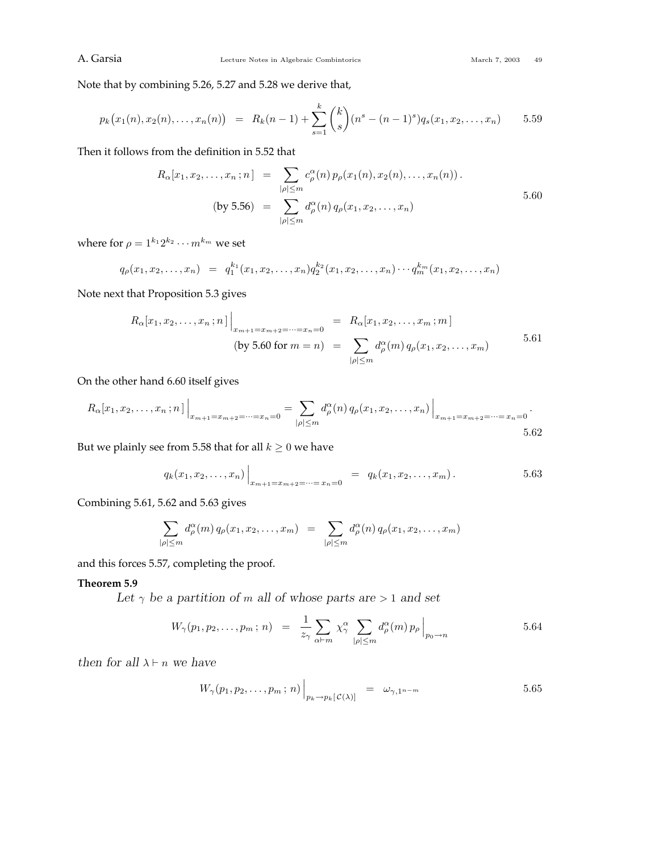Note that by combining 5.26, 5.27 and 5.28 we derive that,

$$
p_k(x_1(n), x_2(n), \dots, x_n(n)) = R_k(n-1) + \sum_{s=1}^k {k \choose s} (n^s - (n-1)^s) q_s(x_1, x_2, \dots, x_n) \qquad 5.59
$$

Then it follows from the definition in 5.52 that

$$
R_{\alpha}[x_1, x_2, \dots, x_n; n] = \sum_{|\rho| \le m} c_{\rho}^{\alpha}(n) p_{\rho}(x_1(n), x_2(n), \dots, x_n(n)).
$$
  
(by 5.56) = 
$$
\sum_{|\rho| \le m} d_{\rho}^{\alpha}(n) q_{\rho}(x_1, x_2, \dots, x_n)
$$

where for  $\rho = 1^{k_1} 2^{k_2} \cdots m^{k_m}$  we set

$$
q_{\rho}(x_1, x_2, \ldots, x_n) = q_1^{k_1}(x_1, x_2, \ldots, x_n) q_2^{k_2}(x_1, x_2, \ldots, x_n) \cdots q_m^{k_m}(x_1, x_2, \ldots, x_n)
$$

Note next that Proposition 5.3 gives

$$
R_{\alpha}[x_1, x_2, \dots, x_n; n] \Big|_{x_{m+1} = x_{m+2} = \dots = x_n = 0} = R_{\alpha}[x_1, x_2, \dots, x_m; m]
$$
  
(by 5.60 for  $m = n$ ) =  $\sum_{|\rho| \le m} d_{\rho}^{\alpha}(m) q_{\rho}(x_1, x_2, \dots, x_m)$  5.61

On the other hand 6.60 itself gives

$$
R_{\alpha}[x_1, x_2, \dots, x_n; n] \Big|_{x_{m+1} = x_{m+2} = \dots = x_n = 0} = \sum_{|\rho| \le m} d_{\rho}^{\alpha}(n) q_{\rho}(x_1, x_2, \dots, x_n) \Big|_{x_{m+1} = x_{m+2} = \dots = x_n = 0}.
$$

But we plainly see from 5.58 that for all  $k \geq 0$  we have

$$
q_k(x_1, x_2,..., x_n)\Big|_{x_{m+1}=x_{m+2}=...=x_n=0} = q_k(x_1, x_2,..., x_m).
$$
 5.63

Combining 5.61, 5.62 and 5.63 gives

$$
\sum_{|\rho| \leq m} d_{\rho}^{\alpha}(m) q_{\rho}(x_1, x_2, \dots, x_m) = \sum_{|\rho| \leq m} d_{\rho}^{\alpha}(n) q_{\rho}(x_1, x_2, \dots, x_m)
$$

and this forces 5.57, completing the proof.

### **Theorem 5.9**

Let  $\gamma$  be a partition of *m* all of whose parts are  $> 1$  and set

$$
W_{\gamma}(p_1, p_2, \dots, p_m; n) = \frac{1}{z_{\gamma}} \sum_{\alpha \vdash m} \chi^{\alpha}_{\gamma} \sum_{|\rho| \leq m} d^{\alpha}_{\rho}(m) p_{\rho} \Big|_{p_0 \to n}
$$
 5.64

*then for all*  $\lambda \vdash n$  *we have* 

$$
W_{\gamma}(p_1, p_2, \dots, p_m; n) \Big|_{p_k \to p_k[\mathcal{C}(\lambda)]} = \omega_{\gamma, 1^{n-m}} \tag{5.65}
$$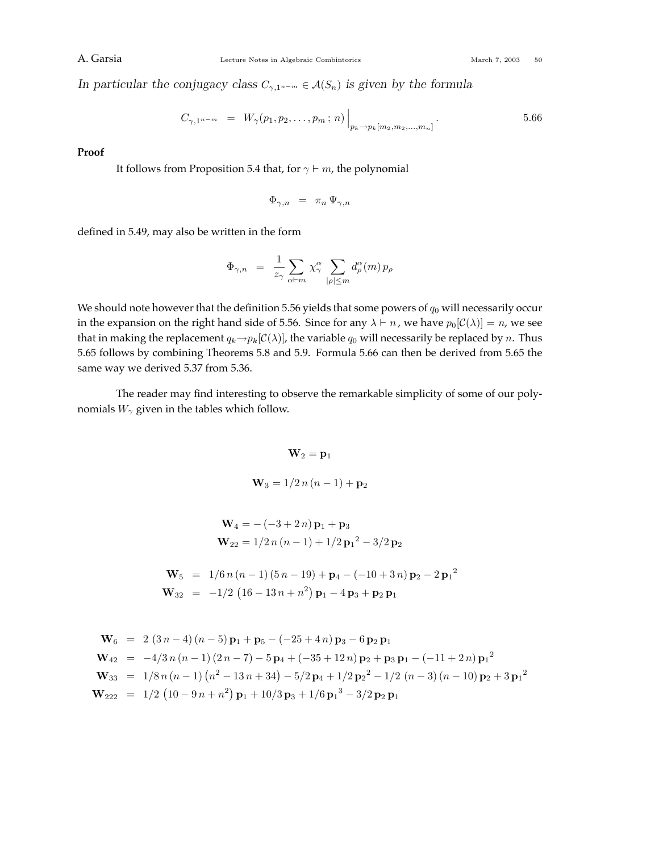*In particular the conjugacy class*  $C_{\gamma,1^{n-m}} \in \mathcal{A}(S_n)$  *is given by the formula* 

$$
C_{\gamma,1^{n-m}} = W_{\gamma}(p_1,p_2,\ldots,p_m;n) \Big|_{p_k \to p_k[m_2,m_2,\ldots,m_n]}.
$$

**Proof**

It follows from Proposition 5.4 that, for  $\gamma \vdash m$ , the polynomial

$$
\Phi_{\gamma,n} \;\; = \;\; \pi_n \, \Psi_{\gamma,n}
$$

defined in 5.49, may also be written in the form

$$
\Phi_{\gamma,n} = \frac{1}{z_{\gamma}} \sum_{\alpha \vdash m} \chi^{\alpha}_{\gamma} \sum_{|\rho| \leq m} d^{\alpha}_{\rho}(m) p_{\rho}
$$

We should note however that the definition 5.56 yields that some powers of  $q_0$  will necessarily occur in the expansion on the right hand side of 5.56. Since for any  $\lambda \vdash n$ , we have  $p_0[\mathcal{C}(\lambda)] = n$ , we see that in making the replacement  $q_k \rightarrow p_k[\mathcal{C}(\lambda)]$ , the variable  $q_0$  will necessarily be replaced by *n*. Thus 5.65 follows by combining Theorems 5.8 and 5.9. Formula 5.66 can then be derived from 5.65 the same way we derived 5.37 from 5.36.

The reader may find interesting to observe the remarkable simplicity of some of our polynomials  $W_\gamma$  given in the tables which follow.

## $W_2 = p_1$

$$
W_3 = 1/2 n (n - 1) + p_2
$$

$$
\mathbf{W}_4 = -(-3 + 2 n)\mathbf{p}_1 + \mathbf{p}_3
$$
  

$$
\mathbf{W}_{22} = 1/2 n (n - 1) + 1/2 {\mathbf{p}_1}^2 - 3/2 {\mathbf{p}_2}
$$

$$
\mathbf{W}_5 = 1/6 n (n - 1) (5 n - 19) + \mathbf{p}_4 - (-10 + 3 n) \mathbf{p}_2 - 2 \mathbf{p}_1^2
$$
  

$$
\mathbf{W}_{32} = -1/2 (16 - 13 n + n^2) \mathbf{p}_1 - 4 \mathbf{p}_3 + \mathbf{p}_2 \mathbf{p}_1
$$

$$
\mathbf{W}_6 = 2 (3n-4)(n-5) \mathbf{p}_1 + \mathbf{p}_5 - (-25+4n) \mathbf{p}_3 - 6 \mathbf{p}_2 \mathbf{p}_1
$$
  
\n
$$
\mathbf{W}_{42} = -4/3n (n-1) (2n-7) - 5 \mathbf{p}_4 + (-35+12n) \mathbf{p}_2 + \mathbf{p}_3 \mathbf{p}_1 - (-11+2n) \mathbf{p}_1^2
$$
  
\n
$$
\mathbf{W}_{33} = 1/8n (n-1) (n^2 - 13n + 34) - 5/2 \mathbf{p}_4 + 1/2 \mathbf{p}_2^2 - 1/2 (n-3) (n-10) \mathbf{p}_2 + 3 \mathbf{p}_1^2
$$
  
\n
$$
\mathbf{W}_{222} = 1/2 (10-9n+n^2) \mathbf{p}_1 + 10/3 \mathbf{p}_3 + 1/6 \mathbf{p}_1^3 - 3/2 \mathbf{p}_2 \mathbf{p}_1
$$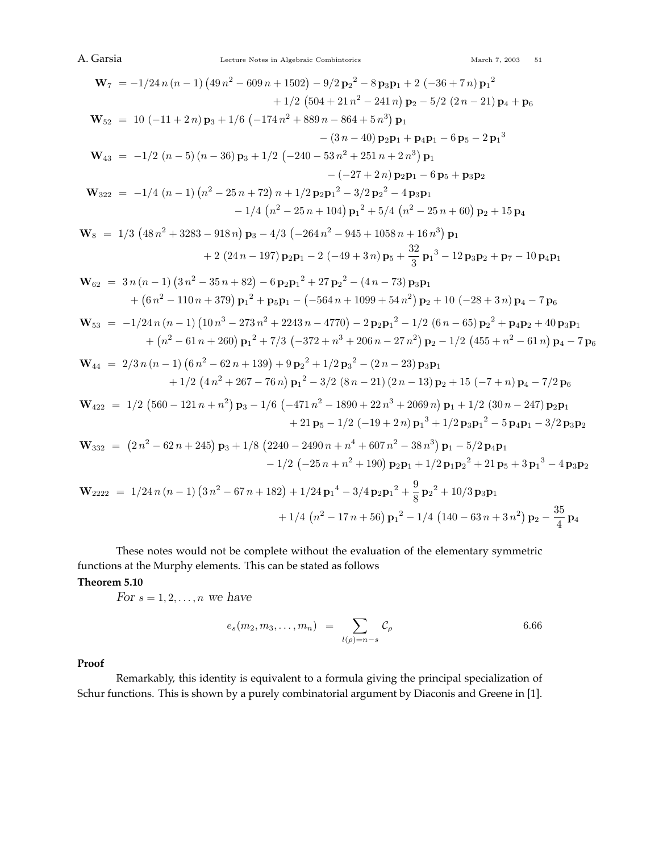$$
\mathbf{W}_{7} = -1/24 n (n - 1) (49 n^{2} - 609 n + 1502) - 9/2 p_{2}^{2} - 8 p_{3} p_{1} + 2 (-36 + 7 n) p_{1}^{2}
$$
  
+ 1/2 (504 + 21 n<sup>2</sup> - 241 n) p<sub>2</sub> - 5/2 (2n - 21) p<sub>4</sub> + p<sub>6</sub>  

$$
\mathbf{W}_{52} = 10 (-11 + 2 n) p_{3} + 1/6 (-174 n^{2} + 889 n - 864 + 5 n^{3}) p_{1}
$$
  
- (3n - 40) p<sub>2</sub>p<sub>1</sub> + p<sub>4</sub>p<sub>1</sub> - 6 p<sub>5</sub> - 2 p<sub>1</sub><sup>3</sup>  

$$
\mathbf{W}_{43} = -1/2 (n - 5) (n - 36) p_{3} + 1/2 (-240 - 53 n^{2} + 251 n + 2 n^{3}) p_{1}
$$
  
- (27 + 2 n) p<sub>2</sub>p<sub>1</sub> - 6 p<sub>5</sub> + p<sub>3</sub>p<sub>2</sub>  

$$
\mathbf{W}_{322} = -1/4 (n - 1) (n^{2} - 25 n + 72) n + 1/2 p_{2} p_{1}^{2} - 3/2 p_{2}^{2} - 4 p_{3} p_{1}
$$
  
- 1/4 (n<sup>2</sup> - 25 n + 104) p<sub>1</sub><sup>2</sup> + 5/4 (n<sup>2</sup> - 25 n + 60) p<sub>2</sub> + 15 p<sub>4</sub>  

$$
\mathbf{W}_{8} = 1/3 (48 n^{2} + 3283 - 918 n) p_{3} - 4/3 (-264 n^{2} - 945 + 1058 n + 16 n^{3}) p_{1}
$$
  
+ 2 (24n - 197) p<sub>2</sub>p<sub>1</sub> - 2 (-49 + 3 n) p<sub>5</sub> +  $\frac{32}{3}$  p<sub>1</sub><sup>3</sup> - 12 p<sub>3</sub>p<sub>2</sub> + p<

These notes would not be complete without the evaluation of the elementary symmetric functions at the Murphy elements. This can be stated as follows

## **Theorem 5.10**

*For*  $s = 1, 2, \ldots, n$  *we have* 

$$
e_s(m_2, m_3, \dots, m_n) = \sum_{l(\rho)=n-s} \mathcal{C}_{\rho} \qquad 6.66
$$

## **Proof**

Remarkably, this identity is equivalent to a formula giving the principal specialization of Schur functions. This is shown by a purely combinatorial argument by Diaconis and Greene in [1].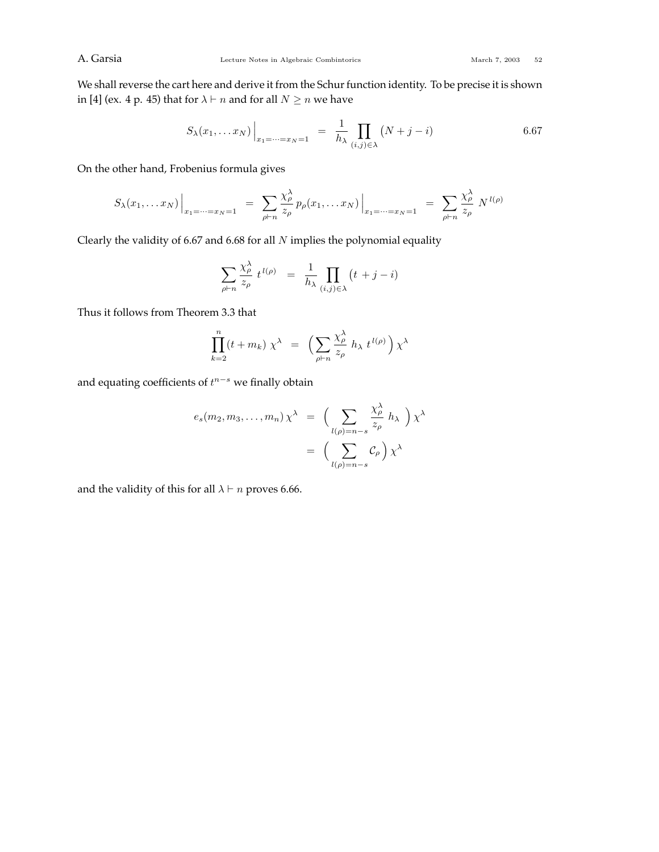We shall reverse the cart here and derive it from the Schur function identity. To be precise it is shown in [4] (ex. 4 p. 45) that for  $\lambda \vdash n$  and for all  $N \geq n$  we have

$$
S_{\lambda}(x_1,\ldots x_N)\Big|_{x_1=\cdots=x_N=1} = \frac{1}{h_{\lambda}} \prod_{(i,j)\in\lambda} (N+j-i)
$$
6.67

On the other hand, Frobenius formula gives

$$
S_{\lambda}(x_1,...x_N)\Big|_{x_1=\dots=x_N=1} = \sum_{\rho \vdash n} \frac{\chi_{\rho}^{\lambda}}{z_{\rho}} p_{\rho}(x_1,...x_N)\Big|_{x_1=\dots=x_N=1} = \sum_{\rho \vdash n} \frac{\chi_{\rho}^{\lambda}}{z_{\rho}} N^{l(\rho)}
$$

Clearly the validity of 6.67 and 6.68 for all *N* implies the polynomial equality

$$
\sum_{\rho \vdash n} \frac{\chi_{\rho}^{\lambda}}{z_{\rho}} t^{l(\rho)} = \frac{1}{h_{\lambda}} \prod_{(i,j) \in \lambda} (t + j - i)
$$

Thus it follows from Theorem 3.3 that

$$
\prod_{k=2}^{n} (t + m_k) \chi^{\lambda} = \left( \sum_{\rho \vdash n} \frac{\chi_{\rho}^{\lambda}}{z_{\rho}} h_{\lambda} t^{l(\rho)} \right) \chi^{\lambda}
$$

and equating coefficients of *t <sup>n</sup>*−*<sup>s</sup>* we finally obtain

$$
e_s(m_2, m_3, \dots, m_n) \chi^{\lambda} = \left( \sum_{l(\rho)=n-s} \frac{\chi_{\rho}^{\lambda}}{z_{\rho}} h_{\lambda} \right) \chi^{\lambda}
$$

$$
= \left( \sum_{l(\rho)=n-s} C_{\rho} \right) \chi^{\lambda}
$$

and the validity of this for all  $\lambda \vdash n$  proves 6.66.